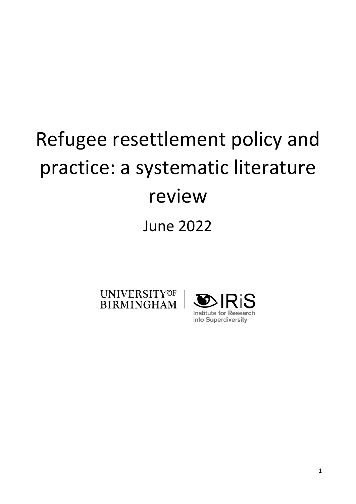# Refugee resettlement policy and practice: a systematic literature review June 2022

**UNIVERSITYOF BIRMINGHAM** 

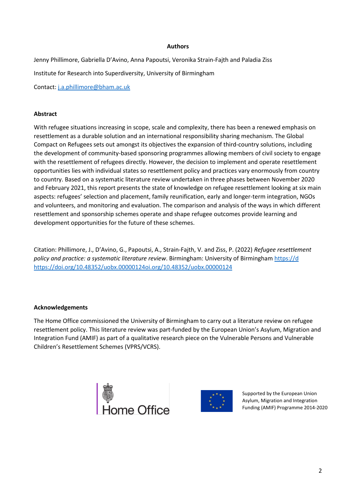## **Authors**

Jenny Phillimore, Gabriella D'Avino, Anna Papoutsi, Veronika Strain-Fajth and Paladia Ziss Institute for Research into Superdiversity, University of Birmingham Contact: [j.a.phillimore@bham.ac.uk](mailto:j.a.phillimore@bham.ac.uk) 

**Abstract** 

With refugee situations increasing in scope, scale and complexity, there has been a renewed emphasis on resettlement as a durable solution and an international responsibility sharing mechanism. The Global Compact on Refugees sets out amongst its objectives the expansion of third-country solutions, including the development of community-based sponsoring programmes allowing members of civil society to engage with the resettlement of refugees directly. However, the decision to implement and operate resettlement opportunities lies with individual states so resettlement policy and practices vary enormously from country to country. Based on a systematic literature review undertaken in three phases between November 2020 and February 2021, this report presents the state of knowledge on refugee resettlement looking at six main aspects: refugees' selection and placement, family reunification, early and longer-term integration, NGOs and volunteers, and monitoring and evaluation. The comparison and analysis of the ways in which different resettlement and sponsorship schemes operate and shape refugee outcomes provide learning and development opportunities for the future of these schemes.

Citation: Phillimore, J., D'Avino, G., Papoutsi, A., Strain-Fajth, V. and Ziss, P. (2022) *Refugee resettlement policy and practice: a systematic literature review*. Birmingham: University of Birmingham [https://d](https://doi.org/10.48352/uobx.00000124) [https://doi.org/10.48352/uobx.00000124o](https://doi.org/10.48352/uobx.00000124)i.org/10.48352/uobx.00000124

#### **Acknowledgements**

The Home Office commissioned the University of Birmingham to carry out a literature review on refugee resettlement policy. This literature review was part-funded by the European Union's Asylum, Migration and Integration Fund (AMIF) as part of a qualitative research piece on the Vulnerable Persons and Vulnerable Children's Resettlement Schemes (VPRS/VCRS).





Supported by the European Union Asylum, Migration and Integration Funding (AMIF) Programme 2014-2020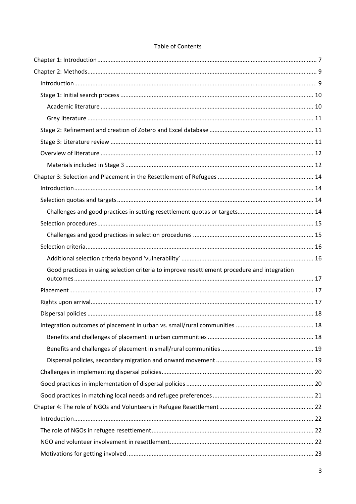| Good practices in using selection criteria to improve resettlement procedure and integration |  |
|----------------------------------------------------------------------------------------------|--|
|                                                                                              |  |
|                                                                                              |  |
|                                                                                              |  |
|                                                                                              |  |
|                                                                                              |  |
|                                                                                              |  |
|                                                                                              |  |
|                                                                                              |  |
|                                                                                              |  |
|                                                                                              |  |
|                                                                                              |  |
|                                                                                              |  |
|                                                                                              |  |
|                                                                                              |  |
|                                                                                              |  |

# Table of Contents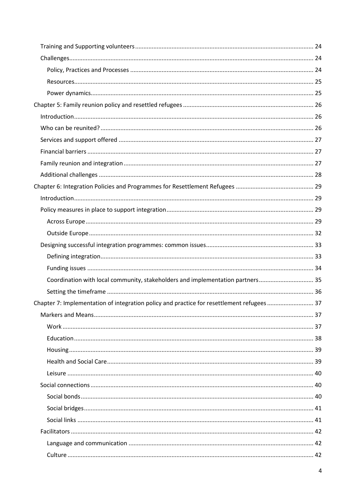| Coordination with local community, stakeholders and implementation partners 35            |  |
|-------------------------------------------------------------------------------------------|--|
|                                                                                           |  |
| Chapter 7: Implementation of integration policy and practice for resettlement refugees 37 |  |
|                                                                                           |  |
|                                                                                           |  |
|                                                                                           |  |
|                                                                                           |  |
|                                                                                           |  |
|                                                                                           |  |
|                                                                                           |  |
|                                                                                           |  |
|                                                                                           |  |
|                                                                                           |  |
|                                                                                           |  |
|                                                                                           |  |
|                                                                                           |  |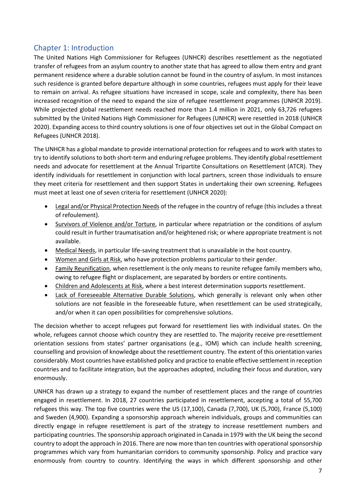# <span id="page-6-0"></span>Chapter 1: Introduction

The United Nations High Commissioner for Refugees (UNHCR) describes resettlement as the negotiated transfer of refugees from an asylum country to another state that has agreed to allow them entry and grant permanent residence where a durable solution cannot be found in the country of asylum. In most instances such residence is granted before departure although in some countries, refugees must apply for their leave to remain on arrival. As refugee situations have increased in scope, scale and complexity, there has been increased recognition of the need to expand the size of refugee resettlement programmes (UNHCR 2019). While projected global resettlement needs reached more than 1.4 million in 2021, only 63,726 refugees submitted by the United Nations High Commissioner for Refugees (UNHCR) were resettled in 2018 (UNHCR 2020). Expanding access to third country solutions is one of four objectives set out in the Global Compact on Refugees (UNHCR 2018).

The UNHCR has a global mandate to provide international protection for refugees and to work with states to try to identify solutions to both short-term and enduring refugee problems. They identify global resettlement needs and advocate for resettlement at the Annual Tripartite Consultations on Resettlement (ATCR). They identify individuals for resettlement in conjunction with local partners, screen those individuals to ensure they meet criteria for resettlement and then support States in undertaking their own screening. Refugees must meet at least one of seven criteria for resettlement (UNHCR 2020):

- Legal and/or Physical Protection Needs of the refugee in the country of refuge (this includes a threat of refoulement).
- Survivors of Violence and/or Torture, in particular where repatriation or the conditions of asylum could result in further traumatisation and/or heightened risk; or where appropriate treatment is not available.
- Medical Needs, in particular life-saving treatment that is unavailable in the host country.
- Women and Girls at Risk, who have protection problems particular to their gender.
- Family Reunification, when resettlement is the only means to reunite refugee family members who, owing to refugee flight or displacement, are separated by borders or entire continents.
- Children and Adolescents at Risk, where a best interest determination supports resettlement.
- Lack of Foreseeable Alternative Durable Solutions, which generally is relevant only when other solutions are not feasible in the foreseeable future, when resettlement can be used strategically, and/or when it can open possibilities for comprehensive solutions.

The decision whether to accept refugees put forward for resettlement lies with individual states. On the whole, refugees cannot choose which country they are resettled to. The majority receive pre-resettlement orientation sessions from states' partner organisations (e.g., IOM) which can include health screening, counselling and provision of knowledge about the resettlement country. The extent of this orientation varies considerably. Most countries have established policy and practice to enable effective settlement in reception countries and to facilitate integration, but the approaches adopted, including their focus and duration, vary enormously.

UNHCR has drawn up a strategy to expand the number of resettlement places and the range of countries engaged in resettlement. In 2018, 27 countries participated in resettlement, accepting a total of 55,700 refugees this way. The top five countries were the US (17,100), Canada (7,700), UK (5,700), France (5,100) and Sweden (4,900). Expanding a sponsorship approach wherein individuals, groups and communities can directly engage in refugee resettlement is part of the strategy to increase resettlement numbers and participating countries. The sponsorship approach originated in Canada in 1979 with the UK being the second country to adopt the approach in 2016. There are now more than ten countries with operational sponsorship programmes which vary from humanitarian corridors to community sponsorship. Policy and practice vary enormously from country to country. Identifying the ways in which different sponsorship and other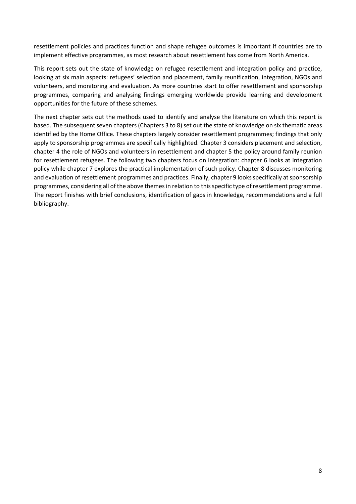resettlement policies and practices function and shape refugee outcomes is important if countries are to implement effective programmes, as most research about resettlement has come from North America.

This report sets out the state of knowledge on refugee resettlement and integration policy and practice, looking at six main aspects: refugees' selection and placement, family reunification, integration, NGOs and volunteers, and monitoring and evaluation. As more countries start to offer resettlement and sponsorship programmes, comparing and analysing findings emerging worldwide provide learning and development opportunities for the future of these schemes.

The next chapter sets out the methods used to identify and analyse the literature on which this report is based. The subsequent seven chapters (Chapters 3 to 8) set out the state of knowledge on six thematic areas identified by the Home Office. These chapters largely consider resettlement programmes; findings that only apply to sponsorship programmes are specifically highlighted. Chapter 3 considers placement and selection, chapter 4 the role of NGOs and volunteers in resettlement and chapter 5 the policy around family reunion for resettlement refugees. The following two chapters focus on integration: chapter 6 looks at integration policy while chapter 7 explores the practical implementation of such policy. Chapter 8 discusses monitoring and evaluation of resettlement programmes and practices. Finally, chapter 9 looks specifically at sponsorship programmes, considering all of the above themes in relation to this specific type of resettlement programme. The report finishes with brief conclusions, identification of gaps in knowledge, recommendations and a full bibliography.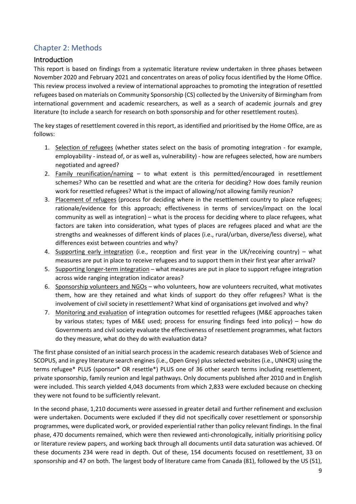# <span id="page-8-0"></span>Chapter 2: Methods

# <span id="page-8-1"></span>Introduction

This report is based on findings from a systematic literature review undertaken in three phases between November 2020 and February 2021 and concentrates on areas of policy focus identified by the Home Office. This review process involved a review of international approaches to promoting the integration of resettled refugees based on materials on Community Sponsorship (CS) collected by the University of Birmingham from international government and academic researchers, as well as a search of academic journals and grey literature (to include a search for research on both sponsorship and for other resettlement routes).

The key stages of resettlement covered in this report, as identified and prioritised by the Home Office, are as follows:

- 1. Selection of refugees (whether states select on the basis of promoting integration for example, employability - instead of, or as well as, vulnerability) - how are refugees selected, how are numbers negotiated and agreed?
- 2. Family reunification/naming to what extent is this permitted/encouraged in resettlement schemes? Who can be resettled and what are the criteria for deciding? How does family reunion work for resettled refugees? What is the impact of allowing/not allowing family reunion?
- 3. Placement of refugees (process for deciding where in the resettlement country to place refugees; rationale/evidence for this approach; effectiveness in terms of services/impact on the local community as well as integration) – what is the process for deciding where to place refugees, what factors are taken into consideration, what types of places are refugees placed and what are the strengths and weaknesses of different kinds of places (i.e., rural/urban, diverse/less diverse), what differences exist between countries and why?
- 4. Supporting early integration (i.e., reception and first year in the UK/receiving country) what measures are put in place to receive refugees and to support them in their first year after arrival?
- 5. Supporting longer-term integration what measures are put in place to support refugee integration across wide ranging integration indicator areas?
- 6. Sponsorship volunteers and  $NGOs who$  volunteers, how are volunteers recruited, what motivates them, how are they retained and what kinds of support do they offer refugees? What is the involvement of civil society in resettlement? What kind of organisations get involved and why?
- 7. Monitoring and evaluation of integration outcomes for resettled refugees (M&E approaches taken by various states; types of M&E used; process for ensuring findings feed into policy) – how do Governments and civil society evaluate the effectiveness of resettlement programmes, what factors do they measure, what do they do with evaluation data?

The first phase consisted of an initial search process in the academic research databases Web of Science and SCOPUS, and in grey literature search engines (i.e., Open Grey) plus selected websites (i.e., UNHCR) using the terms refugee\* PLUS (sponsor\* OR resettle\*) PLUS one of 36 other search terms including resettlement, private sponsorship, family reunion and legal pathways. Only documents published after 2010 and in English were included. This search yielded 4,043 documents from which 2,833 were excluded because on checking they were not found to be sufficiently relevant.

In the second phase, 1,210 documents were assessed in greater detail and further refinement and exclusion were undertaken. Documents were excluded if they did not specifically cover resettlement or sponsorship programmes, were duplicated work, or provided experiential rather than policy relevant findings. In the final phase, 470 documents remained, which were then reviewed anti-chronologically, initially prioritising policy or literature review papers, and working back through all documents until data saturation was achieved. Of these documents 234 were read in depth. Out of these, 154 documents focused on resettlement, 33 on sponsorship and 47 on both. The largest body of literature came from Canada (81), followed by the US (51),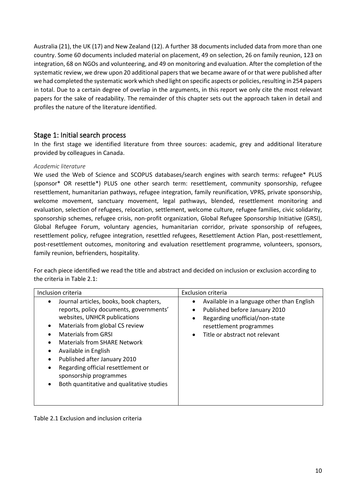Australia (21), the UK (17) and New Zealand (12). A further 38 documents included data from more than one country. Some 60 documents included material on placement, 49 on selection, 26 on family reunion, 123 on integration, 68 on NGOs and volunteering, and 49 on monitoring and evaluation. After the completion of the systematic review, we drew upon 20 additional papers that we became aware of or that were published after we had completed the systematic work which shed light on specific aspects or policies, resulting in 254 papers in total. Due to a certain degree of overlap in the arguments, in this report we only cite the most relevant papers for the sake of readability. The remainder of this chapter sets out the approach taken in detail and profiles the nature of the literature identified.

# <span id="page-9-0"></span>Stage 1: Initial search process

In the first stage we identified literature from three sources: academic, grey and additional literature provided by colleagues in Canada.

## <span id="page-9-1"></span>*Academic literature*

We used the Web of Science and SCOPUS databases/search engines with search terms: refugee\* PLUS (sponsor\* OR resettle\*) PLUS one other search term: resettlement, community sponsorship, refugee resettlement, humanitarian pathways, refugee integration, family reunification, VPRS, private sponsorship, welcome movement, sanctuary movement, legal pathways, blended, resettlement monitoring and evaluation, selection of refugees, relocation, settlement, welcome culture, refugee families, civic solidarity, sponsorship schemes, refugee crisis, non-profit organization, Global Refugee Sponsorship Initiative (GRSI), Global Refugee Forum, voluntary agencies, humanitarian corridor, private sponsorship of refugees, resettlement policy, refugee integration, resettled refugees, Resettlement Action Plan, post-resettlement, post-resettlement outcomes, monitoring and evaluation resettlement programme, volunteers, sponsors, family reunion, befrienders, hospitality.

For each piece identified we read the title and abstract and decided on inclusion or exclusion according to the criteria in Table 2.1:

| Inclusion criteria                                                                                                                                                                                                                                                                                                                                                                                                               | <b>Exclusion criteria</b>                                                                                                                                                                    |
|----------------------------------------------------------------------------------------------------------------------------------------------------------------------------------------------------------------------------------------------------------------------------------------------------------------------------------------------------------------------------------------------------------------------------------|----------------------------------------------------------------------------------------------------------------------------------------------------------------------------------------------|
| Journal articles, books, book chapters,<br>٠<br>reports, policy documents, governments'<br>websites, UNHCR publications<br>Materials from global CS review<br>٠<br><b>Materials from GRSL</b><br><b>Materials from SHARE Network</b><br>Available in English<br>٠<br>Published after January 2010<br>$\bullet$<br>Regarding official resettlement or<br>٠<br>sponsorship programmes<br>Both quantitative and qualitative studies | Available in a language other than English<br>٠<br>Published before January 2010<br>$\bullet$<br>Regarding unofficial/non-state<br>resettlement programmes<br>Title or abstract not relevant |

#### Table 2.1 Exclusion and inclusion criteria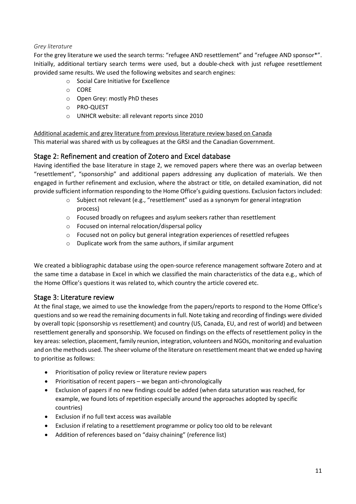## <span id="page-10-0"></span>*Grey literature*

For the grey literature we used the search terms: "refugee AND resettlement" and "refugee AND sponsor\*". Initially, additional tertiary search terms were used, but a double-check with just refugee resettlement provided same results. We used the following websites and search engines:

- o Social Care Initiative for Excellence
- o CORE
- o Open Grey: mostly PhD theses
- o PRO-QUEST
- o UNHCR website: all relevant reports since 2010

Additional academic and grey literature from previous literature review based on Canada This material was shared with us by colleagues at the GRSI and the Canadian Government.

# <span id="page-10-1"></span>Stage 2: Refinement and creation of Zotero and Excel database

Having identified the base literature in stage 2, we removed papers where there was an overlap between "resettlement", "sponsorship" and additional papers addressing any duplication of materials. We then engaged in further refinement and exclusion, where the abstract or title, on detailed examination, did not provide sufficient information responding to the Home Office's guiding questions. Exclusion factors included:

- $\circ$  Subject not relevant (e.g., "resettlement" used as a synonym for general integration process)
- o Focused broadly on refugees and asylum seekers rather than resettlement
- o Focused on internal relocation/dispersal policy
- $\circ$  Focused not on policy but general integration experiences of resettled refugees
- o Duplicate work from the same authors, if similar argument

We created a bibliographic database using the open-source reference management software Zotero and at the same time a database in Excel in which we classified the main characteristics of the data e.g., which of the Home Office's questions it was related to, which country the article covered etc.

# <span id="page-10-2"></span>Stage 3: Literature review

At the final stage, we aimed to use the knowledge from the papers/reports to respond to the Home Office's questions and so we read the remaining documents in full. Note taking and recording of findings were divided by overall topic (sponsorship vs resettlement) and country (US, Canada, EU, and rest of world) and between resettlement generally and sponsorship. We focused on findings on the effects of resettlement policy in the key areas: selection, placement, family reunion, integration, volunteers and NGOs, monitoring and evaluation and on the methods used. The sheer volume of the literature on resettlement meant that we ended up having to prioritise as follows:

- Prioritisation of policy review or literature review papers
- Prioritisation of recent papers we began anti-chronologically
- Exclusion of papers if no new findings could be added (when data saturation was reached, for example, we found lots of repetition especially around the approaches adopted by specific countries)
- Exclusion if no full text access was available
- Exclusion if relating to a resettlement programme or policy too old to be relevant
- Addition of references based on "daisy chaining" (reference list)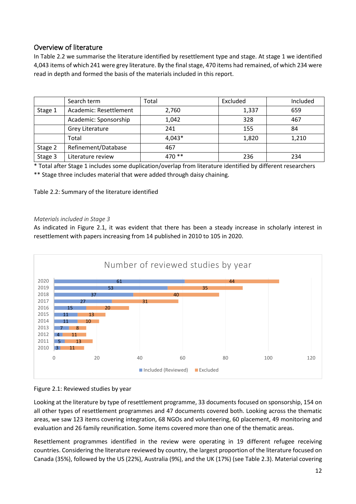# <span id="page-11-0"></span>Overview of literature

In Table 2.2 we summarise the literature identified by resettlement type and stage. At stage 1 we identified 4,043 items of which 241 were grey literature. By the final stage, 470 items had remained, of which 234 were read in depth and formed the basis of the materials included in this report.

|         | Search term            | Total  | Excluded | Included |
|---------|------------------------|--------|----------|----------|
| Stage 1 | Academic: Resettlement | 2,760  | 1,337    | 659      |
|         | Academic: Sponsorship  | 1,042  | 328      | 467      |
|         | Grey Literature        | 241    | 155      | 84       |
|         | Total                  | 4,043* | 1,820    | 1,210    |
| Stage 2 | Refinement/Database    | 467    |          |          |
| Stage 3 | Literature review      | 470 ** | 236      | 234      |

\* Total after Stage 1 includes some duplication/overlap from literature identified by different researchers

\*\* Stage three includes material that were added through daisy chaining.

Table 2.2: Summary of the literature identified

## <span id="page-11-1"></span>*Materials included in Stage 3*

As indicated in Figure 2.1, it was evident that there has been a steady increase in scholarly interest in resettlement with papers increasing from 14 published in 2010 to 105 in 2020.





Looking at the literature by type of resettlement programme, 33 documents focused on sponsorship, 154 on all other types of resettlement programmes and 47 documents covered both. Looking across the thematic areas, we saw 123 items covering integration, 68 NGOs and volunteering, 60 placement, 49 monitoring and evaluation and 26 family reunification. Some items covered more than one of the thematic areas.

Resettlement programmes identified in the review were operating in 19 different refugee receiving countries. Considering the literature reviewed by country, the largest proportion of the literature focused on Canada (35%), followed by the US (22%), Australia (9%), and the UK (17%) (see Table 2.3). Material covering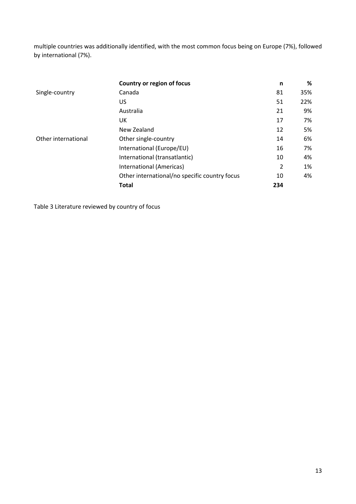multiple countries was additionally identified, with the most common focus being on Europe (7%), followed by international (7%).

|                     | Country or region of focus                    | n              | %   |
|---------------------|-----------------------------------------------|----------------|-----|
| Single-country      | Canada                                        | 81             | 35% |
|                     | US                                            | 51             | 22% |
|                     | Australia                                     | 21             | 9%  |
|                     | UK                                            | 17             | 7%  |
|                     | New Zealand                                   | 12             | 5%  |
| Other international | Other single-country                          | 14             | 6%  |
|                     | International (Europe/EU)                     | 16             | 7%  |
|                     | International (transatlantic)                 | 10             | 4%  |
|                     | International (Americas)                      | $\overline{2}$ | 1%  |
|                     | Other international/no specific country focus | 10             | 4%  |
|                     | <b>Total</b>                                  | 234            |     |

Table 3 Literature reviewed by country of focus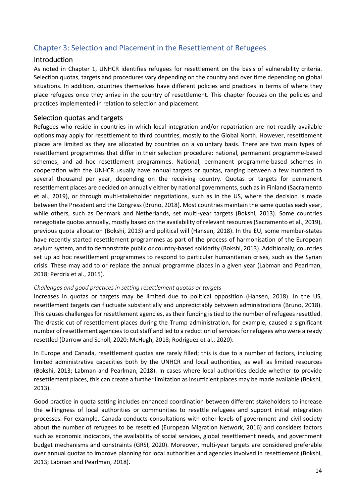# <span id="page-13-0"></span>Chapter 3: Selection and Placement in the Resettlement of Refugees

# <span id="page-13-1"></span>Introduction

As noted in Chapter 1, UNHCR identifies refugees for resettlement on the basis of vulnerability criteria. Selection quotas, targets and procedures vary depending on the country and over time depending on global situations. In addition, countries themselves have different policies and practices in terms of where they place refugees once they arrive in the country of resettlement. This chapter focuses on the policies and practices implemented in relation to selection and placement.

# <span id="page-13-2"></span>Selection quotas and targets

Refugees who reside in countries in which local integration and/or repatriation are not readily available options may apply for resettlement to third countries, mostly to the Global North. However, resettlement places are limited as they are allocated by countries on a voluntary basis. There are two main types of resettlement programmes that differ in their selection procedure: national, permanent programme-based schemes; and ad hoc resettlement programmes. National, permanent programme-based schemes in cooperation with the UNHCR usually have annual targets or quotas, ranging between a few hundred to several thousand per year, depending on the receiving country. Quotas or targets for permanent resettlement places are decided on annually either by national governments, such as in Finland (Sacramento et al., 2019), or through multi-stakeholder negotiations, such as in the US, where the decision is made between the President and the Congress (Bruno, 2018). Most countries maintain the same quotas each year, while others, such as Denmark and Netherlands, set multi-year targets (Bokshi, 2013). Some countries renegotiate quotas annually, mostly based on the availability of relevant resources (Sacramento et al., 2019), previous quota allocation (Bokshi, 2013) and political will (Hansen, 2018). In the EU, some member-states have recently started resettlement programmes as part of the process of harmonisation of the European asylum system, and to demonstrate public or country-based solidarity (Bokshi, 2013). Additionally, countries set up ad hoc resettlement programmes to respond to particular humanitarian crises, such as the Syrian crisis. These may add to or replace the annual programme places in a given year (Labman and Pearlman, 2018; Perdrix et al., 2015).

#### <span id="page-13-3"></span>*Challenges and good practices in setting resettlement quotas or targets*

Increases in quotas or targets may be limited due to political opposition (Hansen, 2018). In the US, resettlement targets can fluctuate substantially and unpredictably between administrations (Bruno, 2018). This causes challenges for resettlement agencies, as their funding is tied to the number of refugees resettled. The drastic cut of resettlement places during the Trump administration, for example, caused a significant number of resettlement agencies to cut staff and led to a reduction of services for refugees who were already resettled (Darrow and Scholl, 2020; McHugh, 2018; Rodriguez et al., 2020).

In Europe and Canada, resettlement quotas are rarely filled; this is due to a number of factors, including limited administrative capacities both by the UNHCR and local authorities, as well as limited resources (Bokshi, 2013; Labman and Pearlman, 2018). In cases where local authorities decide whether to provide resettlement places, this can create a further limitation as insufficient places may be made available (Bokshi, 2013).

Good practice in quota setting includes enhanced coordination between different stakeholders to increase the willingness of local authorities or communities to resettle refugees and support initial integration processes. For example, Canada conducts consultations with other levels of government and civil society about the number of refugees to be resettled (European Migration Network, 2016) and considers factors such as economic indicators, the availability of social services, global resettlement needs, and government budget mechanisms and constraints (GRSI, 2020). Moreover, multi-year targets are considered preferable over annual quotas to improve planning for local authorities and agencies involved in resettlement (Bokshi, 2013; Labman and Pearlman, 2018).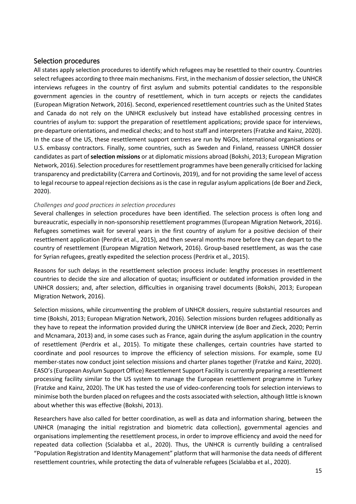# <span id="page-14-0"></span>Selection procedures

All states apply selection procedures to identify which refugees may be resettled to their country. Countries select refugees according to three main mechanisms. First, in the mechanism of dossier selection, the UNHCR interviews refugees in the country of first asylum and submits potential candidates to the responsible government agencies in the country of resettlement, which in turn accepts or rejects the candidates (European Migration Network, 2016). Second, experienced resettlement countries such as the United States and Canada do not rely on the UNHCR exclusively but instead have established processing centres in countries of asylum to: support the preparation of resettlement applications; provide space for interviews, pre-departure orientations, and medical checks; and to host staff and interpreters (Fratzke and Kainz, 2020). In the case of the US, these resettlement support centres are run by NGOs, international organisations or U.S. embassy contractors. Finally, some countries, such as Sweden and Finland, reassess UNHCR dossier candidates as part of **selection missions** or at diplomatic missions abroad (Bokshi, 2013; European Migration Network, 2016). Selection procedures for resettlement programmes have been generally criticised for lacking transparency and predictability (Carrera and Cortinovis, 2019), and for not providing the same level of access to legal recourse to appeal rejection decisions as is the case in regular asylum applications (de Boer and Zieck, 2020).

## <span id="page-14-1"></span>*Challenges and good practices in selection procedures*

Several challenges in selection procedures have been identified. The selection process is often long and bureaucratic, especially in non-sponsorship resettlement programmes (European Migration Network, 2016). Refugees sometimes wait for several years in the first country of asylum for a positive decision of their resettlement application (Perdrix et al., 2015), and then several months more before they can depart to the country of resettlement (European Migration Network, 2016). Group-based resettlement, as was the case for Syrian refugees, greatly expedited the selection process (Perdrix et al., 2015).

Reasons for such delays in the resettlement selection process include: lengthy processes in resettlement countries to decide the size and allocation of quotas; insufficient or outdated information provided in the UNHCR dossiers; and, after selection, difficulties in organising travel documents (Bokshi, 2013; European Migration Network, 2016).

Selection missions, while circumventing the problem of UNHCR dossiers, require substantial resources and time (Bokshi, 2013; European Migration Network, 2016). Selection missions burden refugees additionally as they have to repeat the information provided during the UNHCR interview (de Boer and Zieck, 2020; Perrin and Mcnamara, 2013) and, in some cases such as France, again during the asylum application in the country of resettlement (Perdrix et al., 2015). To mitigate these challenges, certain countries have started to coordinate and pool resources to improve the efficiency of selection missions. For example, some EU member-states now conduct joint selection missions and charter planes together (Fratzke and Kainz, 2020). EASO's (European Asylum Support Office) Resettlement Support Facility is currently preparing a resettlement processing facility similar to the US system to manage the European resettlement programme in Turkey (Fratzke and Kainz, 2020). The UK has tested the use of video-conferencing tools for selection interviews to minimise both the burden placed on refugees and the costs associated with selection, although little is known about whether this was effective (Bokshi, 2013).

Researchers have also called for better coordination, as well as data and information sharing, between the UNHCR (managing the initial registration and biometric data collection), governmental agencies and organisations implementing the resettlement process, in order to improve efficiency and avoid the need for repeated data collection (Scialabba et al., 2020). Thus, the UNHCR is currently building a centralised "Population Registration and Identity Management" platform that will harmonise the data needs of different resettlement countries, while protecting the data of vulnerable refugees (Scialabba et al., 2020).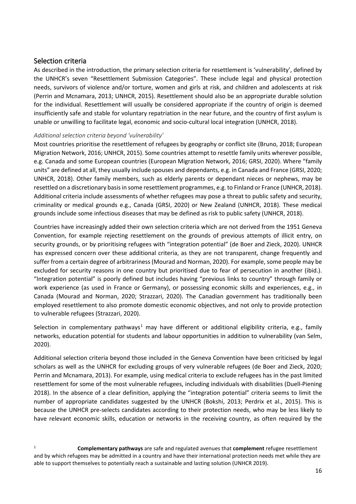# <span id="page-15-0"></span>Selection criteria

As described in the introduction, the primary selection criteria for resettlement is 'vulnerability', defined by the UNHCR's seven "Resettlement Submission Categories". These include legal and physical protection needs, survivors of violence and/or torture, women and girls at risk, and children and adolescents at risk (Perrin and Mcnamara, 2013; UNHCR, 2015). Resettlement should also be an appropriate durable solution for the individual. Resettlement will usually be considered appropriate if the country of origin is deemed insufficiently safe and stable for voluntary repatriation in the near future, and the country of first asylum is unable or unwilling to facilitate legal, economic and socio-cultural local integration (UNHCR, 2018).

## <span id="page-15-1"></span>*Additional selection criteria beyond 'vulnerability'*

Most countries prioritise the resettlement of refugees by geography or conflict site (Bruno, 2018; European Migration Network, 2016; UNHCR, 2015). Some countries attempt to resettle family units wherever possible, e.g. Canada and some European countries (European Migration Network, 2016; GRSI, 2020). Where "family units" are defined at all, they usually include spouses and dependants, e.g. in Canada and France (GRSI, 2020; UNHCR, 2018). Other family members, such as elderly parents or dependant nieces or nephews, may be resettled on a discretionary basis in some resettlement programmes, e.g. to Finland or France (UNHCR, 2018). Additional criteria include assessments of whether refugees may pose a threat to public safety and security, criminality or medical grounds e.g., Canada (GRSI, 2020) or New Zealand (UNHCR, 2018). These medical grounds include some infectious diseases that may be defined as risk to public safety (UNHCR, 2018).

Countries have increasingly added their own selection criteria which are not derived from the 1951 Geneva Convention, for example rejecting resettlement on the grounds of previous attempts of illicit entry, on security grounds, or by prioritising refugees with "integration potential" (de Boer and Zieck, 2020). UNHCR has expressed concern over these additional criteria, as they are not transparent, change frequently and suffer from a certain degree of arbitrariness (Mourad and Norman, 2020). For example, some people may be excluded for security reasons in one country but prioritised due to fear of persecution in another (ibid.). "Integration potential" is poorly defined but includes having "previous links to country" through family or work experience (as used in France or Germany), or possessing economic skills and experiences, e.g., in Canada (Mourad and Norman, 2020; Strazzari, 2020). The Canadian government has traditionally been employed resettlement to also promote domestic economic objectives, and not only to provide protection to vulnerable refugees (Strazzari, 2020).

Selection in complementary pathways<sup>[1](#page-15-2)</sup> may have different or additional eligibility criteria, e.g., family networks, education potential for students and labour opportunities in addition to vulnerability (van Selm, 2020).

Additional selection criteria beyond those included in the Geneva Convention have been criticised by legal scholars as well as the UNHCR for excluding groups of very vulnerable refugees (de Boer and Zieck, 2020; Perrin and Mcnamara, 2013). For example, using medical criteria to exclude refugees has in the past limited resettlement for some of the most vulnerable refugees, including individuals with disabilities (Duell-Piening 2018). In the absence of a clear definition, applying the "integration potential" criteria seems to limit the number of appropriate candidates suggested by the UNHCR (Bokshi, 2013; Perdrix et al., 2015). This is because the UNHCR pre-selects candidates according to their protection needs, who may be less likely to have relevant economic skills, education or networks in the receiving country, as often required by the

<span id="page-15-2"></span><sup>1</sup> **Complementary pathways** are safe and regulated avenues that **complement** refugee resettlement and by which refugees may be admitted in a country and have their international protection needs met while they are able to support themselves to potentially reach a sustainable and lasting solution (UNHCR 2019).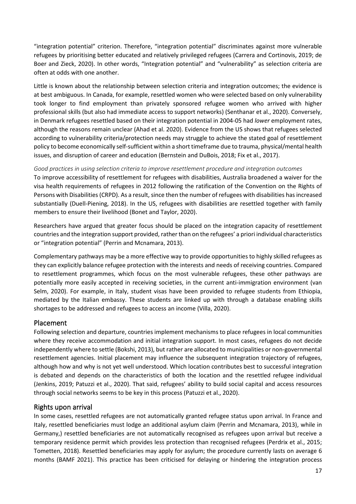"integration potential" criterion. Therefore, "integration potential" discriminates against more vulnerable refugees by prioritising better educated and relatively privileged refugees (Carrera and Cortinovis, 2019; de Boer and Zieck, 2020). In other words, "Integration potential" and "vulnerability" as selection criteria are often at odds with one another.

Little is known about the relationship between selection criteria and integration outcomes; the evidence is at best ambiguous. In Canada, for example, resettled women who were selected based on only vulnerability took longer to find employment than privately sponsored refugee women who arrived with higher professional skills (but also had immediate access to support networks) (Senthanar et al., 2020). Conversely, in Denmark refugees resettled based on their integration potential in 2004-05 had *lower* employment rates, although the reasons remain unclear (Ahad et al. 2020). Evidence from the US shows that refugees selected according to vulnerability criteria/protection needs may struggle to achieve the stated goal of resettlement policy to become economically self-sufficient within a short timeframe due to trauma, physical/mental health issues, and disruption of career and education (Bernstein and DuBois, 2018; Fix et al., 2017).

## <span id="page-16-0"></span>*Good practices in using selection criteria to improve resettlement procedure and integration outcomes*

To improve accessibility of resettlement for refugees with disabilities, Australia broadened a waiver for the visa health requirements of refugees in 2012 following the ratification of the Convention on the Rights of Persons with Disabilities (CRPD). As a result, since then the number of refugees with disabilities has increased substantially (Duell-Piening, 2018). In the US, refugees with disabilities are resettled together with family members to ensure their livelihood (Bonet and Taylor, 2020).

Researchers have argued that greater focus should be placed on the integration capacity of resettlement countries and the integration support provided, rather than on the refugees' a priori individual characteristics or "integration potential" (Perrin and Mcnamara, 2013).

Complementary pathways may be a more effective way to provide opportunities to highly skilled refugees as they can explicitly balance refugee protection with the interests and needs of receiving countries. Compared to resettlement programmes, which focus on the most vulnerable refugees, these other pathways are potentially more easily accepted in receiving societies, in the current anti-immigration environment (van Selm, 2020). For example, in Italy, student visas have been provided to refugee students from Ethiopia, mediated by the Italian embassy. These students are linked up with through a database enabling skills shortages to be addressed and refugees to access an income (Villa, 2020).

## <span id="page-16-1"></span>Placement

Following selection and departure, countries implement mechanisms to place refugees in local communities where they receive accommodation and initial integration support. In most cases, refugees do not decide independently where to settle (Bokshi, 2013), but rather are allocated to municipalities or non-governmental resettlement agencies. Initial placement may influence the subsequent integration trajectory of refugees, although how and why is not yet well understood. Which location contributes best to successful integration is debated and depends on the characteristics of both the location and the resettled refugee individual (Jenkins, 2019; Patuzzi et al., 2020). That said, refugees' ability to build social capital and access resources through social networks seems to be key in this process (Patuzzi et al., 2020).

# <span id="page-16-2"></span>Rights upon arrival

In some cases, resettled refugees are not automatically granted refugee status upon arrival. In France and Italy, resettled beneficiaries must lodge an additional asylum claim (Perrin and Mcnamara, 2013), while in Germany,) resettled beneficiaries are not automatically recognised as refugees upon arrival but receive a temporary residence permit which provides less protection than recognised refugees (Perdrix et al., 2015; Tometten, 2018). Resettled beneficiaries may apply for asylum; the procedure currently lasts on average 6 months (BAMF 2021). This practice has been criticised for delaying or hindering the integration process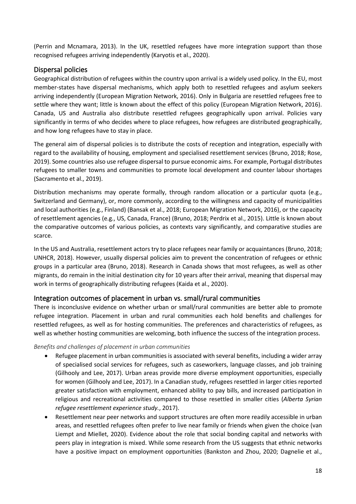(Perrin and Mcnamara, 2013). In the UK, resettled refugees have more integration support than those recognised refugees arriving independently (Karyotis et al., 2020).

# <span id="page-17-0"></span>Dispersal policies

Geographical distribution of refugees within the country upon arrival is a widely used policy. In the EU, most member-states have dispersal mechanisms, which apply both to resettled refugees and asylum seekers arriving independently (European Migration Network, 2016). Only in Bulgaria are resettled refugees free to settle where they want; little is known about the effect of this policy (European Migration Network, 2016). Canada, US and Australia also distribute resettled refugees geographically upon arrival. Policies vary significantly in terms of who decides where to place refugees, how refugees are distributed geographically, and how long refugees have to stay in place.

The general aim of dispersal policies is to distribute the costs of reception and integration, especially with regard to the availability of housing, employment and specialised resettlement services (Bruno, 2018; Rose, 2019). Some countries also use refugee dispersal to pursue economic aims. For example, Portugal distributes refugees to smaller towns and communities to promote local development and counter labour shortages (Sacramento et al., 2019).

Distribution mechanisms may operate formally, through random allocation or a particular quota (e.g., Switzerland and Germany), or, more commonly, according to the willingness and capacity of municipalities and local authorities (e.g., Finland) (Bansak et al., 2018; European Migration Network, 2016), or the capacity of resettlement agencies (e.g., US, Canada, France) (Bruno, 2018; Perdrix et al., 2015). Little is known about the comparative outcomes of various policies, as contexts vary significantly, and comparative studies are scarce.

In the US and Australia, resettlement actors try to place refugees near family or acquaintances (Bruno, 2018; UNHCR, 2018). However, usually dispersal policies aim to prevent the concentration of refugees or ethnic groups in a particular area (Bruno, 2018). Research in Canada shows that most refugees, as well as other migrants, do remain in the initial destination city for 10 years after their arrival, meaning that dispersal may work in terms of geographically distributing refugees (Kaida et al., 2020).

# <span id="page-17-1"></span>Integration outcomes of placement in urban vs. small/rural communities

There is inconclusive evidence on whether urban or small/rural communities are better able to promote refugee integration. Placement in urban and rural communities each hold benefits and challenges for resettled refugees, as well as for hosting communities. The preferences and characteristics of refugees, as well as whether hosting communities are welcoming, both influence the success of the integration process.

## <span id="page-17-2"></span>*Benefits and challenges of placement in urban communities*

- Refugee placement in urban communities is associated with several benefits, including a wider array of specialised social services for refugees, such as caseworkers, language classes, and job training (Gilhooly and Lee, 2017). Urban areas provide more diverse employment opportunities, especially for women (Gilhooly and Lee, 2017). In a Canadian study, refugees resettled in larger cities reported greater satisfaction with employment, enhanced ability to pay bills, and increased participation in religious and recreational activities compared to those resettled in smaller cities (*Alberta Syrian refugee resettlement experience study.*, 2017).
- Resettlement near peer networks and support structures are often more readily accessible in urban areas, and resettled refugees often prefer to live near family or friends when given the choice (van Liempt and Miellet, 2020). Evidence about the role that social bonding capital and networks with peers play in integration is mixed. While some research from the US suggests that ethnic networks have a positive impact on employment opportunities (Bankston and Zhou, 2020; Dagnelie et al.,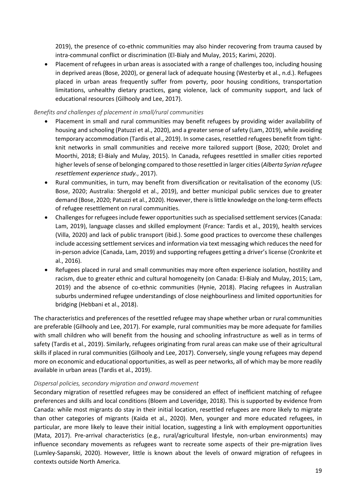2019), the presence of co-ethnic communities may also hinder recovering from trauma caused by intra-communal conflict or discrimination (El-Bialy and Mulay, 2015; Karimi, 2020).

• Placement of refugees in urban areas is associated with a range of challenges too, including housing in deprived areas (Bose, 2020), or general lack of adequate housing (Westerby et al., n.d.). Refugees placed in urban areas frequently suffer from poverty, poor housing conditions, transportation limitations, unhealthy dietary practices, gang violence, lack of community support, and lack of educational resources (Gilhooly and Lee, 2017).

## <span id="page-18-0"></span>*Benefits and challenges of placement in small/rural communities*

- Placement in small and rural communities may benefit refugees by providing wider availability of housing and schooling (Patuzzi et al., 2020), and a greater sense of safety (Lam, 2019), while avoiding temporary accommodation (Tardis et al., 2019). In some cases, resettled refugees benefit from tightknit networks in small communities and receive more tailored support (Bose, 2020; Drolet and Moorthi, 2018; El-Bialy and Mulay, 2015). In Canada, refugees resettled in smaller cities reported higher levels of sense of belonging compared to those resettled in larger cities (*Alberta Syrian refugee resettlement experience study.*, 2017).
- Rural communities, in turn, may benefit from diversification or revitalisation of the economy (US: Bose, 2020; Australia: Shergold et al., 2019), and better municipal public services due to greater demand (Bose, 2020; Patuzzi et al., 2020). However, there is little knowledge on the long-term effects of refugee resettlement on rural communities.
- Challenges for refugees include fewer opportunities such as specialised settlement services (Canada: Lam, 2019), language classes and skilled employment (France: Tardis et al., 2019), health services (Villa, 2020) and lack of public transport (ibid.). Some good practices to overcome these challenges include accessing settlement services and information via text messaging which reduces the need for in-person advice (Canada, Lam, 2019) and supporting refugees getting a driver's license (Cronkrite et al., 2016).
- Refugees placed in rural and small communities may more often experience isolation, hostility and racism, due to greater ethnic and cultural homogeneity (on Canada: El-Bialy and Mulay, 2015; Lam, 2019) and the absence of co-ethnic communities (Hynie, 2018). Placing refugees in Australian suburbs undermined refugee understandings of close neighbourliness and limited opportunities for bridging (Hebbani et al., 2018).

The characteristics and preferences of the resettled refugee may shape whether urban or rural communities are preferable (Gilhooly and Lee, 2017). For example, rural communities may be more adequate for families with small children who will benefit from the housing and schooling infrastructure as well as in terms of safety (Tardis et al., 2019). Similarly, refugees originating from rural areas can make use of their agricultural skills if placed in rural communities (Gilhooly and Lee, 2017). Conversely, single young refugees may depend more on economic and educational opportunities, as well as peer networks, all of which may be more readily available in urban areas (Tardis et al., 2019).

#### <span id="page-18-1"></span>*Dispersal policies, secondary migration and onward movement*

Secondary migration of resettled refugees may be considered an effect of inefficient matching of refugee preferences and skills and local conditions (Bloem and Loveridge, 2018). This is supported by evidence from Canada: while most migrants do stay in their initial location, resettled refugees are more likely to migrate than other categories of migrants (Kaida et al., 2020). Men, younger and more educated refugees, in particular, are more likely to leave their initial location, suggesting a link with employment opportunities (Mata, 2017). Pre-arrival characteristics (e.g., rural/agricultural lifestyle, non-urban environments) may influence secondary movements as refugees want to recreate some aspects of their pre-migration lives (Lumley-Sapanski, 2020). However, little is known about the levels of onward migration of refugees in contexts outside North America.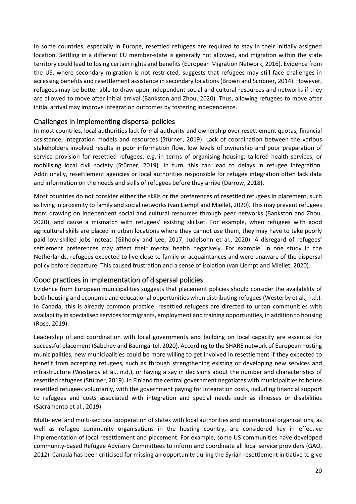In some countries, especially in Europe, resettled refugees are required to stay in their initially assigned location. Settling in a different EU member-state is generally not allowed, and migration within the state territory could lead to losing certain rights and benefits (European Migration Network, 2016). Evidence from the US, where secondary migration is not restricted, suggests that refugees may still face challenges in accessing benefits and resettlement assistance in secondary locations (Brown and Scribner, 2014). However, refugees may be better able to draw upon independent social and cultural resources and networks if they are allowed to move after initial arrival (Bankston and Zhou, 2020). Thus, allowing refugees to move after initial arrival may improve integration outcomes by fostering independence.

# <span id="page-19-0"></span>Challenges in implementing dispersal policies

In most countries, local authorities lack formal authority and ownership over resettlement quotas, financial assistance, integration models and resources (Stürner, 2019). Lack of coordination between the various stakeholders involved results in poor information flow, low levels of ownership and poor preparation of service provision for resettled refugees, e.g. in terms of organising housing, tailored health services, or mobilising local civil society (Stürner, 2019). In turn, this can lead to delays in refugee integration. Additionally, resettlement agencies or local authorities responsible for refugee integration often lack data and information on the needs and skills of refugees before they arrive (Darrow, 2018).

Most countries do not consider either the skills or the preferences of resettled refugees in placement, such as living in proximity to family and social networks (van Liempt and Miellet, 2020). This may prevent refugees from drawing on independent social and cultural resources through peer networks (Bankston and Zhou, 2020), and cause a mismatch with refugees' existing skillset. For example, when refugees with good agricultural skills are placed in urban locations where they cannot use them, they may have to take poorly paid low-skilled jobs instead (Gilhooly and Lee, 2017; Judelsohn et al., 2020). A disregard of refugees' settlement preferences may affect their mental health negatively. For example, in one study in the Netherlands, refugees expected to live close to family or acquaintances and were unaware of the dispersal policy before departure. This caused frustration and a sense of isolation (van Liempt and Miellet, 2020).

# <span id="page-19-1"></span>Good practices in implementation of dispersal policies

Evidence from European municipalities suggests that placement policies should consider the availability of both housing and economic and educational opportunities when distributing refugees (Westerby et al., n.d.). In Canada, this is already common practice: resettled refugees are directed to urban communities with availability in specialised services for migrants, employment and training opportunities, in addition to housing (Rose, 2019).

Leadership of and coordination with local governments and building on local capacity are essential for successful placement (Sabchev and Baumgärtel, 2020). According to the SHARE network of European hosting municipalities, new municipalities could be more willing to get involved in resettlement if they expected to benefit from accepting refugees, such as through strengthening existing or developing new services and infrastructure (Westerby et al., n.d.), or having a say in decisions about the number and characteristics of resettled refugees (Stürner, 2019). In Finland the central government negotiates with municipalities to house resettled refugees voluntarily, with the government paying for integration costs, including financial support to refugees and costs associated with integration and special needs such as illnesses or disabilities (Sacramento et al., 2019).

Multi-level and multi-sectoral cooperation of states with local authorities and international organisations, as well as refugee community organisations in the hosting country, are considered key in effective implementation of local resettlement and placement. For example, some US communities have developed community-based Refugee Advisory Committees to inform and coordinate all local service providers (GAO, 2012). Canada has been criticised for missing an opportunity during the Syrian resettlement initiative to give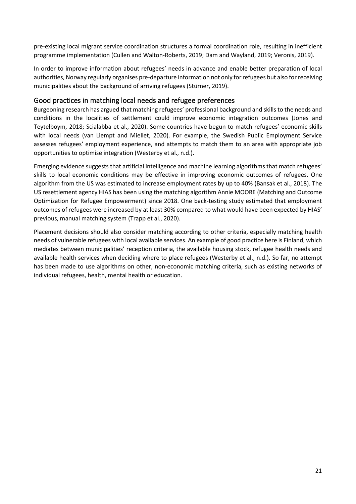pre-existing local migrant service coordination structures a formal coordination role, resulting in inefficient programme implementation (Cullen and Walton-Roberts, 2019; Dam and Wayland, 2019; Veronis, 2019).

In order to improve information about refugees' needs in advance and enable better preparation of local authorities, Norway regularly organises pre-departure information not only for refugees but also for receiving municipalities about the background of arriving refugees (Stürner, 2019).

# <span id="page-20-0"></span>Good practices in matching local needs and refugee preferences

Burgeoning research has argued that matching refugees' professional background and skills to the needs and conditions in the localities of settlement could improve economic integration outcomes (Jones and Teytelboym, 2018; Scialabba et al., 2020). Some countries have begun to match refugees' economic skills with local needs (van Liempt and Miellet, 2020). For example, the Swedish Public Employment Service assesses refugees' employment experience, and attempts to match them to an area with appropriate job opportunities to optimise integration (Westerby et al., n.d.).

Emerging evidence suggests that artificial intelligence and machine learning algorithms that match refugees' skills to local economic conditions may be effective in improving economic outcomes of refugees. One algorithm from the US was estimated to increase employment rates by up to 40% (Bansak et al., 2018). The US resettlement agency HIAS has been using the matching algorithm Annie MOORE (Matching and Outcome Optimization for Refugee Empowerment) since 2018. One back-testing study estimated that employment outcomes of refugees were increased by at least 30% compared to what would have been expected by HIAS' previous, manual matching system (Trapp et al., 2020).

Placement decisions should also consider matching according to other criteria, especially matching health needs of vulnerable refugees with local available services. An example of good practice here is Finland, which mediates between municipalities' reception criteria, the available housing stock, refugee health needs and available health services when deciding where to place refugees (Westerby et al., n.d.). So far, no attempt has been made to use algorithms on other, non-economic matching criteria, such as existing networks of individual refugees, health, mental health or education.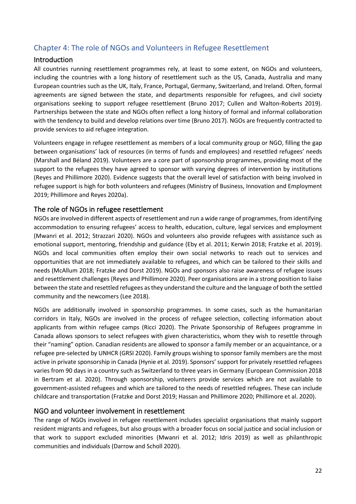# <span id="page-21-0"></span>Chapter 4: The role of NGOs and Volunteers in Refugee Resettlement

# <span id="page-21-1"></span>Introduction

All countries running resettlement programmes rely, at least to some extent, on NGOs and volunteers, including the countries with a long history of resettlement such as the US, Canada, Australia and many European countries such as the UK, Italy, France, Portugal, Germany, Switzerland, and Ireland. Often, formal agreements are signed between the state, and departments responsible for refugees, and civil society organisations seeking to support refugee resettlement (Bruno 2017; Cullen and Walton-Roberts 2019). Partnerships between the state and NGOs often reflect a long history of formal and informal collaboration with the tendency to build and develop relations over time (Bruno 2017). NGOs are frequently contracted to provide services to aid refugee integration.

Volunteers engage in refugee resettlement as members of a local community group or NGO, filling the gap between organisations' lack of resources (in terms of funds and employees) and resettled refugees' needs (Marshall and Béland 2019). Volunteers are a core part of sponsorship programmes, providing most of the support to the refugees they have agreed to sponsor with varying degrees of intervention by institutions (Reyes and Phillimore 2020). Evidence suggests that the overall level of satisfaction with being involved in refugee support is high for both volunteers and refugees (Ministry of Business, Innovation and Employment 2019; Phillimore and Reyes 2020a).

# <span id="page-21-2"></span>The role of NGOs in refugee resettlement

NGOs are involved in different aspects of resettlement and run a wide range of programmes, from identifying accommodation to ensuring refugees' access to health, education, culture, legal services and employment (Mwanri et al. 2012; Strazzari 2020). NGOs and volunteers also provide refugees with assistance such as emotional support, mentoring, friendship and guidance (Eby et al. 2011; Kerwin 2018; Fratzke et al. 2019). NGOs and local communities often employ their own social networks to reach out to services and opportunities that are not immediately available to refugees, and which can be tailored to their skills and needs (McAllum 2018; Fratzke and Dorst 2019). NGOs and sponsors also raise awareness of refugee issues and resettlement challenges (Reyes and Phillimore 2020). Peer organisations are in a strong position to liaise between the state and resettled refugees as they understand the culture and the language of both the settled community and the newcomers (Lee 2018).

NGOs are additionally involved in sponsorship programmes. In some cases, such as the humanitarian corridors in Italy, NGOs are involved in the process of refugee selection, collecting information about applicants from within refugee camps (Ricci 2020). The Private Sponsorship of Refugees programme in Canada allows sponsors to select refugees with given characteristics, whom they wish to resettle through their "naming" option. Canadian residents are allowed to sponsor a family member or an acquaintance, or a refugee pre-selected by UNHCR (GRSI 2020). Family groups wishing to sponsor family members are the most active in private sponsorship in Canada (Hynie et al. 2019). Sponsors' support for privately resettled refugees varies from 90 days in a country such as Switzerland to three years in Germany (European Commission 2018 in Bertram et al. 2020). Through sponsorship, volunteers provide services which are not available to government-assisted refugees and which are tailored to the needs of resettled refugees. These can include childcare and transportation (Fratzke and Dorst 2019; Hassan and Phillimore 2020; Phillimore et al. 2020).

# <span id="page-21-3"></span>NGO and volunteer involvement in resettlement

The range of NGOs involved in refugee resettlement includes specialist organisations that mainly support resident migrants and refugees, but also groups with a broader focus on social justice and social inclusion or that work to support excluded minorities (Mwanri et al. 2012; Idris 2019) as well as philanthropic communities and individuals (Darrow and Scholl 2020).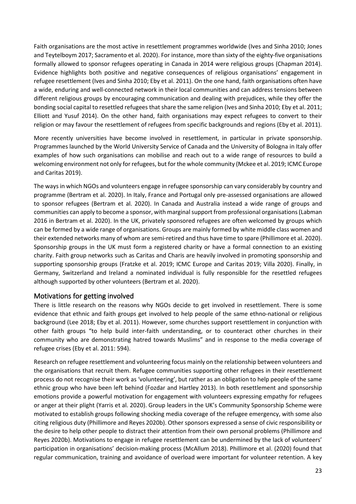Faith organisations are the most active in resettlement programmes worldwide (Ives and Sinha 2010; Jones and Teytelboym 2017; Sacramento et al. 2020). For instance, more than sixty of the eighty-five organisations formally allowed to sponsor refugees operating in Canada in 2014 were religious groups (Chapman 2014). Evidence highlights both positive and negative consequences of religious organisations' engagement in refugee resettlement (Ives and Sinha 2010; Eby et al. 2011). On the one hand, faith organisations often have a wide, enduring and well-connected network in their local communities and can address tensions between different religious groups by encouraging communication and dealing with prejudices, while they offer the bonding social capital to resettled refugees that share the same religion (Ives and Sinha 2010; Eby et al. 2011; Elliott and Yusuf 2014). On the other hand, faith organisations may expect refugees to convert to their religion or may favour the resettlement of refugees from specific backgrounds and regions (Eby et al. 2011).

More recently universities have become involved in resettlement, in particular in private sponsorship. Programmes launched by the World University Service of Canada and the University of Bologna in Italy offer examples of how such organisations can mobilise and reach out to a wide range of resources to build a welcoming environment not only for refugees, but for the whole community (Mckee et al. 2019; ICMC Europe and Caritas 2019).

The ways in which NGOs and volunteers engage in refugee sponsorship can vary considerably by country and programme (Bertram et al. 2020). In Italy, France and Portugal only pre-assessed organisations are allowed to sponsor refugees (Bertram et al. 2020). In Canada and Australia instead a wide range of groups and communities can apply to become a sponsor, with marginal support from professional organisations (Labman 2016 in Bertram et al. 2020). In the UK, privately sponsored refugees are often welcomed by groups which can be formed by a wide range of organisations. Groups are mainly formed by white middle class women and their extended networks many of whom are semi-retired and thus have time to spare (Phillimore et al. 2020). Sponsorship groups in the UK must form a registered charity or have a formal connection to an existing charity. Faith group networks such as Caritas and Charis are heavily involved in promoting sponsorship and supporting sponsorship groups (Fratzke et al. 2019; ICMC Europe and Caritas 2019; Villa 2020). Finally, in Germany, Switzerland and Ireland a nominated individual is fully responsible for the resettled refugees although supported by other volunteers (Bertram et al. 2020).

# <span id="page-22-0"></span>Motivations for getting involved

There is little research on the reasons why NGOs decide to get involved in resettlement. There is some evidence that ethnic and faith groups get involved to help people of the same ethno-national or religious background (Lee 2018; Eby et al. 2011). However, some churches support resettlement in conjunction with other faith groups "to help build inter-faith understanding, or to counteract other churches in their community who are demonstrating hatred towards Muslims" and in response to the media coverage of refugee crises (Eby et al. 2011: 594).

Research on refugee resettlement and volunteering focus mainly on the relationship between volunteers and the organisations that recruit them. Refugee communities supporting other refugees in their resettlement process do not recognise their work as 'volunteering', but rather as an obligation to help people of the same ethnic group who have been left behind (Fozdar and Hartley 2013). In both resettlement and sponsorship emotions provide a powerful motivation for engagement with volunteers expressing empathy for refugees or anger at their plight (Yarris et al. 2020). Group leaders in the UK's Community Sponsorship Scheme were motivated to establish groups following shocking media coverage of the refugee emergency, with some also citing religious duty (Phillimore and Reyes 2020b). Other sponsors expressed a sense of civic responsibility or the desire to help other people to distract their attention from their own personal problems (Phillimore and Reyes 2020b). Motivations to engage in refugee resettlement can be undermined by the lack of volunteers' participation in organisations' decision-making process (McAllum 2018). Phillimore et al. (2020) found that regular communication, training and avoidance of overload were important for volunteer retention. A key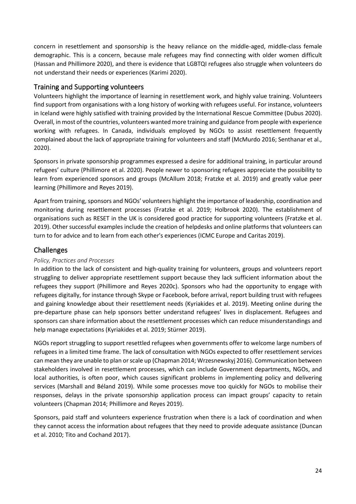concern in resettlement and sponsorship is the heavy reliance on the middle-aged, middle-class female demographic. This is a concern, because male refugees may find connecting with older women difficult (Hassan and Phillimore 2020), and there is evidence that LGBTQI refugees also struggle when volunteers do not understand their needs or experiences (Karimi 2020).

# <span id="page-23-0"></span>Training and Supporting volunteers

Volunteers highlight the importance of learning in resettlement work, and highly value training. Volunteers find support from organisations with a long history of working with refugees useful. For instance, volunteers in Iceland were highly satisfied with training provided by the International Rescue Committee (Dubus 2020). Overall, in most of the countries, volunteers wanted more training and guidance from people with experience working with refugees. In Canada, individuals employed by NGOs to assist resettlement frequently complained about the lack of appropriate training for volunteers and staff (McMurdo 2016; Senthanar et al., 2020).

Sponsors in private sponsorship programmes expressed a desire for additional training, in particular around refugees' culture (Phillimore et al. 2020). People newer to sponsoring refugees appreciate the possibility to learn from experienced sponsors and groups (McAllum 2018; Fratzke et al. 2019) and greatly value peer learning (Phillimore and Reyes 2019).

Apart from training, sponsors and NGOs' volunteers highlight the importance of leadership, coordination and monitoring during resettlement processes (Fratzke et al. 2019; Holbrook 2020). The establishment of organisations such as RESET in the UK is considered good practice for supporting volunteers (Fratzke et al. 2019). Other successful examples include the creation of helpdesks and online platforms that volunteers can turn to for advice and to learn from each other's experiences (ICMC Europe and Caritas 2019).

# <span id="page-23-1"></span>Challenges

## <span id="page-23-2"></span>*Policy, Practices and Processes*

In addition to the lack of consistent and high-quality training for volunteers, groups and volunteers report struggling to deliver appropriate resettlement support because they lack sufficient information about the refugees they support (Phillimore and Reyes 2020c). Sponsors who had the opportunity to engage with refugees digitally, for instance through Skype or Facebook, before arrival, report building trust with refugees and gaining knowledge about their resettlement needs (Kyriakides et al. 2019). Meeting online during the pre-departure phase can help sponsors better understand refugees' lives in displacement. Refugees and sponsors can share information about the resettlement processes which can reduce misunderstandings and help manage expectations (Kyriakides et al. 2019; Stürner 2019).

NGOs report struggling to support resettled refugees when governments offer to welcome large numbers of refugees in a limited time frame. The lack of consultation with NGOs expected to offer resettlement services can mean they are unable to plan or scale up (Chapman 2014; Wrzesnewskyj 2016). Communication between stakeholders involved in resettlement processes, which can include Government departments, NGOs, and local authorities, is often poor, which causes significant problems in implementing policy and delivering services (Marshall and Béland 2019). While some processes move too quickly for NGOs to mobilise their responses, delays in the private sponsorship application process can impact groups' capacity to retain volunteers (Chapman 2014; Phillimore and Reyes 2019).

Sponsors, paid staff and volunteers experience frustration when there is a lack of coordination and when they cannot access the information about refugees that they need to provide adequate assistance (Duncan et al. 2010; Tito and Cochand 2017).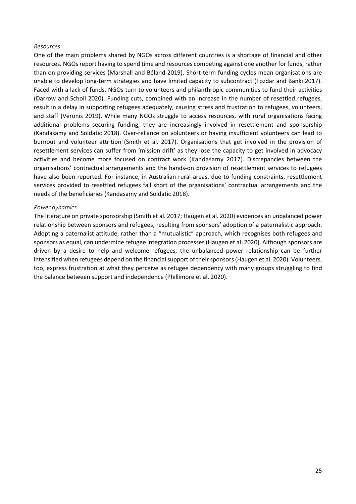#### <span id="page-24-0"></span>*Resources*

One of the main problems shared by NGOs across different countries is a shortage of financial and other resources. NGOs report having to spend time and resources competing against one another for funds, rather than on providing services (Marshall and Béland 2019). Short-term funding cycles mean organisations are unable to develop long-term strategies and have limited capacity to subcontract (Fozdar and Banki 2017). Faced with a lack of funds, NGOs turn to volunteers and philanthropic communities to fund their activities (Darrow and Scholl 2020). Funding cuts, combined with an increase in the number of resettled refugees, result in a delay in supporting refugees adequately, causing stress and frustration to refugees, volunteers, and staff (Veronis 2019). While many NGOs struggle to access resources, with rural organisations facing additional problems securing funding, they are increasingly involved in resettlement and sponsorship (Kandasamy and Soldatic 2018). Over-reliance on volunteers or having insufficient volunteers can lead to burnout and volunteer attrition (Smith et al. 2017). Organisations that get involved in the provision of resettlement services can suffer from 'mission drift' as they lose the capacity to get involved in advocacy activities and become more focused on contract work (Kandasamy 2017). Discrepancies between the organisations' contractual arrangements and the hands-on provision of resettlement services to refugees have also been reported. For instance, in Australian rural areas, due to funding constraints, resettlement services provided to resettled refugees fall short of the organisations' contractual arrangements and the needs of the beneficiaries (Kandasamy and Soldatic 2018).

#### <span id="page-24-1"></span>*Power dynamics*

The literature on private sponsorship (Smith et al. 2017; Haugen et al. 2020) evidences an unbalanced power relationship between sponsors and refugees, resulting from sponsors' adoption of a paternalistic approach. Adopting a paternalist attitude, rather than a "mutualistic" approach, which recognises both refugees and sponsors as equal, can undermine refugee integration processes (Haugen et al. 2020). Although sponsors are driven by a desire to help and welcome refugees, the unbalanced power relationship can be further intensified when refugees depend on the financial support of their sponsors(Haugen et al. 2020). Volunteers, too, express frustration at what they perceive as refugee dependency with many groups struggling to find the balance between support and independence (Phillimore et al. 2020).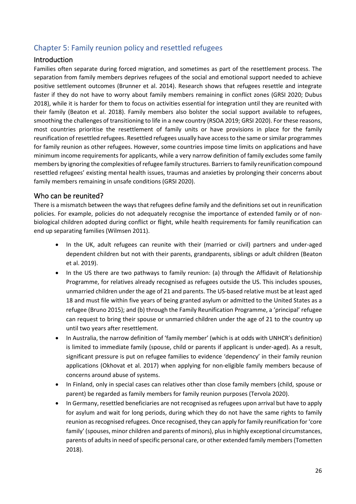# <span id="page-25-0"></span>Chapter 5: Family reunion policy and resettled refugees

# <span id="page-25-1"></span>Introduction

Families often separate during forced migration, and sometimes as part of the resettlement process. The separation from family members deprives refugees of the social and emotional support needed to achieve positive settlement outcomes (Brunner et al. 2014). Research shows that refugees resettle and integrate faster if they do not have to worry about family members remaining in conflict zones (GRSI 2020; Dubus 2018), while it is harder for them to focus on activities essential for integration until they are reunited with their family (Beaton et al. 2018). Family members also bolster the social support available to refugees, smoothing the challenges of transitioning to life in a new country (RSOA 2019; GRSI 2020). For these reasons, most countries prioritise the resettlement of family units or have provisions in place for the family reunification of resettled refugees. Resettled refugees usually have access to the same or similar programmes for family reunion as other refugees. However, some countries impose time limits on applications and have minimum income requirements for applicants, while a very narrow definition of family excludes some family members by ignoring the complexities of refugee family structures. Barriers to family reunification compound resettled refugees' existing mental health issues, traumas and anxieties by prolonging their concerns about family members remaining in unsafe conditions (GRSI 2020).

# <span id="page-25-2"></span>Who can be reunited?

There is a mismatch between the ways that refugees define family and the definitions set out in reunification policies. For example, policies do not adequately recognise the importance of extended family or of nonbiological children adopted during conflict or flight, while health requirements for family reunification can end up separating families (Wilmsen 2011).

- In the UK, adult refugees can reunite with their (married or civil) partners and under-aged dependent children but not with their parents, grandparents, siblings or adult children (Beaton et al. 2019).
- In the US there are two pathways to family reunion: (a) through the Affidavit of Relationship Programme, for relatives already recognised as refugees outside the US. This includes spouses, unmarried children under the age of 21 and parents. The US-based relative must be at least aged 18 and must file within five years of being granted asylum or admitted to the United States as a refugee (Bruno 2015); and (b) through the Family Reunification Programme, a 'principal' refugee can request to bring their spouse or unmarried children under the age of 21 to the country up until two years after resettlement.
- In Australia, the narrow definition of 'family member' (which is at odds with UNHCR's definition) is limited to immediate family (spouse, child or parents if applicant is under-aged). As a result, significant pressure is put on refugee families to evidence 'dependency' in their family reunion applications (Okhovat et al. 2017) when applying for non-eligible family members because of concerns around abuse of systems.
- In Finland, only in special cases can relatives other than close family members (child, spouse or parent) be regarded as family members for family reunion purposes (Tervola 2020).
- In Germany, resettled beneficiaries are not recognised as refugees upon arrival but have to apply for asylum and wait for long periods, during which they do not have the same rights to family reunion as recognised refugees. Once recognised, they can apply for family reunification for 'core family' (spouses, minor children and parents of minors), plus in highly exceptional circumstances, parents of adults in need of specific personal care, or other extended family members (Tometten 2018).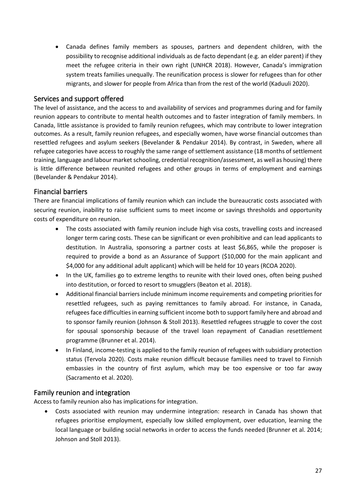• Canada defines family members as spouses, partners and dependent children, with the possibility to recognise additional individuals as de facto dependant (e.g. an elder parent) if they meet the refugee criteria in their own right (UNHCR 2018). However, Canada's immigration system treats families unequally. The reunification process is slower for refugees than for other migrants, and slower for people from Africa than from the rest of the world (Kaduuli 2020).

# <span id="page-26-0"></span>Services and support offered

The level of assistance, and the access to and availability of services and programmes during and for family reunion appears to contribute to mental health outcomes and to faster integration of family members. In Canada, little assistance is provided to family reunion refugees, which may contribute to lower integration outcomes. As a result, family reunion refugees, and especially women, have worse financial outcomes than resettled refugees and asylum seekers (Bevelander & Pendakur 2014). By contrast, in Sweden, where all refugee categories have access to roughly the same range of settlement assistance (18 months of settlement training, language and labour market schooling, credential recognition/assessment, as well as housing) there is little difference between reunited refugees and other groups in terms of employment and earnings (Bevelander & Pendakur 2014).

# <span id="page-26-1"></span>Financial barriers

There are financial implications of family reunion which can include the bureaucratic costs associated with securing reunion, inability to raise sufficient sums to meet income or savings thresholds and opportunity costs of expenditure on reunion.

- The costs associated with family reunion include high visa costs, travelling costs and increased longer term caring costs. These can be significant or even prohibitive and can lead applicants to destitution. In Australia, sponsoring a partner costs at least \$6,865, while the proposer is required to provide a bond as an Assurance of Support (\$10,000 for the main applicant and \$4,000 for any additional adult applicant) which will be held for 10 years (RCOA 2020).
- In the UK, families go to extreme lengths to reunite with their loved ones, often being pushed into destitution, or forced to resort to smugglers (Beaton et al. 2018).
- Additional financial barriers include minimum income requirements and competing priorities for resettled refugees, such as paying remittances to family abroad. For instance, in Canada, refugees face difficulties in earning sufficient income both to support family here and abroad and to sponsor family reunion (Johnson & Stoll 2013). Resettled refugees struggle to cover the cost for spousal sponsorship because of the travel loan repayment of Canadian resettlement programme (Brunner et al. 2014).
- In Finland, income-testing is applied to the family reunion of refugees with subsidiary protection status (Tervola 2020). Costs make reunion difficult because families need to travel to Finnish embassies in the country of first asylum, which may be too expensive or too far away (Sacramento et al. 2020).

# <span id="page-26-2"></span>Family reunion and integration

Access to family reunion also has implications for integration.

• Costs associated with reunion may undermine integration: research in Canada has shown that refugees prioritise employment, especially low skilled employment, over education, learning the local language or building social networks in order to access the funds needed (Brunner et al. 2014; Johnson and Stoll 2013).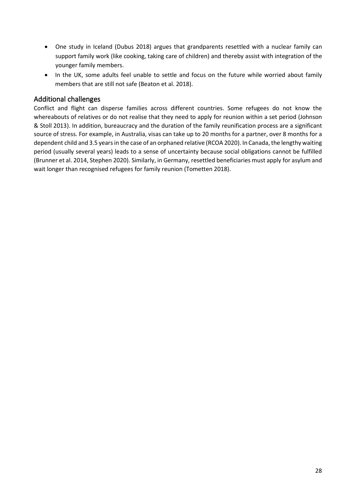- One study in Iceland (Dubus 2018) argues that grandparents resettled with a nuclear family can support family work (like cooking, taking care of children) and thereby assist with integration of the younger family members.
- In the UK, some adults feel unable to settle and focus on the future while worried about family members that are still not safe (Beaton et al. 2018).

# <span id="page-27-0"></span>Additional challenges

Conflict and flight can disperse families across different countries. Some refugees do not know the whereabouts of relatives or do not realise that they need to apply for reunion within a set period (Johnson & Stoll 2013). In addition, bureaucracy and the duration of the family reunification process are a significant source of stress. For example, in Australia, visas can take up to 20 months for a partner, over 8 months for a dependent child and 3.5 years in the case of an orphaned relative (RCOA 2020). In Canada, the lengthy waiting period (usually several years) leads to a sense of uncertainty because social obligations cannot be fulfilled (Brunner et al. 2014, Stephen 2020). Similarly, in Germany, resettled beneficiaries must apply for asylum and wait longer than recognised refugees for family reunion (Tometten 2018).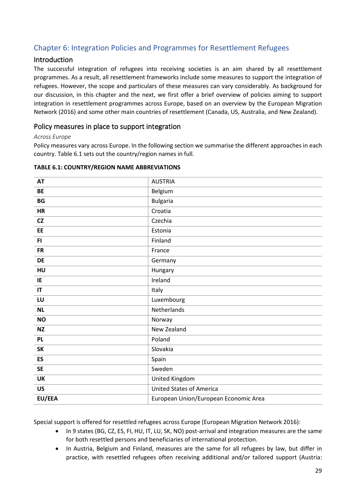# <span id="page-28-0"></span>Chapter 6: Integration Policies and Programmes for Resettlement Refugees

# <span id="page-28-1"></span>Introduction

The successful integration of refugees into receiving societies is an aim shared by all resettlement programmes. As a result, all resettlement frameworks include some measures to support the integration of refugees. However, the scope and particulars of these measures can vary considerably. As background for our discussion, in this chapter and the next, we first offer a brief overview of policies aiming to support integration in resettlement programmes across Europe, based on an overview by the European Migration Network (2016) and some other main countries of resettlement (Canada, US, Australia, and New Zealand).

# <span id="page-28-2"></span>Policy measures in place to support integration

## <span id="page-28-3"></span>*Across Europe*

Policy measures vary across Europe. In the following section we summarise the different approaches in each country. Table 6.1 sets out the country/region names in full.

| <b>AT</b> | <b>AUSTRIA</b>                        |
|-----------|---------------------------------------|
| <b>BE</b> | Belgium                               |
| <b>BG</b> | <b>Bulgaria</b>                       |
| <b>HR</b> | Croatia                               |
| CZ        | Czechia                               |
| EE        | Estonia                               |
| FI.       | Finland                               |
| <b>FR</b> | France                                |
| <b>DE</b> | Germany                               |
| HU        | Hungary                               |
| IE        | Ireland                               |
| IT        | Italy                                 |
| LU        | Luxembourg                            |
| <b>NL</b> | Netherlands                           |
| <b>NO</b> | Norway                                |
| <b>NZ</b> | New Zealand                           |
| <b>PL</b> | Poland                                |
| <b>SK</b> | Slovakia                              |
| ES        | Spain                                 |
| <b>SE</b> | Sweden                                |
| <b>UK</b> | United Kingdom                        |
| <b>US</b> | <b>United States of America</b>       |
| EU/EEA    | European Union/European Economic Area |

### **TABLE 6.1: COUNTRY/REGION NAME ABBREVIATIONS**

Special support is offered for resettled refugees across Europe (European Migration Network 2016):

- In 9 states (BG, CZ, ES, FI, HU, IT, LU, SK, NO) post-arrival and integration measures are the same for both resettled persons and beneficiaries of international protection.
- In Austria, Belgium and Finland, measures are the same for all refugees by law, but differ in practice, with resettled refugees often receiving additional and/or tailored support (Austria: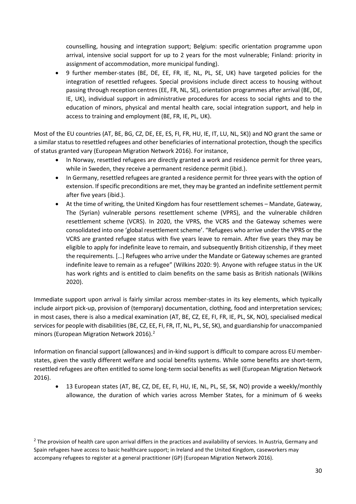counselling, housing and integration support; Belgium: specific orientation programme upon arrival, intensive social support for up to 2 years for the most vulnerable; Finland: priority in assignment of accommodation, more municipal funding).

• 9 further member-states (BE, DE, EE, FR, IE, NL, PL, SE, UK) have targeted policies for the integration of resettled refugees. Special provisions include direct access to housing without passing through reception centres (EE, FR, NL, SE), orientation programmes after arrival (BE, DE, IE, UK), individual support in administrative procedures for access to social rights and to the education of minors, physical and mental health care, social integration support, and help in access to training and employment (BE, FR, IE, PL, UK).

Most of the EU countries (AT, BE, BG, CZ, DE, EE, ES, FI, FR, HU, IE, IT, LU, NL, SK)) and NO grant the same or a similar status to resettled refugees and other beneficiaries of international protection, though the specifics of status granted vary (European Migration Network 2016). For instance,

- In Norway, resettled refugees are directly granted a work and residence permit for three years, while in Sweden, they receive a permanent residence permit (ibid.).
- In Germany, resettled refugees are granted a residence permit for three years with the option of extension. If specific preconditions are met, they may be granted an indefinite settlement permit after five years (ibid.).
- At the time of writing, the United Kingdom has four resettlement schemes Mandate, Gateway, The (Syrian) vulnerable persons resettlement scheme (VPRS), and the vulnerable children resettlement scheme (VCRS). In 2020, the VPRS, the VCRS and the Gateway schemes were consolidated into one 'global resettlement scheme'. "Refugees who arrive under the VPRS or the VCRS are granted refugee status with five years leave to remain. After five years they may be eligible to apply for indefinite leave to remain, and subsequently British citizenship, if they meet the requirements. […] Refugees who arrive under the Mandate or Gateway schemes are granted indefinite leave to remain as a refugee" (Wilkins 2020: 9). Anyone with refugee status in the UK has work rights and is entitled to claim benefits on the same basis as British nationals (Wilkins 2020).

Immediate support upon arrival is fairly similar across member-states in its key elements, which typically include airport pick-up, provision of (temporary) documentation, clothing, food and interpretation services; in most cases, there is also a medical examination (AT, BE, CZ, EE, FI, FR, IE, PL, SK, NO), specialised medical services for people with disabilities (BE, CZ, EE, FI, FR, IT, NL, PL, SE, SK), and guardianship for unaccompanied minors (European Migration Network 2016). [2](#page-29-0)

Information on financial support (allowances) and in-kind support is difficult to compare across EU memberstates, given the vastly different welfare and social benefits systems. While some benefits are short-term, resettled refugees are often entitled to some long-term social benefits as well (European Migration Network 2016).

• 13 European states (AT, BE, CZ, DE, EE, FI, HU, IE, NL, PL, SE, SK, NO) provide a weekly/monthly allowance, the duration of which varies across Member States, for a minimum of 6 weeks

<span id="page-29-0"></span><sup>&</sup>lt;sup>2</sup> The provision of health care upon arrival differs in the practices and availability of services. In Austria, Germany and Spain refugees have access to basic healthcare support; in Ireland and the United Kingdom, caseworkers may accompany refugees to register at a general practitioner (GP) (European Migration Network 2016).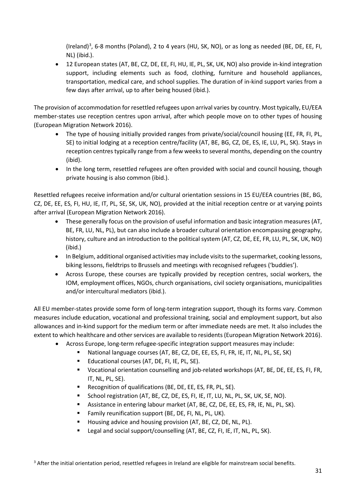(Ireland)<sup>[3](#page-30-0)</sup>, 6-8 months (Poland), 2 to 4 years (HU, SK, NO), or as long as needed (BE, DE, EE, FI, NL) (ibid.).

• 12 European states (AT, BE, CZ, DE, EE, FI, HU, IE, PL, SK, UK, NO) also provide in-kind integration support, including elements such as food, clothing, furniture and household appliances, transportation, medical care, and school supplies. The duration of in-kind support varies from a few days after arrival, up to after being housed (ibid.).

The provision of accommodation for resettled refugees upon arrival varies by country. Most typically, EU/EEA member-states use reception centres upon arrival, after which people move on to other types of housing (European Migration Network 2016).

- The type of housing initially provided ranges from private/social/council housing (EE, FR, FI, PL, SE) to initial lodging at a reception centre/facility (AT, BE, BG, CZ, DE, ES, IE, LU, PL, SK). Stays in reception centres typically range from a few weeks to several months, depending on the country (ibid).
- In the long term, resettled refugees are often provided with social and council housing, though private housing is also common (ibid.).

Resettled refugees receive information and/or cultural orientation sessions in 15 EU/EEA countries (BE, BG, CZ, DE, EE, ES, FI, HU, IE, IT, PL, SE, SK, UK, NO), provided at the initial reception centre or at varying points after arrival (European Migration Network 2016).

- These generally focus on the provision of useful information and basic integration measures (AT, BE, FR, LU, NL, PL), but can also include a broader cultural orientation encompassing geography, history, culture and an introduction to the political system (AT, CZ, DE, EE, FR, LU, PL, SK, UK, NO) (ibid.)
- In Belgium, additional organised activities may include visits to the supermarket, cooking lessons, biking lessons, fieldtrips to Brussels and meetings with recognised refugees ('buddies').
- Across Europe, these courses are typically provided by reception centres, social workers, the IOM, employment offices, NGOs, church organisations, civil society organisations, municipalities and/or intercultural mediators (ibid.).

All EU member-states provide some form of long-term integration support, though its forms vary. Common measures include education, vocational and professional training, social and employment support, but also allowances and in-kind support for the medium term or after immediate needs are met. It also includes the extent to which healthcare and other services are available to residents (European Migration Network 2016).

- Across Europe, long-term refugee-specific integration support measures may include:
	- National language courses (AT, BE, CZ, DE, EE, ES, FI, FR, IE, IT, NL, PL, SE, SK)
	- Educational courses (AT, DE, FI, IE, PL, SE).
	- Vocational orientation counselling and job-related workshops (AT, BE, DE, EE, ES, FI, FR, IT, NL, PL, SE).
	- Recognition of qualifications (BE, DE, EE, ES, FR, PL, SE).
	- School registration (AT, BE, CZ, DE, ES, FI, IE, IT, LU, NL, PL, SK, UK, SE, NO).
	- Assistance in entering labour market (AT, BE, CZ, DE, EE, ES, FR, IE, NL, PL, SK).
	- Family reunification support (BE, DE, FI, NL, PL, UK).
	- Housing advice and housing provision (AT, BE, CZ, DE, NL, PL).
	- Legal and social support/counselling (AT, BE, CZ, FI, IE, IT, NL, PL, SK).

<span id="page-30-0"></span><sup>3</sup> After the initial orientation period, resettled refugees in Ireland are eligible for mainstream social benefits.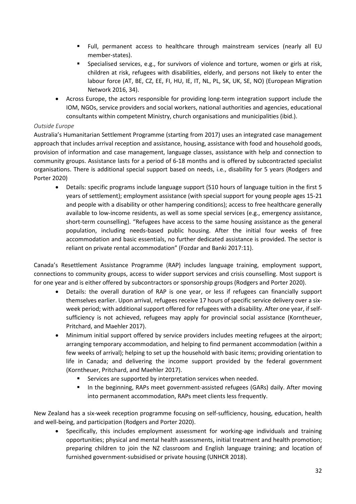- Full, permanent access to healthcare through mainstream services (nearly all EU member-states).
- Specialised services, e.g., for survivors of violence and torture, women or girls at risk, children at risk, refugees with disabilities, elderly, and persons not likely to enter the labour force (AT, BE, CZ, EE, FI, HU, IE, IT, NL, PL, SK, UK, SE, NO) (European Migration Network 2016, 34).
- Across Europe, the actors responsible for providing long-term integration support include the IOM, NGOs, service providers and social workers, national authorities and agencies, educational consultants within competent Ministry, church organisations and municipalities (ibid.).

# <span id="page-31-0"></span>*Outside Europe*

Australia's Humanitarian Settlement Programme (starting from 2017) uses an integrated case management approach that includes arrival reception and assistance, housing, assistance with food and household goods, provision of information and case management, language classes, assistance with help and connection to community groups. Assistance lasts for a period of 6-18 months and is offered by subcontracted specialist organisations. There is additional special support based on needs, i.e., disability for 5 years (Rodgers and Porter 2020)

• Details: specific programs include language support (510 hours of language tuition in the first 5 years of settlement); employment assistance (with special support for young people ages 15-21 and people with a disability or other hampering conditions); access to free healthcare generally available to low-income residents, as well as some special services (e.g., emergency assistance, short-term counselling). "Refugees have access to the same housing assistance as the general population, including needs-based public housing. After the initial four weeks of free accommodation and basic essentials, no further dedicated assistance is provided. The sector is reliant on private rental accommodation" (Fozdar and Banki 2017:11).

Canada's Resettlement Assistance Programme (RAP) includes language training, employment support, connections to community groups, access to wider support services and crisis counselling. Most support is for one year and is either offered by subcontractors or sponsorship groups (Rodgers and Porter 2020).

- Details: the overall duration of RAP is one year, or less if refugees can financially support themselves earlier. Upon arrival, refugees receive 17 hours of specific service delivery over a sixweek period; with additional support offered for refugees with a disability. After one year, if selfsufficiency is not achieved, refugees may apply for provincial social assistance (Korntheuer, Pritchard, and Maehler 2017).
- Minimum initial support offered by service providers includes meeting refugees at the airport; arranging temporary accommodation, and helping to find permanent accommodation (within a few weeks of arrival); helping to set up the household with basic items; providing orientation to life in Canada; and delivering the income support provided by the federal government (Korntheuer, Pritchard, and Maehler 2017).
	- Services are supported by interpretation services when needed.
	- **IF** In the beginning, RAPs meet government-assisted refugees (GARs) daily. After moving into permanent accommodation, RAPs meet clients less frequently.

New Zealand has a six-week reception programme focusing on self-sufficiency, housing, education, health and well-being, and participation (Rodgers and Porter 2020).

• Specifically, this includes employment assessment for working-age individuals and training opportunities; physical and mental health assessments, initial treatment and health promotion; preparing children to join the NZ classroom and English language training; and location of furnished government-subsidised or private housing (UNHCR 2018).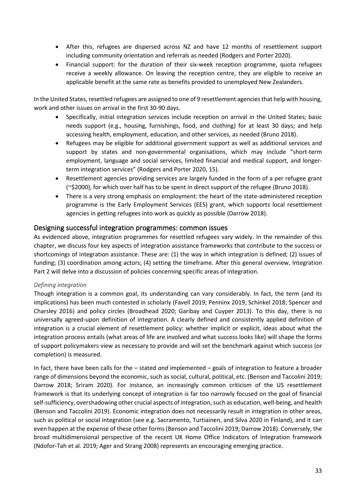- After this, refugees are dispersed across NZ and have 12 months of resettlement support including community orientation and referrals as needed (Rodgers and Porter 2020).
- Financial support: for the duration of their six-week reception programme, quota refugees receive a weekly allowance. On leaving the reception centre, they are eligible to receive an applicable benefit at the same rate as benefits provided to unemployed New Zealanders.

In the United States, resettled refugees are assigned to one of 9 resettlement agencies that help with housing, work and other issues on arrival in the first 30-90 days.

- Specifically, initial integration services include reception on arrival in the United States; basic needs support (e.g., housing, furnishings, food, and clothing) for at least 30 days; and help accessing health, employment, education, and other services, as needed (Bruno 2018).
- Refugees may be eligible for additional government support as well as additional services and support by states and non-governmental organisations, which may include "short-term employment, language and social services, limited financial and medical support, and longerterm integration services" (Rodgers and Porter 2020, 15).
- Resettlement agencies providing services are largely funded in the form of a per refugee grant (~\$2000), for which over half has to be spent in direct support of the refugee (Bruno 2018).
- There is a very strong emphasis on employment: the heart of the state-administered reception programme is the Early Employment Services (EES) grant, which supports local resettlement agencies in getting refugees into work as quickly as possible (Darrow 2018).

# <span id="page-32-0"></span>Designing successful integration programmes: common issues

As evidenced above, integration programmes for resettled refugees vary widely. In the remainder of this chapter, we discuss four key aspects of integration assistance frameworks that contribute to the success or shortcomings of integration assistance. These are: (1) the way in which integration is defined; (2) issues of funding; (3) coordination among actors; (4) setting the timeframe. After this general overview, Integration Part 2 will delve into a discussion of policies concerning specific areas of integration.

## <span id="page-32-1"></span>*Defining integration*

Though integration is a common goal, its understanding can vary considerably. In fact, the term (and its implications) has been much contested in scholarly (Favell 2019; Penninx 2019; Schinkel 2018; Spencer and Charsley 2016) and policy circles (Broadhead 2020; Garibay and Cuyper 2013). To this day, there is no universally agreed-upon definition of integration. A clearly defined and consistently applied definition of integration is a crucial element of resettlement policy: whether implicit or explicit, ideas about what the integration process entails (what areas of life are involved and what success looks like) will shape the forms of support policymakers view as necessary to provide and will set the benchmark against which success (or completion) is measured.

In fact, there have been calls for the – stated *and* implemented – goals of integration to feature a broader range of dimensions beyond the economic, such as social, cultural, political, etc. (Benson and Taccolini 2019; Darrow 2018; Sriram 2020). For instance, an increasingly common criticism of the US resettlement framework is that its underlying concept of integration is far too narrowly focused on the goal of financial self-sufficiency, overshadowing other crucial aspects of integration, such as education, well-being, and health (Benson and Taccolini 2019). Economic integration does not necessarily result in integration in other areas, such as political or social integration (see e.g. Sacramento, Turtiainen, and Silva 2020 in Finland), and it can even happen at the expense of these other forms (Benson and Taccolini 2019; Darrow 2018). Conversely, the broad multidimensional perspective of the recent UK Home Office Indicators of Integration framework (Ndofor-Tah et al. 2019; Ager and Strang 2008) represents an encouraging emerging practice.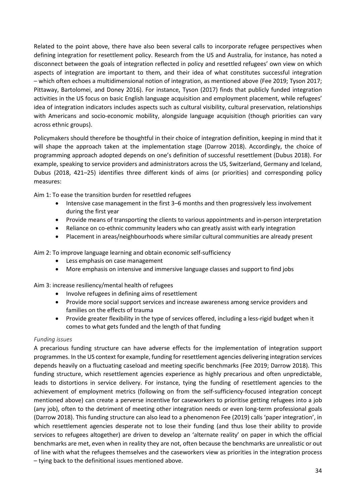Related to the point above, there have also been several calls to incorporate refugee perspectives when defining integration for resettlement policy. Research from the US and Australia, for instance, has noted a disconnect between the goals of integration reflected in policy and resettled refugees' own view on which aspects of integration are important to them, and their idea of what constitutes successful integration – which often echoes a multidimensional notion of integration, as mentioned above (Fee 2019; Tyson 2017; Pittaway, Bartolomei, and Doney 2016). For instance, Tyson (2017) finds that publicly funded integration activities in the US focus on basic English language acquisition and employment placement, while refugees' idea of integration indicators includes aspects such as cultural visibility, cultural preservation, relationships with Americans and socio-economic mobility, alongside language acquisition (though priorities can vary across ethnic groups).

Policymakers should therefore be thoughtful in their choice of integration definition, keeping in mind that it will shape the approach taken at the implementation stage (Darrow 2018). Accordingly, the choice of programming approach adopted depends on one's definition of successful resettlement (Dubus 2018). For example, speaking to service providers and administrators across the US, Switzerland, Germany and Iceland, Dubus (2018, 421–25) identifies three different kinds of aims (or priorities) and corresponding policy measures:

Aim 1: To ease the transition burden for resettled refugees

- Intensive case management in the first 3–6 months and then progressively less involvement during the first year
- Provide means of transporting the clients to various appointments and in-person interpretation
- Reliance on co-ethnic community leaders who can greatly assist with early integration
- Placement in areas/neighbourhoods where similar cultural communities are already present

Aim 2: To improve language learning and obtain economic self-sufficiency

- Less emphasis on case management
- More emphasis on intensive and immersive language classes and support to find jobs

Aim 3: increase resiliency/mental health of refugees

- Involve refugees in defining aims of resettlement
- Provide more social support services and increase awareness among service providers and families on the effects of trauma
- Provide greater flexibility in the type of services offered, including a less-rigid budget when it comes to what gets funded and the length of that funding

#### <span id="page-33-0"></span>*Funding issues*

A precarious funding structure can have adverse effects for the implementation of integration support programmes. In the US context for example, funding for resettlement agencies delivering integration services depends heavily on a fluctuating caseload and meeting specific benchmarks (Fee 2019; Darrow 2018). This funding structure, which resettlement agencies experience as highly precarious and often unpredictable, leads to distortions in service delivery. For instance, tying the funding of resettlement agencies to the achievement of employment metrics (following on from the self-sufficiency-focused integration concept mentioned above) can create a perverse incentive for caseworkers to prioritise getting refugees into a job (any job), often to the detriment of meeting other integration needs or even long-term professional goals (Darrow 2018). This funding structure can also lead to a phenomenon Fee (2019) calls 'paper integration', in which resettlement agencies desperate not to lose their funding (and thus lose their ability to provide services to refugees altogether) are driven to develop an 'alternate reality' on paper in which the official benchmarks are met, even when in reality they are not, often because the benchmarks are unrealistic or out of line with what the refugees themselves and the caseworkers view as priorities in the integration process – tying back to the definitional issues mentioned above.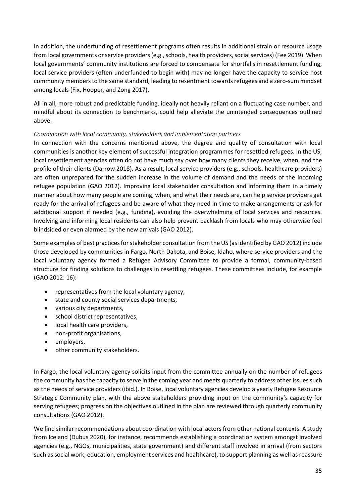In addition, the underfunding of resettlement programs often results in additional strain or resource usage from local governments or service providers (e.g., schools, health providers, social services) (Fee 2019). When local governments' community institutions are forced to compensate for shortfalls in resettlement funding, local service providers (often underfunded to begin with) may no longer have the capacity to service host community members to the same standard, leading to resentment towards refugees and a zero-sum mindset among locals (Fix, Hooper, and Zong 2017).

All in all, more robust and predictable funding, ideally not heavily reliant on a fluctuating case number, and mindful about its connection to benchmarks, could help alleviate the unintended consequences outlined above.

# <span id="page-34-0"></span>*Coordination with local community, stakeholders and implementation partners*

In connection with the concerns mentioned above, the degree and quality of consultation with local communities is another key element of successful integration programmes for resettled refugees. In the US, local resettlement agencies often do not have much say over how many clients they receive, when, and the profile of their clients (Darrow 2018). As a result, local service providers (e.g., schools, healthcare providers) are often unprepared for the sudden increase in the volume of demand and the needs of the incoming refugee population (GAO 2012). Improving local stakeholder consultation and informing them in a timely manner about how many people are coming, when, and what their needs are, can help service providers get ready for the arrival of refugees and be aware of what they need in time to make arrangements or ask for additional support if needed (e.g., funding), avoiding the overwhelming of local services and resources. Involving and informing local residents can also help prevent backlash from locals who may otherwise feel blindsided or even alarmed by the new arrivals (GAO 2012).

Some examples of best practices for stakeholder consultation from the US (as identified by GAO 2012) include those developed by communities in Fargo, North Dakota, and Boise, Idaho, where service providers and the local voluntary agency formed a Refugee Advisory Committee to provide a formal, community-based structure for finding solutions to challenges in resettling refugees. These committees include, for example (GAO 2012: 16):

- representatives from the local voluntary agency,
- state and county social services departments,
- various city departments,
- school district representatives,
- local health care providers,
- non-profit organisations,
- employers,
- other community stakeholders.

In Fargo, the local voluntary agency solicits input from the committee annually on the number of refugees the community has the capacity to serve in the coming year and meets quarterly to address other issues such as the needs of service providers(ibid.). In Boise, local voluntary agencies develop a yearly Refugee Resource Strategic Community plan, with the above stakeholders providing input on the community's capacity for serving refugees; progress on the objectives outlined in the plan are reviewed through quarterly community consultations (GAO 2012).

We find similar recommendations about coordination with local actors from other national contexts. A study from Iceland (Dubus 2020), for instance, recommends establishing a coordination system amongst involved agencies (e.g., NGOs, municipalities, state government) and different staff involved in arrival (from sectors such as social work, education, employment services and healthcare), to support planning as well as reassure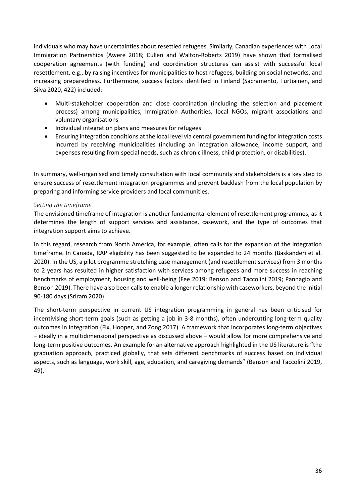individuals who may have uncertainties about resettled refugees. Similarly, Canadian experiences with Local Immigration Partnerships (Awere 2018; Cullen and Walton-Roberts 2019) have shown that formalised cooperation agreements (with funding) and coordination structures can assist with successful local resettlement, e.g., by raising incentives for municipalities to host refugees, building on social networks, and increasing preparedness. Furthermore, success factors identified in Finland (Sacramento, Turtiainen, and Silva 2020, 422) included:

- Multi-stakeholder cooperation and close coordination (including the selection and placement process) among municipalities, Immigration Authorities, local NGOs, migrant associations and voluntary organisations
- Individual integration plans and measures for refugees
- Ensuring integration conditions at the local level via central government funding for integration costs incurred by receiving municipalities (including an integration allowance, income support, and expenses resulting from special needs, such as chronic illness, child protection, or disabilities).

In summary, well-organised and timely consultation with local community and stakeholders is a key step to ensure success of resettlement integration programmes and prevent backlash from the local population by preparing and informing service providers and local communities.

## <span id="page-35-0"></span>*Setting the timeframe*

The envisioned timeframe of integration is another fundamental element of resettlement programmes, as it determines the length of support services and assistance, casework, and the type of outcomes that integration support aims to achieve.

In this regard, research from North America, for example, often calls for the expansion of the integration timeframe. In Canada, RAP eligibility has been suggested to be expanded to 24 months (Baskanderi et al. 2020). In the US, a pilot programme stretching case management (and resettlement services) from 3 months to 2 years has resulted in higher satisfaction with services among refugees and more success in reaching benchmarks of employment, housing and well-being (Fee 2019; Benson and Taccolini 2019; Pannagio and Benson 2019). There have also been calls to enable a longer relationship with caseworkers, beyond the initial 90-180 days (Sriram 2020).

The short-term perspective in current US integration programming in general has been criticised for incentivising short-term goals (such as getting a job in 3-8 months), often undercutting long-term quality outcomes in integration (Fix, Hooper, and Zong 2017). A framework that incorporates long-term objectives – ideally in a multidimensional perspective as discussed above – would allow for more comprehensive and long-term positive outcomes. An example for an alternative approach highlighted in the US literature is "the graduation approach, practiced globally, that sets different benchmarks of success based on individual aspects, such as language, work skill, age, education, and caregiving demands" (Benson and Taccolini 2019, 49).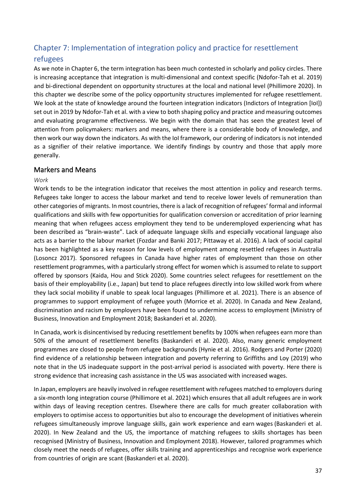# Chapter 7: Implementation of integration policy and practice for resettlement

# refugees

As we note in Chapter 6, the term integration has been much contested in scholarly and policy circles. There is increasing acceptance that integration is multi-dimensional and context specific (Ndofor-Tah et al. 2019) and bi-directional dependent on opportunity structures at the local and national level (Phillimore 2020). In this chapter we describe some of the policy opportunity structures implemented for refugee resettlement. We look at the state of knowledge around the fourteen integration indicators (Indictors of Integration [IoI]) set out in 2019 by Ndofor-Tah et al. with a view to both shaping policy and practice and measuring outcomes and evaluating programme effectiveness. We begin with the domain that has seen the greatest level of attention from policymakers: markers and means, where there is a considerable body of knowledge, and then work our way down the indicators. As with the IoI framework, our ordering of indicators is not intended as a signifier of their relative importance. We identify findings by country and those that apply more generally.

### Markers and Means

### *Work*

Work tends to be the integration indicator that receives the most attention in policy and research terms. Refugees take longer to access the labour market and tend to receive lower levels of remuneration than other categories of migrants. In most countries, there is a lack of recognition of refugees' formal and informal qualifications and skills with few opportunities for qualification conversion or accreditation of prior learning meaning that when refugees access employment they tend to be underemployed experiencing what has been described as "brain-waste". Lack of adequate language skills and especially vocational language also acts as a barrier to the labour market (Fozdar and Banki 2017; Pittaway et al. 2016). A lack of social capital has been highlighted as a key reason for low levels of employment among resettled refugees in Australia (Losoncz 2017). Sponsored refugees in Canada have higher rates of employment than those on other resettlement programmes, with a particularly strong effect for women which is assumed to relate to support offered by sponsors (Kaida, Hou and Stick 2020). Some countries select refugees for resettlement on the basis of their employability (i.e., Japan) but tend to place refugees directly into low skilled work from where they lack social mobility if unable to speak local languages (Phillimore et al. 2021). There is an absence of programmes to support employment of refugee youth (Morrice et al. 2020). In Canada and New Zealand, discrimination and racism by employers have been found to undermine access to employment (Ministry of Business, Innovation and Employment 2018; Baskanderi et al. 2020).

In Canada, work is disincentivised by reducing resettlement benefits by 100% when refugees earn more than 50% of the amount of resettlement benefits (Baskanderi et al. 2020). Also, many generic employment programmes are closed to people from refugee backgrounds (Hynie et al. 2016). Rodgers and Porter (2020) find evidence of a relationship between integration and poverty referring to Griffiths and Loy (2019) who note that in the US inadequate support in the post-arrival period is associated with poverty. Here there is strong evidence that increasing cash assistance in the US was associated with increased wages.

In Japan, employers are heavily involved in refugee resettlement with refugees matched to employers during a six-month long integration course (Phillimore et al. 2021) which ensures that all adult refugees are in work within days of leaving reception centres. Elsewhere there are calls for much greater collaboration with employers to optimise access to opportunities but also to encourage the development of initiatives wherein refugees simultaneously improve language skills, gain work experience and earn wages (Baskanderi et al. 2020). In New Zealand and the US, the importance of matching refugees to skills shortages has been recognised (Ministry of Business, Innovation and Employment 2018). However, tailored programmes which closely meet the needs of refugees, offer skills training and apprenticeships and recognise work experience from countries of origin are scant (Baskanderi et al. 2020).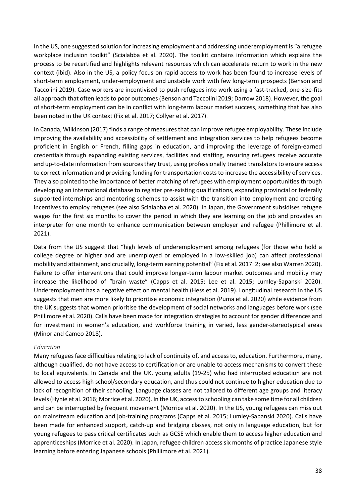In the US, one suggested solution for increasing employment and addressing underemployment is "a refugee workplace inclusion toolkit" (Scialabba et al. 2020). The toolkit contains information which explains the process to be recertified and highlights relevant resources which can accelerate return to work in the new context (ibid). Also in the US, a policy focus on rapid access to work has been found to increase levels of short-term employment, under-employment and unstable work with few long-term prospects (Benson and Taccolini 2019). Case workers are incentivised to push refugees into work using a fast-tracked, one-size-fits all approach that often leads to poor outcomes (Benson and Taccolini 2019; Darrow 2018). However, the goal of short-term employment can be in conflict with long-term labour market success, something that has also been noted in the UK context (Fix et al. 2017; Collyer et al. 2017).

In Canada, Wilkinson (2017) finds a range of measures that can improve refugee employability. These include improving the availability and accessibility of settlement and integration services to help refugees become proficient in English or French, filling gaps in education, and improving the leverage of foreign-earned credentials through expanding existing services, facilities and staffing, ensuring refugees receive accurate and up-to-date information from sources they trust, using professionally trained translators to ensure access to correct information and providing funding for transportation costs to increase the accessibility of services. They also pointed to the importance of better matching of refugees with employment opportunities through developing an international database to register pre-existing qualifications, expanding provincial or federally supported internships and mentoring schemes to assist with the transition into employment and creating incentives to employ refugees (see also Scialabba et al. 2020). In Japan, the Government subsidises refugee wages for the first six months to cover the period in which they are learning on the job and provides an interpreter for one month to enhance communication between employer and refugee (Phillimore et al. 2021).

Data from the US suggest that "high levels of underemployment among refugees (for those who hold a college degree or higher and are unemployed or employed in a low-skilled job) can affect professional mobility and attainment, and crucially, long-term earning potential" (Fix et al. 2017: 2; see also Warren 2020). Failure to offer interventions that could improve longer-term labour market outcomes and mobility may increase the likelihood of "brain waste" (Capps et al. 2015; Lee et al. 2015; Lumley-Sapanski 2020). Underemployment has a negative effect on mental health (Hess et al. 2019). Longitudinal research in the US suggests that men are more likely to prioritise economic integration (Puma et al. 2020) while evidence from the UK suggests that women prioritise the development of social networks and languages before work (see Phillimore et al. 2020). Calls have been made for integration strategies to account for gender differences and for investment in women's education, and workforce training in varied, less gender-stereotypical areas (Minor and Cameo 2018).

#### *Education*

Many refugees face difficulties relating to lack of continuity of, and access to, education. Furthermore, many, although qualified, do not have access to certification or are unable to access mechanisms to convert these to local equivalents. In Canada and the UK, young adults (19-25) who had interrupted education are not allowed to access high school/secondary education, and thus could not continue to higher education due to lack of recognition of their schooling. Language classes are not tailored to different age groups and literacy levels (Hynie et al. 2016; Morrice et al. 2020). In the UK, access to schooling can take some time for all children and can be interrupted by frequent movement (Morrice et al. 2020). In the US, young refugees can miss out on mainstream education and job-training programs (Capps et al. 2015; Lumley-Sapanski 2020). Calls have been made for enhanced support, catch-up and bridging classes, not only in language education, but for young refugees to pass critical certificates such as GCSE which enable them to access higher education and apprenticeships (Morrice et al. 2020). In Japan, refugee children access six months of practice Japanese style learning before entering Japanese schools (Phillimore et al. 2021).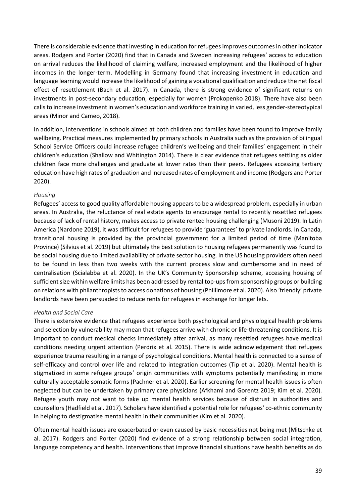There is considerable evidence that investing in education for refugees improves outcomes in other indicator areas. Rodgers and Porter (2020) find that in Canada and Sweden increasing refugees' access to education on arrival reduces the likelihood of claiming welfare, increased employment and the likelihood of higher incomes in the longer-term. Modelling in Germany found that increasing investment in education and language learning would increase the likelihood of gaining a vocational qualification and reduce the net fiscal effect of resettlement (Bach et al. 2017). In Canada, there is strong evidence of significant returns on investments in post-secondary education, especially for women (Prokopenko 2018). There have also been calls to increase investment in women's education and workforce training in varied, less gender-stereotypical areas (Minor and Cameo, 2018).

In addition, interventions in schools aimed at both children and families have been found to improve family wellbeing. Practical measures implemented by primary schools in Australia such as the provision of bilingual School Service Officers could increase refugee children's wellbeing and their families' engagement in their children's education (Shallow and Whitington 2014). There is clear evidence that refugees settling as older children face more challenges and graduate at lower rates than their peers. Refugees accessing tertiary education have high rates of graduation and increased rates of employment and income (Rodgers and Porter 2020).

#### *Housing*

Refugees' access to good quality affordable housing appears to be a widespread problem, especially in urban areas. In Australia, the reluctance of real estate agents to encourage rental to recently resettled refugees because of lack of rental history, makes access to private rented housing challenging (Musoni 2019). In Latin America (Nardone 2019), it was difficult for refugees to provide 'guarantees' to private landlords. In Canada, transitional housing is provided by the provincial government for a limited period of time (Manitoba Province) (Silvius et al. 2019) but ultimately the best solution to housing refugees permanently was found to be social housing due to limited availability of private sector housing. In the US housing providers often need to be found in less than two weeks with the current process slow and cumbersome and in need of centralisation (Scialabba et al. 2020). In the UK's Community Sponsorship scheme, accessing housing of sufficient size within welfare limits has been addressed by rental top-ups from sponsorship groups or building on relations with philanthropists to access donations of housing (Phillimore et al. 2020). Also 'friendly' private landlords have been persuaded to reduce rents for refugees in exchange for longer lets.

#### *Health and Social Care*

There is extensive evidence that refugees experience both psychological and physiological health problems and selection by vulnerability may mean that refugees arrive with chronic or life-threatening conditions. It is important to conduct medical checks immediately after arrival, as many resettled refugees have medical conditions needing urgent attention (Perdrix et al. 2015). There is wide acknowledgement that refugees experience trauma resulting in a range of psychological conditions. Mental health is connected to a sense of self-efficacy and control over life and related to integration outcomes (Tip et al. 2020). Mental health is stigmatized in some refugee groups' origin communities with symptoms potentially manifesting in more culturally acceptable somatic forms (Pachner et al. 2020). Earlier screening for mental health issues is often neglected but can be undertaken by primary care physicians (Afkhami and Gorentz 2019; Kim et al. 2020). Refugee youth may not want to take up mental health services because of distrust in authorities and counsellors (Hadfield et al. 2017). Scholars have identified a potential role for refugees' co-ethnic community in helping to destigmatise mental health in their communities (Kim et al. 2020).

Often mental health issues are exacerbated or even caused by basic necessities not being met (Mitschke et al. 2017). Rodgers and Porter (2020) find evidence of a strong relationship between social integration, language competency and health. Interventions that improve financial situations have health benefits as do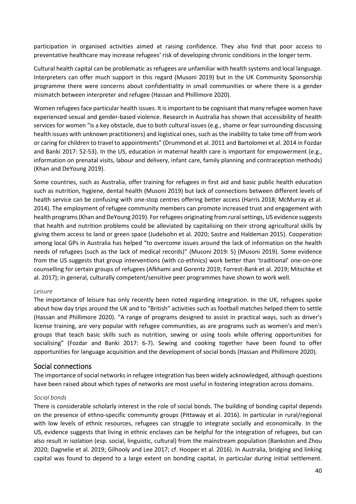participation in organised activities aimed at raising confidence. They also find that poor access to preventative healthcare may increase refugees' risk of developing chronic conditions in the longer term.

Cultural health capital can be problematic as refugees are unfamiliar with health systems and local language. Interpreters can offer much support in this regard (Musoni 2019) but in the UK Community Sponsorship programme there were concerns about confidentiality in small communities or where there is a gender mismatch between interpreter and refugee (Hassan and Phillimore 2020).

Women refugees face particular health issues. It is important to be cognisant that many refugee women have experienced sexual and gender-based violence. Research in Australia has shown that accessibility of health services for women "is a key obstacle, due to both cultural issues (e.g., shame or fear surrounding discussing health issues with unknown practitioners) and logistical ones, such as the inability to take time off from work or caring for children to travel to appointments" (Drummond et al. 2011 and Bartolomei et al. 2014 in Fozdar and Banki 2017: 52-53). In the US, education in maternal health care is important for empowerment (e.g., information on prenatal visits, labour and delivery, infant care, family planning and contraception methods) (Khan and DeYoung 2019).

Some countries, such as Australia, offer training for refugees in first aid and basic public health education such as nutrition, hygiene, dental health (Musoni 2019) but lack of connections between different levels of health service can be confusing with one-stop centres offering better access (Harris 2018; McMurray et al. 2014). The employment of refugee community members can promote increased trust and engagement with health programs (Khan and DeYoung 2019). For refugees originating from rural settings, US evidence suggests that health and nutrition problems could be alleviated by capitalising on their strong agricultural skills by giving them access to land or green space (Judelsohn et al. 2020; Sastre and Haldeman 2015). Cooperation among local GPs in Australia has helped "to overcome issues around the lack of information on the health needs of refugees (such as the lack of medical records)" (Musoni 2019: 5) (Musoni 2019). Some evidence from the US suggests that group interventions (with co-ethnics) work better than 'traditional' one-on-one counselling for certain groups of refugees (Afkhami and Gorentz 2019; Forrest-Bank et al. 2019; Mitschke et al. 2017); in general, culturally competent/sensitive peer programmes have shown to work well.

#### *Leisure*

The importance of leisure has only recently been noted regarding integration. In the UK, refugees spoke about how day trips around the UK and to "British" activities such as football matches helped them to settle (Hassan and Phillimore 2020). "A range of programs designed to assist in practical ways, such as driver's license training, are very popular with refugee communities, as are programs such as women's and men's groups that teach basic skills such as nutrition, sewing or using tools while offering opportunities for socialising" (Fozdar and Banki 2017: 6-7). Sewing and cooking together have been found to offer opportunities for language acquisition and the development of social bonds (Hassan and Phillimore 2020).

#### Social connections

The importance of social networks in refugee integration has been widely acknowledged, although questions have been raised about which types of networks are most useful in fostering integration across domains.

#### *Social bonds*

There is considerable scholarly interest in the role of social bonds. The building of bonding capital depends on the presence of ethno-specific community groups (Pittaway et al. 2016). In particular in rural/regional with low levels of ethnic resources, refugees can struggle to integrate socially and economically. In the US, evidence suggests that living in ethnic enclaves can be helpful for the integration of refugees, but can also result in isolation (esp. social, linguistic, cultural) from the mainstream population (Bankston and Zhou 2020; Dagnelie et al. 2019; Gilhooly and Lee 2017; cf. Hooper et al. 2016). In Australia, bridging and linking capital was found to depend to a large extent on bonding capital, in particular during initial settlement.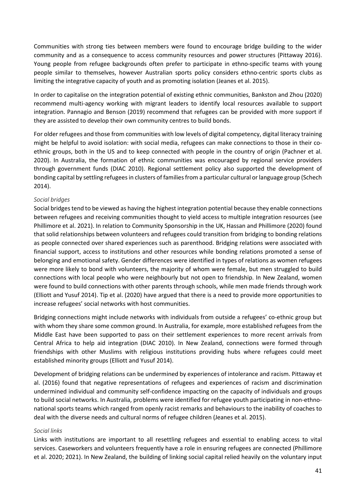Communities with strong ties between members were found to encourage bridge building to the wider community and as a consequence to access community resources and power structures (Pittaway 2016). Young people from refugee backgrounds often prefer to participate in ethno-specific teams with young people similar to themselves, however Australian sports policy considers ethno-centric sports clubs as limiting the integrative capacity of youth and as promoting isolation (Jeanes et al. 2015).

In order to capitalise on the integration potential of existing ethnic communities, Bankston and Zhou (2020) recommend multi-agency working with migrant leaders to identify local resources available to support integration. Pannagio and Benson (2019) recommend that refugees can be provided with more support if they are assisted to develop their own community centres to build bonds.

For older refugees and those from communities with low levels of digital competency, digital literacy training might be helpful to avoid isolation: with social media, refugees can make connections to those in their coethnic groups, both in the US and to keep connected with people in the country of origin (Pachner et al. 2020). In Australia, the formation of ethnic communities was encouraged by regional service providers through government funds (DIAC 2010). Regional settlement policy also supported the development of bonding capital by settling refugees in clusters of families from a particular cultural or language group (Schech 2014).

### *Social bridges*

Social bridges tend to be viewed as having the highest integration potential because they enable connections between refugees and receiving communities thought to yield access to multiple integration resources (see Phillimore et al. 2021). In relation to Community Sponsorship in the UK, Hassan and Phillimore (2020) found that solid relationships between volunteers and refugees could transition from bridging to bonding relations as people connected over shared experiences such as parenthood. Bridging relations were associated with financial support, access to institutions and other resources while bonding relations promoted a sense of belonging and emotional safety. Gender differences were identified in types of relations as women refugees were more likely to bond with volunteers, the majority of whom were female, but men struggled to build connections with local people who were neighbourly but not open to friendship. In New Zealand, women were found to build connections with other parents through schools, while men made friends through work (Elliott and Yusuf 2014). Tip et al. (2020) have argued that there is a need to provide more opportunities to increase refugees' social networks with host communities.

Bridging connections might include networks with individuals from outside a refugees' co-ethnic group but with whom they share some common ground. In Australia, for example, more established refugees from the Middle East have been supported to pass on their settlement experiences to more recent arrivals from Central Africa to help aid integration (DIAC 2010). In New Zealand, connections were formed through friendships with other Muslims with religious institutions providing hubs where refugees could meet established minority groups (Elliott and Yusuf 2014).

Development of bridging relations can be undermined by experiences of intolerance and racism. Pittaway et al. (2016) found that negative representations of refugees and experiences of racism and discrimination undermined individual and community self-confidence impacting on the capacity of individuals and groups to build social networks. In Australia, problems were identified for refugee youth participating in non-ethnonational sports teams which ranged from openly racist remarks and behaviours to the inability of coaches to deal with the diverse needs and cultural norms of refugee children (Jeanes et al. 2015).

#### *Social links*

Links with institutions are important to all resettling refugees and essential to enabling access to vital services. Caseworkers and volunteers frequently have a role in ensuring refugees are connected (Phillimore et al. 2020; 2021). In New Zealand, the building of linking social capital relied heavily on the voluntary input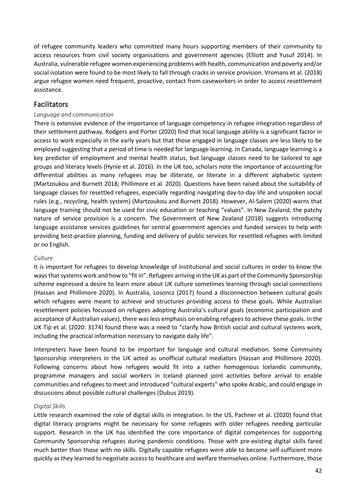of refugee community leaders who committed many hours supporting members of their community to access resources from civil society organisations and government agencies (Elliott and Yusuf 2014). In Australia, vulnerable refugee women experiencing problems with health, communication and poverty and/or social isolation were found to be most likely to fall through cracks in service provision. Vromans et al. (2018) argue refugee women need frequent, proactive, contact from caseworkers in order to access resettlement assistance.

### Facilitators

### *Language and communication*

There is extensive evidence of the importance of language competency in refugee integration regardless of their settlement pathway. Rodgers and Porter (2020) find that local language ability is a significant factor in access to work especially in the early years but that those engaged in language classes are less likely to be employed suggesting that a period of time is needed for language learning. In Canada, language learning is a key predictor of employment and mental health status, but language classes need to be tailored to age groups and literacy levels (Hynie et al. 2016). In the UK too, scholars note the importance of accounting for differential abilities as many refugees may be illiterate, or literate in a different alphabetic system (Martzoukou and Burnett 2018; Phillimore et al. 2020). Questions have been raised about the suitability of language classes for resettled refugees, especially regarding navigating day-to-day life and unspoken social rules (e.g., recycling, health system) (Martzoukou and Burnett 2018). However, Al-Salem (2020) warns that language training should not be used for civic education or teaching "values". In New Zealand, the patchy nature of service provision is a concern. The Government of New Zealand (2018) suggests introducing language assistance services guidelines for central government agencies and funded services to help with providing best-practice planning, funding and delivery of public services for resettled refugees with limited or no English.

### *Culture*

It is important for refugees to develop knowledge of institutional and social cultures in order to know the ways that systems work and how to "fit in". Refugees arriving in the UK as part of the Community Sponsorship scheme expressed a desire to learn more about UK culture sometimes learning through social connections (Hassan and Phillimore 2020). In Australia, Losoncz (2017) found a disconnection between cultural goals which refugees were meant to achieve and structures providing access to these goals. While Australian resettlement policies focussed on refugees adopting Australia's cultural goals (economic participation and acceptance of Australian values), there was less emphasis on enabling refugees to achieve these goals. In the UK Tip et al. (2020: 3174) found there was a need to "clarify how British social and cultural systems work, including the practical information necessary to navigate daily life".

Interpreters have been found to be important for language and cultural mediation. Some Community Sponsorship interpreters in the UK acted as unofficial cultural mediators (Hassan and Phillimore 2020). Following concerns about how refugees would fit into a rather homogenous Icelandic community, programme managers and social workers in Iceland planned joint activities before arrival to enable communities and refugees to meet and introduced "cultural experts" who spoke Arabic, and could engage in discussions about possible cultural challenges (Dubus 2019).

#### *Digital Skills*

Little research examined the role of digital skills in integration. In the US, Pachner et al. (2020) found that digital literacy programs might be necessary for some refugees with older refugees needing particular support. Research in the UK has identified the core importance of digital competences for supporting Community Sponsorship refugees during pandemic conditions. Those with pre-existing digital skills fared much better than those with no skills. Digitally capable refugees were able to become self-sufficient more quickly as they learned to negotiate access to healthcare and welfare themselves online. Furthermore, those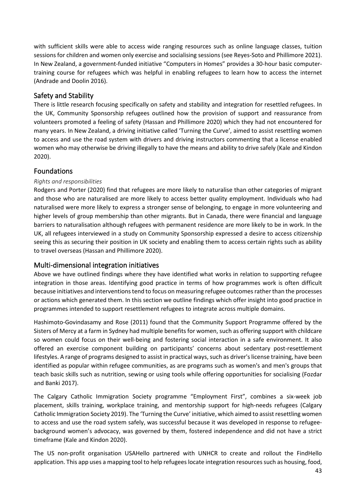with sufficient skills were able to access wide ranging resources such as online language classes, tuition sessions for children and women only exercise and socialising sessions (see Reyes-Soto and Phillimore 2021). In New Zealand, a government-funded initiative "Computers in Homes" provides a 30-hour basic computertraining course for refugees which was helpful in enabling refugees to learn how to access the internet (Andrade and Doolin 2016).

# Safety and Stability

There is little research focusing specifically on safety and stability and integration for resettled refugees. In the UK, Community Sponsorship refugees outlined how the provision of support and reassurance from volunteers promoted a feeling of safety (Hassan and Phillimore 2020) which they had not encountered for many years. In New Zealand, a driving initiative called 'Turning the Curve', aimed to assist resettling women to access and use the road system with drivers and driving instructors commenting that a license enabled women who may otherwise be driving illegally to have the means and ability to drive safely (Kale and Kindon 2020).

# Foundations

### *Rights and responsibilities*

Rodgers and Porter (2020) find that refugees are more likely to naturalise than other categories of migrant and those who are naturalised are more likely to access better quality employment. Individuals who had naturalised were more likely to express a stronger sense of belonging, to engage in more volunteering and higher levels of group membership than other migrants. But in Canada, there were financial and language barriers to naturalisation although refugees with permanent residence are more likely to be in work. In the UK, all refugees interviewed in a study on Community Sponsorship expressed a desire to access citizenship seeing this as securing their position in UK society and enabling them to access certain rights such as ability to travel overseas (Hassan and Phillimore 2020).

### Multi-dimensional integration initiatives

Above we have outlined findings where they have identified what works in relation to supporting refugee integration in those areas. Identifying good practice in terms of how programmes work is often difficult because initiatives and interventions tend to focus on measuring refugee outcomes rather than the processes or actions which generated them. In this section we outline findings which offer insight into good practice in programmes intended to support resettlement refugees to integrate across multiple domains.

Hashimoto-Govindasamy and Rose (2011) found that the Community Support Programme offered by the Sisters of Mercy at a farm in Sydney had multiple benefits for women, such as offering support with childcare so women could focus on their well-being and fostering social interaction in a safe environment. It also offered an exercise component building on participants' concerns about sedentary post-resettlement lifestyles. A range of programs designed to assist in practical ways, such as driver's license training, have been identified as popular within refugee communities, as are programs such as women's and men's groups that teach basic skills such as nutrition, sewing or using tools while offering opportunities for socialising (Fozdar and Banki 2017).

The Calgary Catholic Immigration Society programme "Employment First", combines a six-week job placement, skills training, workplace training, and mentorship support for high-needs refugees (Calgary Catholic Immigration Society 2019). The 'Turning the Curve' initiative, which aimed to assist resettling women to access and use the road system safely, was successful because it was developed in response to refugeebackground women's advocacy, was governed by them, fostered independence and did not have a strict timeframe (Kale and Kindon 2020).

The US non-profit organisation USAHello partnered with UNHCR to create and rollout the FindHello application. This app uses a mapping tool to help refugees locate integration resources such as housing, food,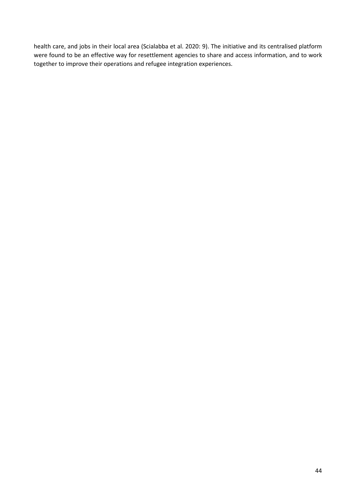health care, and jobs in their local area (Scialabba et al. 2020: 9). The initiative and its centralised platform were found to be an effective way for resettlement agencies to share and access information, and to work together to improve their operations and refugee integration experiences.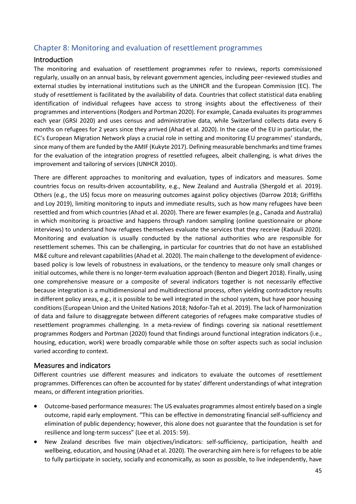# Chapter 8: Monitoring and evaluation of resettlement programmes

### Introduction

The monitoring and evaluation of resettlement programmes refer to reviews, reports commissioned regularly, usually on an annual basis, by relevant government agencies, including peer-reviewed studies and external studies by international institutions such as the UNHCR and the European Commission (EC). The study of resettlement is facilitated by the availability of data. Countries that collect statistical data enabling identification of individual refugees have access to strong insights about the effectiveness of their programmes and interventions (Rodgers and Portman 2020). For example, Canada evaluates its programmes each year (GRSI 2020) and uses census and administrative data, while Switzerland collects data every 6 months on refugees for 2 years since they arrived (Ahad et al. 2020). In the case of the EU in particular, the EC's European Migration Network plays a crucial role in setting and monitoring EU programmes' standards, since many of them are funded by the AMIF (Kukyte 2017). Defining measurable benchmarks and time frames for the evaluation of the integration progress of resettled refugees, albeit challenging, is what drives the improvement and tailoring of services (UNHCR 2010).

There are different approaches to monitoring and evaluation, types of indicators and measures. Some countries focus on results-driven accountability, e.g., New Zealand and Australia (Shergold et al. 2019). Others (e.g., the US) focus more on measuring outcomes against policy objectives (Darrow 2018; Griffiths and Loy 2019), limiting monitoring to inputs and immediate results, such as how many refugees have been resettled and from which countries (Ahad et al. 2020). There are fewer examples (e.g., Canada and Australia) in which monitoring is proactive and happens through random sampling (online questionnaire or phone interviews) to understand how refugees themselves evaluate the services that they receive (Kaduuli 2020). Monitoring and evaluation is usually conducted by the national authorities who are responsible for resettlement schemes. This can be challenging, in particular for countries that do not have an established M&E culture and relevant capabilities (Ahad et al. 2020). The main challenge to the development of evidencebased policy is low levels of robustness in evaluations, or the tendency to measure only small changes or initial outcomes, while there is no longer-term evaluation approach (Benton and Diegert 2018). Finally, using one comprehensive measure or a composite of several indicators together is not necessarily effective because integration is a multidimensional and multidirectional process, often yielding contradictory results in different policy areas, e.g., it is possible to be well integrated in the school system, but have poor housing conditions (European Union and the United Nations 2018; Ndofor-Tah et al. 2019). The lack of harmonization of data and failure to disaggregate between different categories of refugees make comparative studies of resettlement programmes challenging. In a meta-review of findings covering six national resettlement programmes Rodgers and Portman (2020) found that findings around functional integration indicators (i.e., housing, education, work) were broadly comparable while those on softer aspects such as social inclusion varied according to context.

### Measures and indicators

Different countries use different measures and indicators to evaluate the outcomes of resettlement programmes. Differences can often be accounted for by states' different understandings of what integration means, or different integration priorities.

- Outcome-based performance measures: The US evaluates programmes almost entirely based on a single outcome, rapid early employment. "This can be effective in demonstrating financial self-sufficiency and elimination of public dependency; however, this alone does not guarantee that the foundation is set for resilience and long-term success" (Lee et al. 2015: 59).
- New Zealand describes five main objectives/indicators: self-sufficiency, participation, health and wellbeing, education, and housing (Ahad et al. 2020). The overarching aim here is for refugees to be able to fully participate in society, socially and economically, as soon as possible, to live independently, have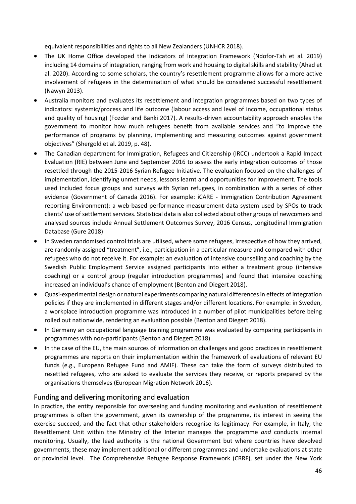equivalent responsibilities and rights to all New Zealanders (UNHCR 2018).

- The UK Home Office developed the Indicators of Integration Framework (Ndofor-Tah et al. 2019) including 14 domains of integration, ranging from work and housing to digital skills and stability (Ahad et al. 2020). According to some scholars, the country's resettlement programme allows for a more active involvement of refugees in the determination of what should be considered successful resettlement (Nawyn 2013).
- Australia monitors and evaluates its resettlement and integration programmes based on two types of indicators: systemic/process and life outcome (labour access and level of income, occupational status and quality of housing) (Fozdar and Banki 2017). A results-driven accountability approach enables the government to monitor how much refugees benefit from available services and "to improve the performance of programs by planning, implementing and measuring outcomes against government objectives" (Shergold et al. 2019, p. 48).
- The Canadian department for Immigration, Refugees and Citizenship (IRCC) undertook a Rapid Impact Evaluation (RIE) between June and September 2016 to assess the early integration outcomes of those resettled through the 2015-2016 Syrian Refugee Initiative. The evaluation focused on the challenges of implementation, identifying unmet needs, lessons learnt and opportunities for improvement. The tools used included focus groups and surveys with Syrian refugees, in combination with a series of other evidence (Government of Canada 2016). For example: iCARE - Immigration Contribution Agreement reporting Environment): a web-based performance measurement data system used by SPOs to track clients' use of settlement services. Statistical data is also collected about other groups of newcomers and analysed sources include Annual Settlement Outcomes Survey, 2016 Census, Longitudinal Immigration Database (Gure 2018)
- In Sweden randomised control trials are utilised, where some refugees, irrespective of how they arrived, are randomly assigned "treatment", i.e., participation in a particular measure and compared with other refugees who do not receive it. For example: an evaluation of intensive counselling and coaching by the Swedish Public Employment Service assigned participants into either a treatment group (intensive coaching) or a control group (regular introduction programmes) and found that intensive coaching increased an individual's chance of employment (Benton and Diegert 2018).
- Quasi-experimental design or natural experiments comparing natural differences in effects of integration policies if they are implemented in different stages and/or different locations. For example: in Sweden, a workplace introduction programme was introduced in a number of pilot municipalities before being rolled out nationwide, rendering an evaluation possible (Benton and Diegert 2018).
- In Germany an occupational language training programme was evaluated by comparing participants in programmes with non-participants (Benton and Diegert 2018).
- In the case of the EU, the main sources of information on challenges and good practices in resettlement programmes are reports on their implementation within the framework of evaluations of relevant EU funds (e.g., European Refugee Fund and AMIF). These can take the form of surveys distributed to resettled refugees, who are asked to evaluate the services they receive, or reports prepared by the organisations themselves (European Migration Network 2016).

### Funding and delivering monitoring and evaluation

In practice, the entity responsible for overseeing and funding monitoring and evaluation of resettlement programmes is often the government, given its ownership of the programme, its interest in seeing the exercise succeed, and the fact that other stakeholders recognise its legitimacy. For example, in Italy, the Resettlement Unit within the Ministry of the Interior manages the programme *and* conducts internal monitoring. Usually, the lead authority is the national Government but where countries have devolved governments, these may implement additional or different programmes and undertake evaluations at state or provincial level. The Comprehensive Refugee Response Framework (CRRF), set under the New York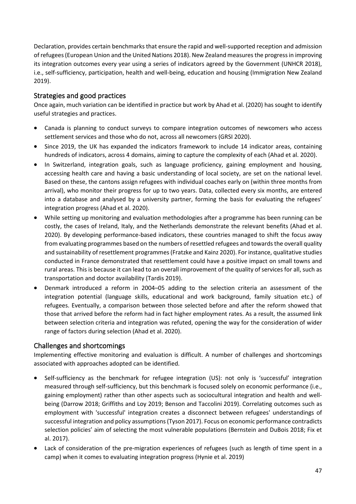Declaration, provides certain benchmarks that ensure the rapid and well-supported reception and admission of refugees (European Union and the United Nations 2018). New Zealand measures the progress in improving its integration outcomes every year using a series of indicators agreed by the Government (UNHCR 2018), i.e., self-sufficiency, participation, health and well-being, education and housing (Immigration New Zealand 2019).

### Strategies and good practices

Once again, much variation can be identified in practice but work by Ahad et al. (2020) has sought to identify useful strategies and practices.

- Canada is planning to conduct surveys to compare integration outcomes of newcomers who access settlement services and those who do not, across all newcomers (GRSI 2020).
- Since 2019, the UK has expanded the indicators framework to include 14 indicator areas, containing hundreds of indicators, across 4 domains, aiming to capture the complexity of each (Ahad et al. 2020).
- In Switzerland, integration goals, such as language proficiency, gaining employment and housing, accessing health care and having a basic understanding of local society, are set on the national level. Based on these, the cantons assign refugees with individual coaches early on (within three months from arrival), who monitor their progress for up to two years. Data, collected every six months, are entered into a database and analysed by a university partner, forming the basis for evaluating the refugees' integration progress (Ahad et al. 2020).
- While setting up monitoring and evaluation methodologies after a programme has been running can be costly, the cases of Ireland, Italy, and the Netherlands demonstrate the relevant benefits (Ahad et al. 2020). By developing performance-based indicators, these countries managed to shift the focus away from evaluating programmes based on the numbers of resettled refugees and towards the overall quality and sustainability of resettlement programmes (Fratzke and Kainz 2020). For instance, qualitative studies conducted in France demonstrated that resettlement could have a positive impact on small towns and rural areas. This is because it can lead to an overall improvement of the quality of services for all, such as transportation and doctor availability (Tardis 2019).
- Denmark introduced a reform in 2004–05 adding to the selection criteria an assessment of the integration potential (language skills, educational and work background, family situation etc.) of refugees. Eventually, a comparison between those selected before and after the reform showed that those that arrived before the reform had in fact higher employment rates. As a result, the assumed link between selection criteria and integration was refuted, opening the way for the consideration of wider range of factors during selection (Ahad et al. 2020).

### Challenges and shortcomings

Implementing effective monitoring and evaluation is difficult. A number of challenges and shortcomings associated with approaches adopted can be identified.

- Self-sufficiency as the benchmark for refugee integration (US): not only is 'successful' integration measured through self-sufficiency, but this benchmark is focused solely on economic performance (i.e., gaining employment) rather than other aspects such as sociocultural integration and health and wellbeing (Darrow 2018; Griffiths and Loy 2019; Benson and Taccolini 2019). Correlating outcomes such as employment with 'successful' integration creates a disconnect between refugees' understandings of successful integration and policy assumptions (Tyson 2017). Focus on economic performance contradicts selection policies' aim of selecting the most vulnerable populations (Bernstein and DuBois 2018; Fix et al. 2017).
- Lack of consideration of the pre-migration experiences of refugees (such as length of time spent in a camp) when it comes to evaluating integration progress (Hynie et al. 2019)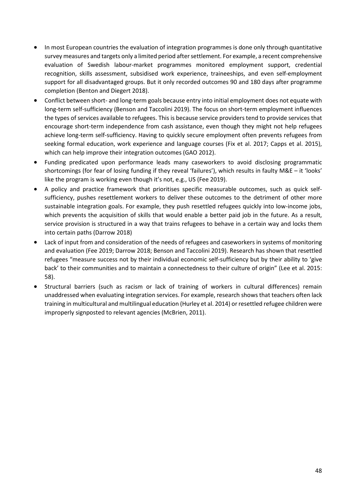- In most European countries the evaluation of integration programmes is done only through quantitative survey measures and targets only a limited period after settlement. For example, a recent comprehensive evaluation of Swedish labour-market programmes monitored employment support, credential recognition, skills assessment, subsidised work experience, traineeships, and even self-employment support for all disadvantaged groups. But it only recorded outcomes 90 and 180 days after programme completion (Benton and Diegert 2018).
- Conflict between short- and long-term goals because entry into initial employment does not equate with long-term self-sufficiency (Benson and Taccolini 2019). The focus on short-term employment influences the types of services available to refugees. This is because service providers tend to provide services that encourage short-term independence from cash assistance, even though they might not help refugees achieve long-term self-sufficiency. Having to quickly secure employment often prevents refugees from seeking formal education, work experience and language courses (Fix et al. 2017; Capps et al. 2015), which can help improve their integration outcomes (GAO 2012).
- Funding predicated upon performance leads many caseworkers to avoid disclosing programmatic shortcomings (for fear of losing funding if they reveal 'failures'), which results in faulty M&E – it 'looks' like the program is working even though it's not, e.g., US (Fee 2019).
- A policy and practice framework that prioritises specific measurable outcomes, such as quick selfsufficiency, pushes resettlement workers to deliver these outcomes to the detriment of other more sustainable integration goals. For example, they push resettled refugees quickly into low-income jobs, which prevents the acquisition of skills that would enable a better paid job in the future. As a result, service provision is structured in a way that trains refugees to behave in a certain way and locks them into certain paths (Darrow 2018)
- Lack of input from and consideration of the needs of refugees and caseworkers in systems of monitoring and evaluation (Fee 2019; Darrow 2018; Benson and Taccolini 2019). Research has shown that resettled refugees "measure success not by their individual economic self-sufficiency but by their ability to 'give back' to their communities and to maintain a connectedness to their culture of origin" (Lee et al. 2015: 58).
- Structural barriers (such as racism or lack of training of workers in cultural differences) remain unaddressed when evaluating integration services. For example, research shows that teachers often lack training in multicultural and multilingual education (Hurley et al. 2014) or resettled refugee children were improperly signposted to relevant agencies (McBrien, 2011).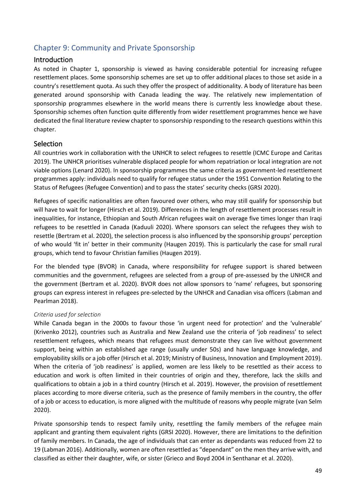# Chapter 9: Community and Private Sponsorship

### Introduction

As noted in Chapter 1, sponsorship is viewed as having considerable potential for increasing refugee resettlement places. Some sponsorship schemes are set up to offer additional places to those set aside in a country's resettlement quota. As such they offer the prospect of additionality. A body of literature has been generated around sponsorship with Canada leading the way. The relatively new implementation of sponsorship programmes elsewhere in the world means there is currently less knowledge about these. Sponsorship schemes often function quite differently from wider resettlement programmes hence we have dedicated the final literature review chapter to sponsorship responding to the research questions within this chapter.

### **Selection**

All countries work in collaboration with the UNHCR to select refugees to resettle (ICMC Europe and Caritas 2019). The UNHCR prioritises vulnerable displaced people for whom repatriation or local integration are not viable options (Lenard 2020). In sponsorship programmes the same criteria as government-led resettlement programmes apply: individuals need to qualify for refugee status under the 1951 Convention Relating to the Status of Refugees (Refugee Convention) and to pass the states' security checks (GRSI 2020).

Refugees of specific nationalities are often favoured over others, who may still qualify for sponsorship but will have to wait for longer (Hirsch et al. 2019). Differences in the length of resettlement processes result in inequalities, for instance, Ethiopian and South African refugees wait on average five times longer than Iraqi refugees to be resettled in Canada (Kaduuli 2020). Where sponsors can select the refugees they wish to resettle (Bertram et al. 2020), the selection process is also influenced by the sponsorship groups' perception of who would 'fit in' better in their community (Haugen 2019). This is particularly the case for small rural groups, which tend to favour Christian families (Haugen 2019).

For the blended type (BVOR) in Canada, where responsibility for refugee support is shared between communities and the government, refugees are selected from a group of pre-assessed by the UNHCR and the government (Bertram et al. 2020). BVOR does not allow sponsors to 'name' refugees, but sponsoring groups can express interest in refugees pre-selected by the UNHCR and Canadian visa officers (Labman and Pearlman 2018).

### *Criteria used for selection*

While Canada began in the 2000s to favour those 'in urgent need for protection' and the 'vulnerable' (Krivenko 2012), countries such as Australia and New Zealand use the criteria of 'job readiness' to select resettlement refugees, which means that refugees must demonstrate they can live without government support, being within an established age range (usually under 50s) and have language knowledge, and employability skills or a job offer (Hirsch et al. 2019; Ministry of Business, Innovation and Employment 2019). When the criteria of 'job readiness' is applied, women are less likely to be resettled as their access to education and work is often limited in their countries of origin and they, therefore, lack the skills and qualifications to obtain a job in a third country (Hirsch et al. 2019). However, the provision of resettlement places according to more diverse criteria, such as the presence of family members in the country, the offer of a job or access to education, is more aligned with the multitude of reasons why people migrate (van Selm 2020).

Private sponsorship tends to respect family unity, resettling the family members of the refugee main applicant and granting them equivalent rights (GRSI 2020). However, there are limitations to the definition of family members. In Canada, the age of individuals that can enter as dependants was reduced from 22 to 19 (Labman 2016). Additionally, women are often resettled as "dependant" on the men they arrive with, and classified as either their daughter, wife, or sister (Grieco and Boyd 2004 in Senthanar et al. 2020).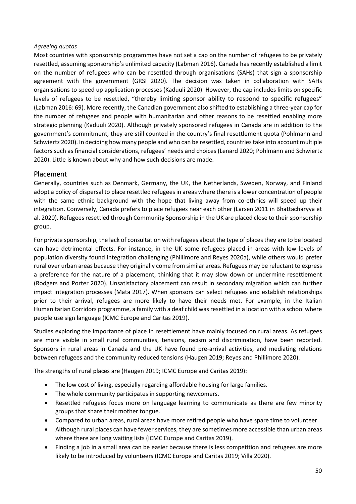### *Agreeing quotas*

Most countries with sponsorship programmes have not set a cap on the number of refugees to be privately resettled, assuming sponsorship's unlimited capacity (Labman 2016). Canada has recently established a limit on the number of refugees who can be resettled through organisations (SAHs) that sign a sponsorship agreement with the government (GRSI 2020). The decision was taken in collaboration with SAHs organisations to speed up application processes (Kaduuli 2020). However, the cap includes limits on specific levels of refugees to be resettled, "thereby limiting sponsor ability to respond to specific refugees" (Labman 2016: 69). More recently, the Canadian government also shifted to establishing a three-year cap for the number of refugees and people with humanitarian and other reasons to be resettled enabling more strategic planning (Kaduuli 2020). Although privately sponsored refugees in Canada are in addition to the government's commitment, they are still counted in the country's final resettlement quota (Pohlmann and Schwiertz 2020). In deciding how many people and who can be resettled, countries take into account multiple factors such as financial considerations, refugees' needs and choices (Lenard 2020; Pohlmann and Schwiertz 2020). Little is known about why and how such decisions are made.

### Placement

Generally, countries such as Denmark, Germany, the UK, the Netherlands, Sweden, Norway, and Finland adopt a policy of dispersal to place resettled refugees in areas where there is a lower concentration of people with the same ethnic background with the hope that living away from co-ethnics will speed up their integration. Conversely, Canada prefers to place refugees near each other (Larsen 2011 in Bhattacharyya et al. 2020). Refugees resettled through Community Sponsorship in the UK are placed close to their sponsorship group.

For private sponsorship, the lack of consultation with refugees about the type of places they are to be located can have detrimental effects. For instance, in the UK some refugees placed in areas with low levels of population diversity found integration challenging (Phillimore and Reyes 2020a), while others would prefer rural over urban areas because they originally come from similar areas. Refugees may be reluctant to express a preference for the nature of a placement, thinking that it may slow down or undermine resettlement (Rodgers and Porter 2020). Unsatisfactory placement can result in secondary migration which can further impact integration processes (Mata 2017). When sponsors can select refugees and establish relationships prior to their arrival, refugees are more likely to have their needs met. For example, in the Italian Humanitarian Corridors programme, a family with a deaf child was resettled in a location with a school where people use sign language (ICMC Europe and Caritas 2019).

Studies exploring the importance of place in resettlement have mainly focused on rural areas. As refugees are more visible in small rural communities, tensions, racism and discrimination, have been reported. Sponsors in rural areas in Canada and the UK have found pre-arrival activities, and mediating relations between refugees and the community reduced tensions (Haugen 2019; Reyes and Phillimore 2020).

The strengths of rural places are (Haugen 2019; ICMC Europe and Caritas 2019):

- The low cost of living, especially regarding affordable housing for large families.
- The whole community participates in supporting newcomers.
- Resettled refugees focus more on language learning to communicate as there are few minority groups that share their mother tongue.
- Compared to urban areas, rural areas have more retired people who have spare time to volunteer.
- Although rural places can have fewer services, they are sometimes more accessible than urban areas where there are long waiting lists (ICMC Europe and Caritas 2019).
- Finding a job in a small area can be easier because there is less competition and refugees are more likely to be introduced by volunteers (ICMC Europe and Caritas 2019; Villa 2020).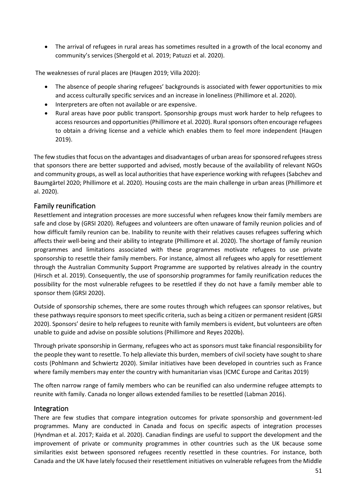• The arrival of refugees in rural areas has sometimes resulted in a growth of the local economy and community's services (Shergold et al. 2019; Patuzzi et al. 2020).

The weaknesses of rural places are (Haugen 2019; Villa 2020):

- The absence of people sharing refugees' backgrounds is associated with fewer opportunities to mix and access culturally specific services and an increase in loneliness (Phillimore et al. 2020).
- Interpreters are often not available or are expensive.
- Rural areas have poor public transport. Sponsorship groups must work harder to help refugees to access resources and opportunities (Phillimore et al. 2020). Rural sponsors often encourage refugees to obtain a driving license and a vehicle which enables them to feel more independent (Haugen 2019).

The few studies that focus on the advantages and disadvantages of urban areas for sponsored refugees stress that sponsors there are better supported and advised, mostly because of the availability of relevant NGOs and community groups, as well as local authorities that have experience working with refugees (Sabchev and Baumgärtel 2020; Phillimore et al. 2020). Housing costs are the main challenge in urban areas (Phillimore et al. 2020).

### Family reunification

Resettlement and integration processes are more successful when refugees know their family members are safe and close by (GRSI 2020). Refugees and volunteers are often unaware of family reunion policies and of how difficult family reunion can be. Inability to reunite with their relatives causes refugees suffering which affects their well-being and their ability to integrate (Phillimore et al. 2020). The shortage of family reunion programmes and limitations associated with these programmes motivate refugees to use private sponsorship to resettle their family members. For instance, almost all refugees who apply for resettlement through the Australian Community Support Programme are supported by relatives already in the country (Hirsch et al. 2019). Consequently, the use of sponsorship programmes for family reunification reduces the possibility for the most vulnerable refugees to be resettled if they do not have a family member able to sponsor them (GRSI 2020).

Outside of sponsorship schemes, there are some routes through which refugees can sponsor relatives, but these pathways require sponsors to meet specific criteria, such as being a citizen or permanent resident (GRSI 2020). Sponsors' desire to help refugees to reunite with family members is evident, but volunteers are often unable to guide and advise on possible solutions (Phillimore and Reyes 2020b).

Through private sponsorship in Germany, refugees who act as sponsors must take financial responsibility for the people they want to resettle. To help alleviate this burden, members of civil society have sought to share costs (Pohlmann and Schwiertz 2020). Similar initiatives have been developed in countries such as France where family members may enter the country with humanitarian visas (ICMC Europe and Caritas 2019)

The often narrow range of family members who can be reunified can also undermine refugee attempts to reunite with family. Canada no longer allows extended families to be resettled (Labman 2016).

### Integration

There are few studies that compare integration outcomes for private sponsorship and government-led programmes. Many are conducted in Canada and focus on specific aspects of integration processes (Hyndman et al. 2017; Kaida et al. 2020). Canadian findings are useful to support the development and the improvement of private or community programmes in other countries such as the UK because some similarities exist between sponsored refugees recently resettled in these countries. For instance, both Canada and the UK have lately focused their resettlement initiatives on vulnerable refugees from the Middle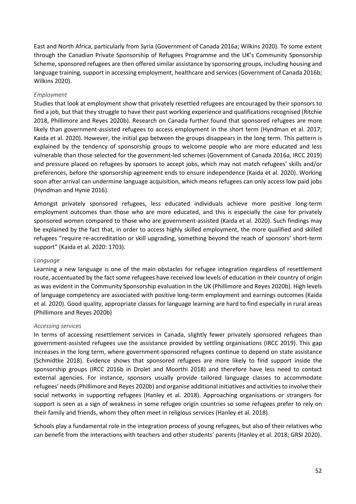East and North Africa, particularly from Syria (Government of Canada 2016a; Wilkins 2020). To some extent through the Canadian Private Sponsorship of Refugees Programme and the UK's Community Sponsorship Scheme, sponsored refugees are then offered similar assistance by sponsoring groups, including housing and language training, support in accessing employment, healthcare and services (Government of Canada 2016b; Wilkins 2020).

### *Employment*

Studies that look at employment show that privately resettled refugees are encouraged by their sponsors to find a job, but that they struggle to have their past working experience and qualifications recognised (Ritchie 2018, Phillimore and Reyes 2020b). Research on Canada further found that sponsored refugees are more likely than government-assisted refugees to access employment in the short term (Hyndman et al. 2017; Kaida et al. 2020). However, the initial gap between the groups disappears in the long term. This pattern is explained by the tendency of sponsorship groups to welcome people who are more educated and less vulnerable than those selected for the government-led schemes (Government of Canada 2016a, IRCC 2019) and pressure placed on refugees by sponsors to accept jobs, which may not match refugees' skills and/or preferences, before the sponsorship agreement ends to ensure independence (Kaida et al. 2020). Working soon after arrival can undermine language acquisition, which means refugees can only access low paid jobs (Hyndman and Hynie 2016).

Amongst privately sponsored refugees, less educated individuals achieve more positive long-term employment outcomes than those who are more educated, and this is especially the case for privately sponsored women compared to those who are government-assisted (Kaida et al. 2020). Such findings may be explained by the fact that, in order to access highly skilled employment, the more qualified and skilled refugees "require re-accreditation or skill upgrading, something beyond the reach of sponsors' short-term support" (Kaida et al. 2020: 1703).

#### *Language*

Learning a new language is one of the main obstacles for refugee integration regardless of resettlement route, accentuated by the fact some refugees have received low levels of education in their country of origin as was evident in the Community Sponsorship evaluation in the UK (Phillimore and Reyes 2020b). High levels of language competency are associated with positive long-term employment and earnings outcomes (Kaida et al. 2020). Good quality, appropriate classes for language learning are hard to find especially in rural areas (Phillimore and Reyes 2020b)

#### *Accessing services*

In terms of accessing resettlement services in Canada, slightly fewer privately sponsored refugees than government-assisted refugees use the assistance provided by settling organisations (IRCC 2019). This gap increases in the long term, where government-sponsored refugees continue to depend on state assistance (Schmidtke 2018). Evidence shows that sponsored refugees are more likely to find support inside the sponsorship groups (IRCC 2016b in Drolet and Moorthi 2018) and therefore have less need to contact external agencies. For instance, sponsors usually provide tailored language classes to accommodate refugees' needs (Phillimore and Reyes 2020b) and organise additional initiatives and activities to involve their social networks in supporting refugees (Hanley et al. 2018). Approaching organisations or strangers for support is seen as a sign of weakness in some refugee origin countries so some refugees prefer to rely on their family and friends, whom they often meet in religious services (Hanley et al. 2018).

Schools play a fundamental role in the integration process of young refugees, but also of their relatives who can benefit from the interactions with teachers and other students' parents (Hanley et al. 2018; GRSI 2020).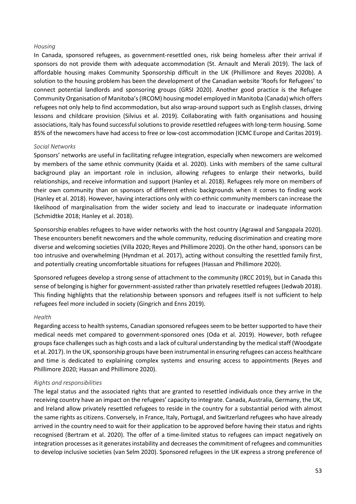#### *Housing*

In Canada, sponsored refugees, as government-resettled ones, risk being homeless after their arrival if sponsors do not provide them with adequate accommodation (St. Arnault and Merali 2019). The lack of affordable housing makes Community Sponsorship difficult in the UK (Phillimore and Reyes 2020b). A solution to the housing problem has been the development of the Canadian website 'Roofs for Refugees' to connect potential landlords and sponsoring groups (GRSI 2020). Another good practice is the Refugee Community Organisation of Manitoba's (IRCOM) housing model employed in Manitoba (Canada) which offers refugees not only help to find accommodation, but also wrap-around support such as English classes, driving lessons and childcare provision (Silvius et al. 2019). Collaborating with faith organisations and housing associations, Italy has found successful solutions to provide resettled refugees with long-term housing. Some 85% of the newcomers have had access to free or low-cost accommodation (ICMC Europe and Caritas 2019).

### *Social Networks*

Sponsors' networks are useful in facilitating refugee integration, especially when newcomers are welcomed by members of the same ethnic community (Kaida et al. 2020). Links with members of the same cultural background play an important role in inclusion, allowing refugees to enlarge their networks, build relationships, and receive information and support (Hanley et al. 2018). Refugees rely more on members of their own community than on sponsors of different ethnic backgrounds when it comes to finding work (Hanley et al. 2018). However, having interactions only with co-ethnic community members can increase the likelihood of marginalisation from the wider society and lead to inaccurate or inadequate information (Schmidtke 2018; Hanley et al. 2018).

Sponsorship enables refugees to have wider networks with the host country (Agrawal and Sangapala 2020). These encounters benefit newcomers and the whole community, reducing discrimination and creating more diverse and welcoming societies (Villa 2020; Reyes and Phillimore 2020). On the other hand, sponsors can be too intrusive and overwhelming (Hyndman et al. 2017), acting without consulting the resettled family first, and potentially creating uncomfortable situations for refugees (Hassan and Phillimore 2020).

Sponsored refugees develop a strong sense of attachment to the community (IRCC 2019), but in Canada this sense of belonging is higher for government-assisted rather than privately resettled refugees (Jedwab 2018). This finding highlights that the relationship between sponsors and refugees itself is not sufficient to help refugees feel more included in society (Gingrich and Enns 2019).

#### *Health*

Regarding access to health systems, Canadian sponsored refugees seem to be better supported to have their medical needs met compared to government-sponsored ones (Oda et al. 2019). However, both refugee groups face challenges such as high costs and a lack of cultural understanding by the medical staff (Woodgate et al. 2017). In the UK, sponsorship groups have been instrumental in ensuring refugees can access healthcare and time is dedicated to explaining complex systems and ensuring access to appointments (Reyes and Phillimore 2020; Hassan and Phillimore 2020).

### *Rights and responsibilities*

The legal status and the associated rights that are granted to resettled individuals once they arrive in the receiving country have an impact on the refugees' capacity to integrate. Canada, Australia, Germany, the UK, and Ireland allow privately resettled refugees to reside in the country for a substantial period with almost the same rights as citizens. Conversely, in France, Italy, Portugal, and Switzerland refugees who have already arrived in the country need to wait for their application to be approved before having their status and rights recognised (Bertram et al. 2020). The offer of a time-limited status to refugees can impact negatively on integration processes as it generates instability and decreases the commitment of refugees and communities to develop inclusive societies (van Selm 2020). Sponsored refugees in the UK express a strong preference of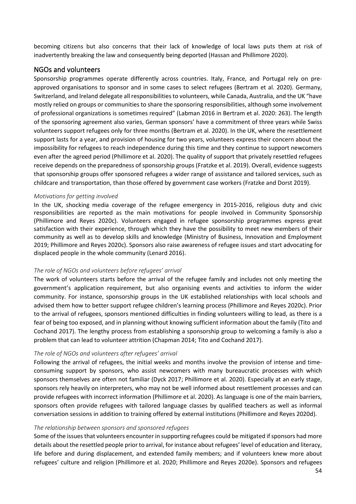becoming citizens but also concerns that their lack of knowledge of local laws puts them at risk of inadvertently breaking the law and consequently being deported (Hassan and Phillimore 2020).

### NGOs and volunteers

Sponsorship programmes operate differently across countries. Italy, France, and Portugal rely on preapproved organisations to sponsor and in some cases to select refugees (Bertram et al. 2020). Germany, Switzerland, and Ireland delegate all responsibilities to volunteers, while Canada, Australia, and the UK "have mostly relied on groups or communities to share the sponsoring responsibilities, although some involvement of professional organizations is sometimes required" (Labman 2016 in Bertram et al. 2020: 263). The length of the sponsoring agreement also varies, German sponsors' have a commitment of three years while Swiss volunteers support refugees only for three months (Bertram et al. 2020). In the UK, where the resettlement support lasts for a year, and provision of housing for two years, volunteers express their concern about the impossibility for refugees to reach independence during this time and they continue to support newcomers even after the agreed period (Phillimore et al. 2020). The quality of support that privately resettled refugees receive depends on the preparedness of sponsorship groups (Fratzke et al. 2019). Overall, evidence suggests that sponsorship groups offer sponsored refugees a wider range of assistance and tailored services, such as childcare and transportation, than those offered by government case workers (Fratzke and Dorst 2019).

### *Motivations for getting involved*

In the UK, shocking media coverage of the refugee emergency in 2015-2016, religious duty and civic responsibilities are reported as the main motivations for people involved in Community Sponsorship (Phillimore and Reyes 2020c). Volunteers engaged in refugee sponsorship programmes express great satisfaction with their experience, through which they have the possibility to meet new members of their community as well as to develop skills and knowledge (Ministry of Business, Innovation and Employment 2019; Phillimore and Reyes 2020c). Sponsors also raise awareness of refugee issues and start advocating for displaced people in the whole community (Lenard 2016).

### *The role of NGOs and volunteers before refugees' arrival*

The work of volunteers starts before the arrival of the refugee family and includes not only meeting the government's application requirement, but also organising events and activities to inform the wider community. For instance, sponsorship groups in the UK established relationships with local schools and advised them how to better support refugee children's learning process (Phillimore and Reyes 2020c). Prior to the arrival of refugees, sponsors mentioned difficulties in finding volunteers willing to lead, as there is a fear of being too exposed, and in planning without knowing sufficient information about the family (Tito and Cochand 2017). The lengthy process from establishing a sponsorship group to welcoming a family is also a problem that can lead to volunteer attrition (Chapman 2014; Tito and Cochand 2017).

### *The role of NGOs and volunteers after refugees' arrival*

Following the arrival of refugees, the initial weeks and months involve the provision of intense and timeconsuming support by sponsors, who assist newcomers with many bureaucratic processes with which sponsors themselves are often not familiar (Dyck 2017; Phillimore et al. 2020). Especially at an early stage, sponsors rely heavily on interpreters, who may not be well informed about resettlement processes and can provide refugees with incorrect information (Phillimore et al. 2020). As language is one of the main barriers, sponsors often provide refugees with tailored language classes by qualified teachers as well as informal conversation sessions in addition to training offered by external institutions (Phillimore and Reyes 2020d).

### *The relationship between sponsors and sponsored refugees*

Some of the issues that volunteers encounter in supporting refugees could be mitigated if sponsors had more details about the resettled people prior to arrival, for instance about refugees' level of education and literacy, life before and during displacement, and extended family members; and if volunteers knew more about refugees' culture and religion (Phillimore et al. 2020; Phillimore and Reyes 2020e). Sponsors and refugees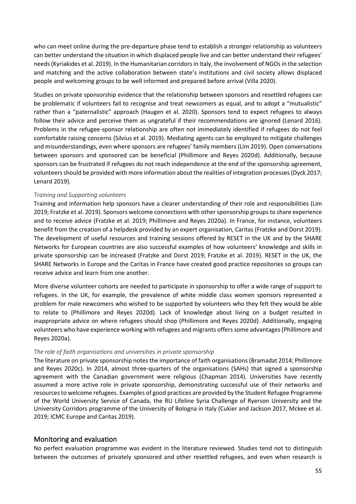who can meet online during the pre-departure phase tend to establish a stronger relationship as volunteers can better understand the situation in which displaced people live and can better understand their refugees' needs (Kyriakides et al. 2019). In the Humanitarian corridors in Italy, the involvement of NGOs in the selection and matching and the active collaboration between state's institutions and civil society allows displaced people and welcoming groups to be well informed and prepared before arrival (Villa 2020).

Studies on private sponsorship evidence that the relationship between sponsors and resettled refugees can be problematic if volunteers fail to recognise and treat newcomers as equal, and to adopt a "mutualistic" rather than a "paternalistic" approach (Haugen et al. 2020). Sponsors tend to expect refugees to always follow their advice and perceive them as ungrateful if their recommendations are ignored (Lenard 2016). Problems in the refugee-sponsor relationship are often not immediately identified if refugees do not feel comfortable raising concerns (Silvius et al. 2019). Mediating agents can be employed to mitigate challenges and misunderstandings, even where sponsors are refugees' family members (Lim 2019). Open conversations between sponsors and sponsored can be beneficial (Phillimore and Reyes 2020d). Additionally, because sponsors can be frustrated if refugees do not reach independence at the end of the sponsorship agreement, volunteers should be provided with more information about the realities of integration processes (Dyck 2017; Lenard 2019).

### *Training and Supporting volunteers*

Training and information help sponsors have a clearer understanding of their role and responsibilities (Lim 2019; Fratzke et al. 2019). Sponsors welcome connections with other sponsorship groups to share experience and to receive advice (Fratzke et al. 2019; Phillimore and Reyes 2020a). In France, for instance, volunteers benefit from the creation of a helpdesk provided by an expert organisation, Caritas (Fratzke and Dorst 2019). The development of useful resources and training sessions offered by RESET in the UK and by the SHARE Networks for European countries are also successful examples of how volunteers' knowledge and skills in private sponsorship can be increased (Fratzke and Dorst 2019; Fratzke et al. 2019). RESET in the UK, the SHARE Networks in Europe and the Caritas in France have created good practice repositories so groups can receive advice and learn from one another.

More diverse volunteer cohorts are needed to participate in sponsorship to offer a wide range of support to refugees. In the UK, for example, the prevalence of white middle class women sponsors represented a problem for male newcomers who wished to be supported by volunteers who they felt they would be able to relate to (Phillimore and Reyes 2020d). Lack of knowledge about living on a budget resulted in inappropriate advice on where refugees should shop (Phillimore and Reyes 2020d). Additionally, engaging volunteers who have experience working with refugees and migrants offers some advantages (Phillimore and Reyes 2020a).

#### *The role of faith organisations and universities in private sponsorship*

The literature on private sponsorship notes the importance of faith organisations (Bramadat 2014; Phillimore and Reyes 2020c). In 2014, almost three-quarters of the organisations (SAHs) that signed a sponsorship agreement with the Canadian government were religious (Chapman 2014). Universities have recently assumed a more active role in private sponsorship, demonstrating successful use of their networks and resources to welcome refugees. Examples of good practices are provided by the Student Refugee Programme of the World University Service of Canada, the RU Lifeline Syria Challenge of Ryerson University and the University Corridors programme of the University of Bologna in Italy (Cukier and Jackson 2017, Mckee et al. 2019; ICMC Europe and Caritas 2019).

### Monitoring and evaluation

No perfect evaluation programme was evident in the literature reviewed. Studies tend not to distinguish between the outcomes of privately sponsored and other resettled refugees, and even when research is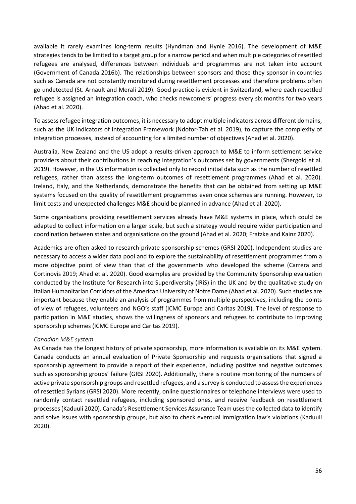available it rarely examines long-term results (Hyndman and Hynie 2016). The development of M&E strategies tends to be limited to a target group for a narrow period and when multiple categories of resettled refugees are analysed, differences between individuals and programmes are not taken into account (Government of Canada 2016b). The relationships between sponsors and those they sponsor in countries such as Canada are not constantly monitored during resettlement processes and therefore problems often go undetected (St. Arnault and Merali 2019). Good practice is evident in Switzerland, where each resettled refugee is assigned an integration coach, who checks newcomers' progress every six months for two years (Ahad et al. 2020).

To assess refugee integration outcomes, it is necessary to adopt multiple indicators across different domains, such as the UK Indicators of Integration Framework (Ndofor-Tah et al. 2019), to capture the complexity of integration processes, instead of accounting for a limited number of objectives (Ahad et al. 2020).

Australia, New Zealand and the US adopt a results-driven approach to M&E to inform settlement service providers about their contributions in reaching integration's outcomes set by governments (Shergold et al. 2019). However, in the US information is collected only to record initial data such as the number of resettled refugees, rather than assess the long-term outcomes of resettlement programmes (Ahad et al. 2020). Ireland, Italy, and the Netherlands, demonstrate the benefits that can be obtained from setting up M&E systems focused on the quality of resettlement programmes even once schemes are running. However, to limit costs and unexpected challenges M&E should be planned in advance (Ahad et al. 2020).

Some organisations providing resettlement services already have M&E systems in place, which could be adapted to collect information on a larger scale, but such a strategy would require wider participation and coordination between states and organisations on the ground (Ahad et al. 2020; Fratzke and Kainz 2020).

Academics are often asked to research private sponsorship schemes (GRSI 2020). Independent studies are necessary to access a wider data pool and to explore the sustainability of resettlement programmes from a more objective point of view than that of the governments who developed the scheme (Carrera and Cortinovis 2019; Ahad et al. 2020). Good examples are provided by the Community Sponsorship evaluation conducted by the Institute for Research into Superdiversity (IRiS) in the UK and by the qualitative study on Italian Humanitarian Corridors of the American University of Notre Dame (Ahad et al. 2020). Such studies are important because they enable an analysis of programmes from multiple perspectives, including the points of view of refugees, volunteers and NGO's staff (ICMC Europe and Caritas 2019). The level of response to participation in M&E studies, shows the willingness of sponsors and refugees to contribute to improving sponsorship schemes (ICMC Europe and Caritas 2019).

#### *Canadian M&E system*

As Canada has the longest history of private sponsorship, more information is available on its M&E system. Canada conducts an annual evaluation of Private Sponsorship and requests organisations that signed a sponsorship agreement to provide a report of their experience, including positive and negative outcomes such as sponsorship groups' failure (GRSI 2020). Additionally, there is routine monitoring of the numbers of active private sponsorship groups and resettled refugees, and a survey is conducted to assess the experiences of resettled Syrians (GRSI 2020). More recently, online questionnaires or telephone interviews were used to randomly contact resettled refugees, including sponsored ones, and receive feedback on resettlement processes (Kaduuli 2020). Canada's Resettlement Services Assurance Team uses the collected data to identify and solve issues with sponsorship groups, but also to check eventual immigration law's violations (Kaduuli 2020).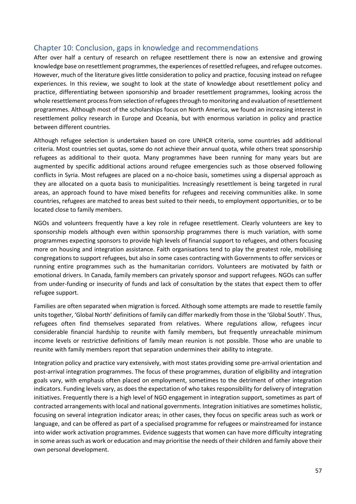# Chapter 10: Conclusion, gaps in knowledge and recommendations

After over half a century of research on refugee resettlement there is now an extensive and growing knowledge base on resettlement programmes, the experiences of resettled refugees, and refugee outcomes. However, much of the literature gives little consideration to policy and practice, focusing instead on refugee experiences. In this review, we sought to look at the state of knowledge about resettlement policy and practice, differentiating between sponsorship and broader resettlement programmes, looking across the whole resettlement process from selection of refugees through to monitoring and evaluation of resettlement programmes. Although most of the scholarships focus on North America, we found an increasing interest in resettlement policy research in Europe and Oceania, but with enormous variation in policy and practice between different countries.

Although refugee selection is undertaken based on core UNHCR criteria, some countries add additional criteria. Most countries set quotas, some do not achieve their annual quota, while others treat sponsorship refugees as additional to their quota. Many programmes have been running for many years but are augmented by specific additional actions around refugee emergencies such as those observed following conflicts in Syria. Most refugees are placed on a no-choice basis, sometimes using a dispersal approach as they are allocated on a quota basis to municipalities. Increasingly resettlement is being targeted in rural areas, an approach found to have mixed benefits for refugees and receiving communities alike. In some countries, refugees are matched to areas best suited to their needs, to employment opportunities, or to be located close to family members.

NGOs and volunteers frequently have a key role in refugee resettlement. Clearly volunteers are key to sponsorship models although even within sponsorship programmes there is much variation, with some programmes expecting sponsors to provide high levels of financial support to refugees, and others focusing more on housing and integration assistance. Faith organisations tend to play the greatest role, mobilising congregations to support refugees, but also in some cases contracting with Governments to offer services or running entire programmes such as the humanitarian corridors. Volunteers are motivated by faith or emotional drivers. In Canada, family members can privately sponsor and support refugees. NGOs can suffer from under-funding or insecurity of funds and lack of consultation by the states that expect them to offer refugee support.

Families are often separated when migration is forced. Although some attempts are made to resettle family units together, 'Global North' definitions of family can differ markedly from those in the 'Global South'. Thus, refugees often find themselves separated from relatives. Where regulations allow, refugees incur considerable financial hardship to reunite with family members, but frequently unreachable minimum income levels or restrictive definitions of family mean reunion is not possible. Those who are unable to reunite with family members report that separation undermines their ability to integrate.

Integration policy and practice vary extensively, with most states providing some pre-arrival orientation and post-arrival integration programmes. The focus of these programmes, duration of eligibility and integration goals vary, with emphasis often placed on employment, sometimes to the detriment of other integration indicators. Funding levels vary, as does the expectation of who takes responsibility for delivery of integration initiatives. Frequently there is a high level of NGO engagement in integration support, sometimes as part of contracted arrangements with local and national governments. Integration initiatives are sometimes holistic, focusing on several integration indicator areas; in other cases, they focus on specific areas such as work or language, and can be offered as part of a specialised programme for refugees or mainstreamed for instance into wider work activation programmes. Evidence suggests that women can have more difficulty integrating in some areas such as work or education and may prioritise the needs of their children and family above their own personal development.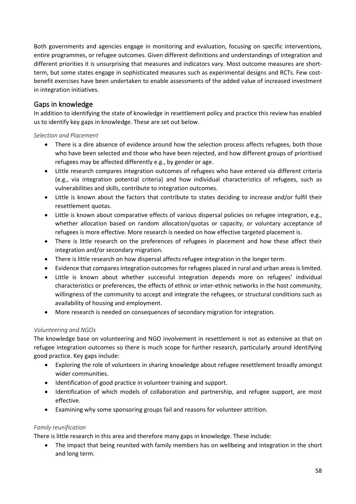Both governments and agencies engage in monitoring and evaluation, focusing on specific interventions, entire programmes, or refugee outcomes. Given different definitions and understandings of integration and different priorities it is unsurprising that measures and indicators vary. Most outcome measures are shortterm, but some states engage in sophisticated measures such as experimental designs and RCTs. Few costbenefit exercises have been undertaken to enable assessments of the added value of increased investment in integration initiatives.

# Gaps in knowledge

In addition to identifying the state of knowledge in resettlement policy and practice this review has enabled us to identify key gaps in knowledge. These are set out below.

*Selection and Placement*

- There is a dire absence of evidence around how the selection process affects refugees, both those who have been selected and those who have been rejected, and how different groups of prioritised refugees may be affected differently e.g., by gender or age.
- Little research compares integration outcomes of refugees who have entered via different criteria (e.g., via integration potential criteria) and how individual characteristics of refugees, such as vulnerabilities and skills, contribute to integration outcomes.
- Little is known about the factors that contribute to states deciding to increase and/or fulfil their resettlement quotas.
- Little is known about comparative effects of various dispersal policies on refugee integration, e.g., whether allocation based on random allocation/quotas or capacity, or voluntary acceptance of refugees is more effective. More research is needed on how effective targeted placement is.
- There is little research on the preferences of refugees in placement and how these affect their integration and/or secondary migration.
- There is little research on how dispersal affects refugee integration in the longer term.
- Evidence that compares integration outcomes for refugees placed in rural and urban areas is limited.
- Little is known about whether successful integration depends more on refugees' individual characteristics or preferences, the effects of ethnic or inter-ethnic networks in the host community, willingness of the community to accept and integrate the refugees, or structural conditions such as availability of housing and employment.
- More research is needed on consequences of secondary migration for integration.

### *Volunteering and NGOs*

The knowledge base on volunteering and NGO involvement in resettlement is not as extensive as that on refugee integration outcomes so there is much scope for further research, particularly around identifying good practice. Key gaps include:

- Exploring the role of volunteers in sharing knowledge about refugee resettlement broadly amongst wider communities.
- Identification of good practice in volunteer training and support.
- Identification of which models of collaboration and partnership, and refugee support, are most effective.
- Examining why some sponsoring groups fail and reasons for volunteer attrition.

### *Family reunification*

There is little research in this area and therefore many gaps in knowledge. These include:

• The impact that being reunited with family members has on wellbeing and integration in the short and long term.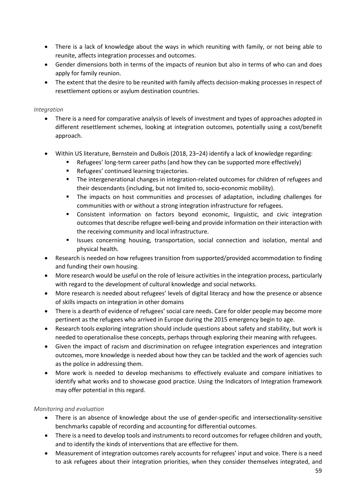- There is a lack of knowledge about the ways in which reuniting with family, or not being able to reunite, affects integration processes and outcomes.
- Gender dimensions both in terms of the impacts of reunion but also in terms of who can and does apply for family reunion.
- The extent that the desire to be reunited with family affects decision-making processes in respect of resettlement options or asylum destination countries.

### *Integration*

- There is a need for comparative analysis of levels of investment and types of approaches adopted in different resettlement schemes, looking at integration outcomes, potentially using a cost/benefit approach.
- Within US literature, Bernstein and DuBois (2018, 23–24) identify a lack of knowledge regarding:
	- Refugees' long-term career paths (and how they can be supported more effectively)
	- Refugees' continued learning trajectories.
	- The intergenerational changes in integration-related outcomes for children of refugees and their descendants (including, but not limited to, socio-economic mobility).
	- The impacts on host communities and processes of adaptation, including challenges for communities with or without a strong integration infrastructure for refugees.
	- Consistent information on factors beyond economic, linguistic, and civic integration outcomes that describe refugee well-being and provide information on their interaction with the receiving community and local infrastructure.
	- **In Itsues concerning housing, transportation, social connection and isolation, mental and** physical health.
- Research is needed on how refugees transition from supported/provided accommodation to finding and funding their own housing.
- More research would be useful on the role of leisure activities in the integration process, particularly with regard to the development of cultural knowledge and social networks.
- More research is needed about refugees' levels of digital literacy and how the presence or absence of skills impacts on integration in other domains
- There is a dearth of evidence of refugees' social care needs. Care for older people may become more pertinent as the refugees who arrived in Europe during the 2015 emergency begin to age.
- Research tools exploring integration should include questions about safety and stability, but work is needed to operationalise these concepts, perhaps through exploring their meaning with refugees.
- Given the impact of racism and discrimination on refugee integration experiences and integration outcomes, more knowledge is needed about how they can be tackled and the work of agencies such as the police in addressing them.
- More work is needed to develop mechanisms to effectively evaluate and compare initiatives to identify what works and to showcase good practice. Using the Indicators of Integration framework may offer potential in this regard.

### *Monitoring and evaluation*

- There is an absence of knowledge about the use of gender-specific and intersectionality-sensitive benchmarks capable of recording and accounting for differential outcomes.
- There is a need to develop tools and instruments to record outcomes for refugee children and youth, and to identify the kinds of interventions that are effective for them.
- Measurement of integration outcomes rarely accountsfor refugees' input and voice. There is a need to ask refugees about their integration priorities, when they consider themselves integrated, and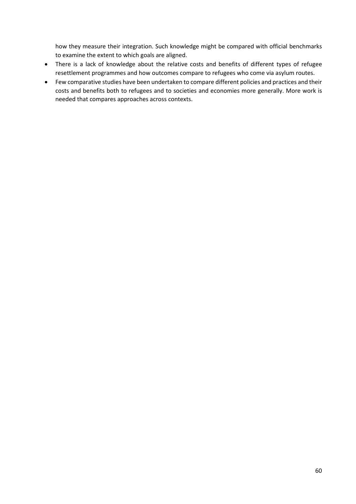how they measure their integration. Such knowledge might be compared with official benchmarks to examine the extent to which goals are aligned.

- There is a lack of knowledge about the relative costs and benefits of different types of refugee resettlement programmes and how outcomes compare to refugees who come via asylum routes.
- Few comparative studies have been undertaken to compare different policies and practices and their costs and benefits both to refugees and to societies and economies more generally. More work is needed that compares approaches across contexts.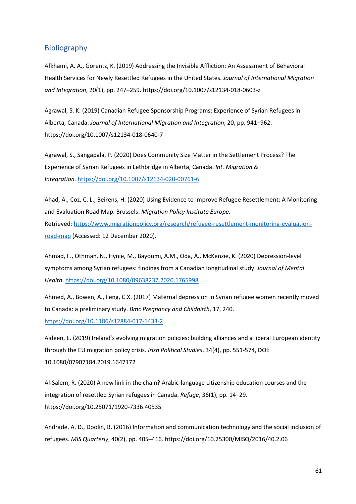### Bibliography

Afkhami, A. A., Gorentz, K. (2019) Addressing the Invisible Affliction: An Assessment of Behavioral Health Services for Newly Resettled Refugees in the United States. *Journal of International Migration and Integration*, 20(1), pp. 247–259. https://doi.org/10.1007/s12134-018-0603-z

Agrawal, S. K. (2019) Canadian Refugee Sponsorship Programs: Experience of Syrian Refugees in Alberta, Canada. *Journal of International Migration and Integration*, 20, pp. 941–962. https://doi.org/10.1007/s12134-018-0640-7

Agrawal, S., Sangapala, P. (2020) Does Community Size Matter in the Settlement Process? The Experience of Syrian Refugees in Lethbridge in Alberta, Canada. *Int. Migration & Integration.* <https://doi.org/10.1007/s12134-020-00761-6>

Ahad, A., Coz, C. L., Beirens, H. (2020) Using Evidence to Improve Refugee Resettlement: A Monitoring and Evaluation Road Map. Brussels: *Migration Policy Institute Europe*. Retrieved: [https://www.migrationpolicy.org/research/refugee-resettlement-monitoring-evaluation](https://www.migrationpolicy.org/research/refugee-resettlement-monitoring-evaluation-road-map)[road-map](https://www.migrationpolicy.org/research/refugee-resettlement-monitoring-evaluation-road-map) (Accessed: 12 December 2020).

Ahmad, F., Othman, N., Hynie, M., Bayoumi, A.M., Oda, A., McKenzie, K. (2020) Depression-level symptoms among Syrian refugees: findings from a Canadian longitudinal study. *Journal of Mental Health*[. https://doi.org/10.1080/09638237.2020.1765998](https://doi.org/10.1080/09638237.2020.1765998)

Ahmed, A., Bowen, A., Feng, C.X. (2017) Maternal depression in Syrian refugee women recently moved to Canada: a preliminary study. *Bmc Pregnancy and Childbirth*, 17, 240. <https://doi.org/10.1186/s12884-017-1433-2>

Aideen, E. (2019) Ireland's evolving migration policies: building alliances and a liberal European identity through the EU migration policy crisis. *Irish Political Studies*, 34(4), pp. 551-574, DOI: 10.1080/07907184.2019.1647172

Al-Salem, R. (2020) A new link in the chain? Arabic-language citizenship education courses and the integration of resettled Syrian refugees in Canada. *Refuge*, 36(1), pp. 14–29. https://doi.org/10.25071/1920-7336.40535

Andrade, A. D., Doolin, B. (2016) Information and communication technology and the social inclusion of refugees. *MIS Quarterly*, 40(2), pp. 405–416. https://doi.org/10.25300/MISQ/2016/40.2.06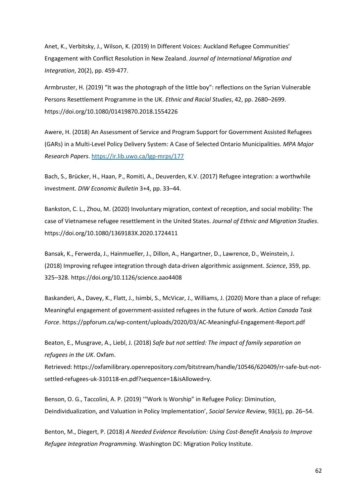Anet, K., Verbitsky, J., Wilson, K. (2019) In Different Voices: Auckland Refugee Communities' Engagement with Conflict Resolution in New Zealand. *Journal of International Migration and Integration*, 20(2), pp. 459-477.

Armbruster, H. (2019) "It was the photograph of the little boy": reflections on the Syrian Vulnerable Persons Resettlement Programme in the UK. *Ethnic and Racial Studies*, 42, pp. 2680–2699. https://doi.org/10.1080/01419870.2018.1554226

Awere, H. (2018) An Assessment of Service and Program Support for Government Assisted Refugees (GARs) in a Multi-Level Policy Delivery System: A Case of Selected Ontario Municipalities. *MPA Major Research Papers*.<https://ir.lib.uwo.ca/lgp-mrps/177>

Bach, S., Brücker, H., Haan, P., Romiti, A., Deuverden, K.V. (2017) Refugee integration: a worthwhile investment. *DIW Economic Bulletin* 3+4, pp. 33–44.

Bankston, C. L., Zhou, M. (2020) Involuntary migration, context of reception, and social mobility: The case of Vietnamese refugee resettlement in the United States. *Journal of Ethnic and Migration Studies*. https://doi.org/10.1080/1369183X.2020.1724411

Bansak, K., Ferwerda, J., Hainmueller, J., Dillon, A., Hangartner, D., Lawrence, D., Weinstein, J. (2018) Improving refugee integration through data-driven algorithmic assignment. *Science*, 359, pp. 325–328. https://doi.org/10.1126/science.aao4408

Baskanderi, A., Davey, K., Flatt, J., Isimbi, S., McVicar, J., Williams, J. (2020) More than a place of refuge: Meaningful engagement of government-assisted refugees in the future of work. *Action Canada Task Force*. https://ppforum.ca/wp-content/uploads/2020/03/AC-Meaningful-Engagement-Report.pdf

Beaton, E., Musgrave, A., Liebl, J. (2018) *Safe but not settled: The impact of family separation on refugees in the UK*. Oxfam.

Retrieved: [https://oxfamilibrary.openrepository.com/bitstream/handle/10546/620409/rr-safe-but-not](https://oxfamilibrary.openrepository.com/bitstream/handle/10546/620409/rr-safe-but-not-settled-refugees-uk-310118-en.pdf?sequence=1&isAllowed=y)[settled-refugees-uk-310118-en.pdf?sequence=1&isAllowed=y.](https://oxfamilibrary.openrepository.com/bitstream/handle/10546/620409/rr-safe-but-not-settled-refugees-uk-310118-en.pdf?sequence=1&isAllowed=y)

Benson, O. G., Taccolini, A. P. (2019) '"Work Is Worship" in Refugee Policy: Diminution, Deindividualization, and Valuation in Policy Implementation', *Social Service Review*, 93(1), pp. 26–54.

Benton, M., Diegert, P. (2018) *A Needed Evidence Revolution: Using Cost-Benefit Analysis to Improve Refugee Integration Programming*. Washington DC: Migration Policy Institute.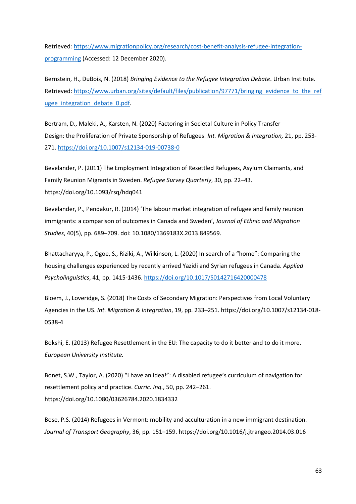Retrieved: [https://www.migrationpolicy.org/research/cost-benefit-analysis-refugee-integration](https://www.migrationpolicy.org/research/cost-benefit-analysis-refugee-integration-programming)[programming](https://www.migrationpolicy.org/research/cost-benefit-analysis-refugee-integration-programming) (Accessed: 12 December 2020).

Bernstein, H., DuBois, N. (2018) *Bringing Evidence to the Refugee Integration Debate*. Urban Institute. Retrieved: [https://www.urban.org/sites/default/files/publication/97771/bringing\\_evidence\\_to\\_the\\_ref](https://www.urban.org/sites/default/files/publication/97771/bringing_evidence_to_the_refugee_integration_debate_0.pdf) ugee integration debate 0.pdf.

Bertram, D., Maleki, A., Karsten, N. (2020) Factoring in Societal Culture in Policy Transfer Design: the Proliferation of Private Sponsorship of Refugees. *Int. Migration & Integration,* 21, pp. 253- 271. <https://doi.org/10.1007/s12134-019-00738-0>

Bevelander, P. (2011) The Employment Integration of Resettled Refugees, Asylum Claimants, and Family Reunion Migrants in Sweden. *Refugee Survey Quarterly*, 30, pp. 22–43. https://doi.org/10.1093/rsq/hdq041

Bevelander, P., Pendakur, R. (2014) 'The labour market integration of refugee and family reunion immigrants: a comparison of outcomes in Canada and Sweden', *Journal of Ethnic and Migration Studies*, 40(5), pp. 689–709. doi: [10.1080/1369183X.2013.849569.](https://doi.org/10.1080/1369183X.2013.849569)

Bhattacharyya, P., Ogoe, S., Riziki, A., Wilkinson, L. (2020) In search of a "home": Comparing the housing challenges experienced by recently arrived Yazidi and Syrian refugees in Canada. *Applied Psycholinguistics*, 41, pp. 1415-1436. <https://doi.org/10.1017/S0142716420000478>

Bloem, J., Loveridge, S. (2018) The Costs of Secondary Migration: Perspectives from Local Voluntary Agencies in the US. *Int. Migration & Integration*, 19, pp. 233–251. https://doi.org/10.1007/s12134-018- 0538-4

Bokshi, E. (2013) Refugee Resettlement in the EU: The capacity to do it better and to do it more. *European University Institute.*

Bonet, S.W., Taylor, A. (2020) "I have an idea!": A disabled refugee's curriculum of navigation for resettlement policy and practice. *Curric. Inq.*, 50, pp. 242–261. https://doi.org/10.1080/03626784.2020.1834332

Bose, P.S. (2014) Refugees in Vermont: mobility and acculturation in a new immigrant destination. *Journal of Transport Geography*, 36, pp. 151–159. https://doi.org/10.1016/j.jtrangeo.2014.03.016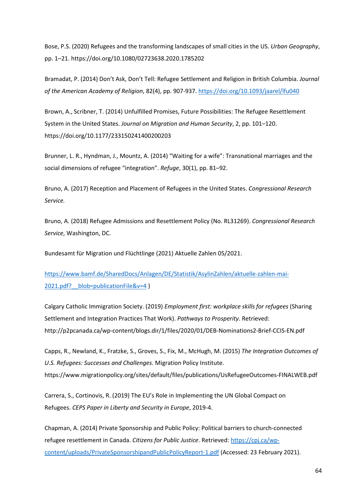Bose, P.S. (2020) Refugees and the transforming landscapes of small cities in the US. *Urban Geography*, pp. 1–21. https://doi.org/10.1080/02723638.2020.1785202

Bramadat, P. (2014) Don't Ask, Don't Tell: Refugee Settlement and Religion in British Columbia. *Journal of the American Academy of Religion*, 82(4), pp. 907-937. <https://doi.org/10.1093/jaarel/lfu040>

Brown, A., Scribner, T. (2014) Unfulfilled Promises, Future Possibilities: The Refugee Resettlement System in the United States. *Journal on Migration and Human Security*, 2, pp. 101–120. https://doi.org/10.1177/233150241400200203

Brunner, L. R., Hyndman, J., Mountz, A. (2014) "Waiting for a wife": Transnational marriages and the social dimensions of refugee "integration". *Refuge*, 30(1), pp. 81–92.

Bruno, A. (2017) Reception and Placement of Refugees in the United States. *Congressional Research Service.*

Bruno, A. (2018) Refugee Admissions and Resettlement Policy (No. RL31269). *Congressional Research Service*, Washington, DC.

Bundesamt für Migration und Flüchtlinge (2021) Aktuelle Zahlen 05/2021.

[https://www.bamf.de/SharedDocs/Anlagen/DE/Statistik/AsylinZahlen/aktuelle-zahlen-mai-](https://www.bamf.de/SharedDocs/Anlagen/DE/Statistik/AsylinZahlen/aktuelle-zahlen-mai-2021.pdf?__blob=publicationFile&v=4)2021.pdf? blob=publicationFile&v=4 )

Calgary Catholic Immigration Society. (2019) *Employment first: workplace skills for refugees* (Sharing Settlement and Integration Practices That Work). *Pathways to Prosperity*. Retrieved: http://p2pcanada.ca/wp-content/blogs.dir/1/files/2020/01/DEB-Nominations2-Brief-CCIS-EN.pdf

Capps, R., Newland, K., Fratzke, S., Groves, S., Fix, M., McHugh, M. (2015) *The Integration Outcomes of U.S. Refugees: Successes and Challenges*. Migration Policy Institute.

https://www.migrationpolicy.org/sites/default/files/publications/UsRefugeeOutcomes-FINALWEB.pdf

Carrera, S., Cortinovis, R. (2019) The EU's Role in Implementing the UN Global Compact on Refugees. *CEPS Paper in Liberty and Security in Europe*, 2019-4.

Chapman, A. (2014) Private Sponsorship and Public Policy: Political barriers to church-connected refugee resettlement in Canada. *Citizens for Public Justice*. Retrieved: [https://cpj.ca/wp](https://cpj.ca/wp-content/uploads/PrivateSponsorshipandPublicPolicyReport-1.pdf)[content/uploads/PrivateSponsorshipandPublicPolicyReport-1.pdf](https://cpj.ca/wp-content/uploads/PrivateSponsorshipandPublicPolicyReport-1.pdf) (Accessed: 23 February 2021).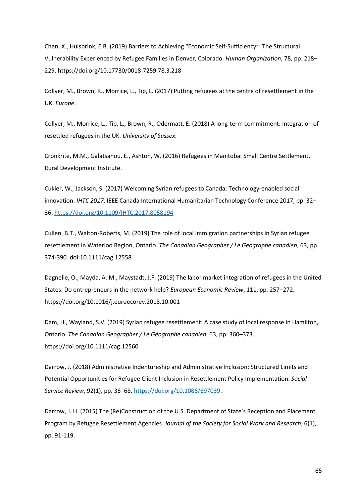Chen, X., Hulsbrink, E.B. (2019) Barriers to Achieving "Economic Self-Sufficiency": The Structural Vulnerability Experienced by Refugee Families in Denver, Colorado. *Human Organization*, 78, pp. 218– 229. https://doi.org/10.17730/0018-7259.78.3.218

Collyer, M., Brown, R., Morrice, L., Tip, L. (2017) Putting refugees at the centre of resettlement in the UK. *Europe*.

Collyer, M., Morrice, L., Tip, L., Brown, R., Odermatt, E. (2018) A long-term commitment: integration of resettled refugees in the UK. *University of Sussex*.

Cronkrite, M.M., Galatsanou, E., Ashton, W. (2016) Refugees in Manitoba: Small Centre Settlement. Rural Development Institute.

Cukier, W., Jackson, S. (2017) Welcoming Syrian refugees to Canada: Technology-enabled social innovation. *IHTC 2017*. IEEE Canada International Humanitarian Technology Conference 2017, pp. 32– 36. <https://doi.org/10.1109/IHTC.2017.8058194>

Cullen, B.T., Walton-Roberts, M. (2019) The role of local immigration partnerships in Syrian refugee resettlement in Waterloo Region, Ontario. *The Canadian Geographer / Le Géographe canadien*, 63, pp. 374-390. doi:10.1111/cag.12558

Dagnelie, O., Mayda, A. M., Maystadt, J.F. (2019) The labor market integration of refugees in the United States: Do entrepreneurs in the network help? *European Economic Review*, 111, pp. 257–272. https://doi.org/10.1016/j.euroecorev.2018.10.001

Dam, H., Wayland, S.V. (2019) Syrian refugee resettlement: A case study of local response in Hamilton, Ontario. *The Canadian Geographer / Le Géographe canadien*, 63, pp: 360–373. https://doi.org/10.1111/cag.12560

Darrow, J. (2018) Administrative Indentureship and Administrative Inclusion: Structured Limits and Potential Opportunities for Refugee Client Inclusion in Resettlement Policy Implementation. *Social Service Review*, 92(1), pp. 36–68. [https://doi.org/10.1086/697039.](https://doi.org/10.1086/697039%22%20/)

Darrow, J. H. (2015) The (Re)Construction of the U.S. Department of State's Reception and Placement Program by Refugee Resettlement Agencies. *Journal of the Society for Social Work and Research*, 6(1), pp. 91-119.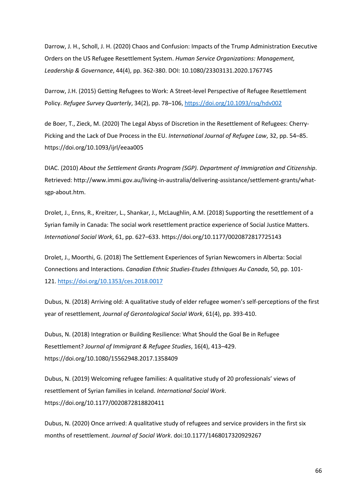Darrow, J. H., Scholl, J. H. (2020) Chaos and Confusion: Impacts of the Trump Administration Executive Orders on the US Refugee Resettlement System. *Human Service Organizations: Management, Leadership & Governance*, 44(4), pp. 362-380. DOI: 10.1080/23303131.2020.1767745

Darrow, J.H. (2015) Getting Refugees to Work: A Street-level Perspective of Refugee Resettlement Policy. *Refugee Survey Quarterly*, 34(2), pp. 78–106,<https://doi.org/10.1093/rsq/hdv002>

de Boer, T., Zieck, M. (2020) The Legal Abyss of Discretion in the Resettlement of Refugees: Cherry-Picking and the Lack of Due Process in the EU. *International Journal of Refugee Law*, 32, pp. 54–85. https://doi.org/10.1093/ijrl/eeaa005

DIAC. (2010) *About the Settlement Grants Program (SGP). Department of Immigration and Citizenship*. Retrieved: http://www.immi.gov.au/living-in-australia/delivering-assistance/settlement-grants/whatsgp-about.htm.

Drolet, J., Enns, R., Kreitzer, L., Shankar, J., McLaughlin, A.M. (2018) Supporting the resettlement of a Syrian family in Canada: The social work resettlement practice experience of Social Justice Matters. *International Social Work*, 61, pp. 627–633. https://doi.org/10.1177/0020872817725143

Drolet, J., Moorthi, G. (2018) The Settlement Experiences of Syrian Newcomers in Alberta: Social Connections and Interactions. *Canadian Ethnic Studies-Etudes Ethniques Au Canada*, 50, pp. 101- 121. <https://doi.org/10.1353/ces.2018.0017>

Dubus, N. (2018) Arriving old: A qualitative study of elder refugee women's self-perceptions of the first year of resettlement, *Journal of Gerontological Social Work*, 61(4), pp. 393-410.

Dubus, N. (2018) Integration or Building Resilience: What Should the Goal Be in Refugee Resettlement? *Journal of Immigrant & Refugee Studies*, 16(4), 413–429. https://doi.org/10.1080/15562948.2017.1358409

Dubus, N. (2019) Welcoming refugee families: A qualitative study of 20 professionals' views of resettlement of Syrian families in Iceland. *International Social Work*. https://doi.org/10.1177/0020872818820411

Dubus, N. (2020) Once arrived: A qualitative study of refugees and service providers in the first six months of resettlement. *Journal of Social Work*. doi:10.1177/1468017320929267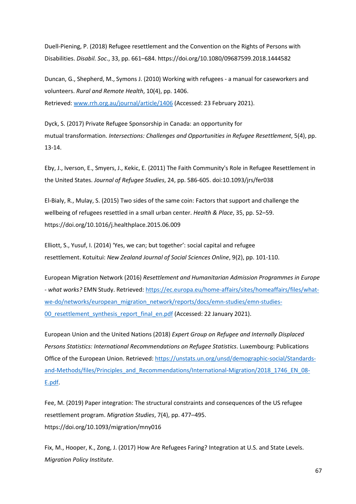Duell-Piening, P. (2018) Refugee resettlement and the Convention on the Rights of Persons with Disabilities. *Disabil. Soc*., 33, pp. 661–684. https://doi.org/10.1080/09687599.2018.1444582

Duncan, G., Shepherd, M., Symons J. (2010) Working with refugees - a manual for caseworkers and volunteers. *Rural and Remote Health*, 10(4), pp. 1406. Retrieved: [www.rrh.org.au/journal/article/1406](http://www.rrh.org.au/journal/article/1406) (Accessed: 23 February 2021).

Dyck, S. (2017) Private Refugee Sponsorship in Canada: an opportunity for mutual transformation. *Intersections: Challenges and Opportunities in Refugee Resettlement*, 5(4), pp. 13-14.

Eby, J., Iverson, E., Smyers, J., Kekic, E. (2011) The Faith Community's Role in Refugee Resettlement in the United States. *Journal of Refugee Studies*, 24, pp. 586-605. doi:10.1093/jrs/fer038

El-Bialy, R., Mulay, S. (2015) Two sides of the same coin: Factors that support and challenge the wellbeing of refugees resettled in a small urban center. *Health & Place*, 35, pp. 52–59. https://doi.org/10.1016/j.healthplace.2015.06.009

Elliott, S., Yusuf, I. (2014) 'Yes, we can; but together': social capital and refugee resettlement. Kotuitui: *New Zealand Journal of Social Sciences Online*, 9(2), pp. 101-110.

European Migration Network (2016) *Resettlement and Humanitarian Admission Programmes in Europe - what works?* EMN Study. Retrieved: [https://ec.europa.eu/home-affairs/sites/homeaffairs/files/what](https://ec.europa.eu/home-affairs/sites/homeaffairs/files/what-we-do/networks/european_migration_network/reports/docs/emn-studies/emn-studies-00_resettlement_synthesis_report_final_en.pdf)[we-do/networks/european\\_migration\\_network/reports/docs/emn-studies/emn-studies-](https://ec.europa.eu/home-affairs/sites/homeaffairs/files/what-we-do/networks/european_migration_network/reports/docs/emn-studies/emn-studies-00_resettlement_synthesis_report_final_en.pdf)00 resettlement synthesis report final en.pdf (Accessed: 22 January 2021).

European Union and the United Nations (2018) *Expert Group on Refugee and Internally Displaced Persons Statistics: International Recommendations on Refugee Statistics*. Luxembourg: Publications Office of the European Union. Retrieved: [https://unstats.un.org/unsd/demographic-social/Standards](https://unstats.un.org/unsd/demographic-social/Standards-and-Methods/files/Principles_and_Recommendations/International-Migration/2018_1746_EN_08-E.pdf)[and-Methods/files/Principles\\_and\\_Recommendations/International-Migration/2018\\_1746\\_EN\\_08-](https://unstats.un.org/unsd/demographic-social/Standards-and-Methods/files/Principles_and_Recommendations/International-Migration/2018_1746_EN_08-E.pdf) [E.pdf.](https://unstats.un.org/unsd/demographic-social/Standards-and-Methods/files/Principles_and_Recommendations/International-Migration/2018_1746_EN_08-E.pdf)

Fee, M. (2019) Paper integration: The structural constraints and consequences of the US refugee resettlement program. *Migration Studies*, 7(4), pp. 477–495. https://doi.org/10.1093/migration/mny016

Fix, M., Hooper, K., Zong, J. (2017) How Are Refugees Faring? Integration at U.S. and State Levels. *Migration Policy Institute*.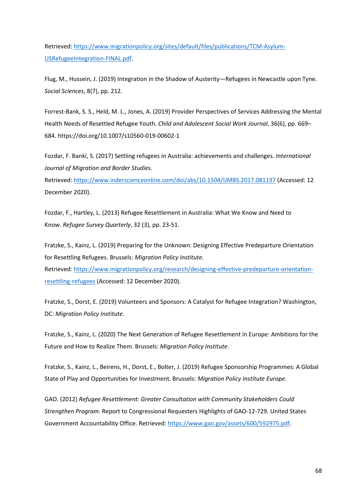Retrieved: [https://www.migrationpolicy.org/sites/default/files/publications/TCM-Asylum-](https://www.migrationpolicy.org/sites/default/files/publications/TCM-Asylum-USRefugeeIntegration-FINAL.pdf)[USRefugeeIntegration-FINAL.pdf.](https://www.migrationpolicy.org/sites/default/files/publications/TCM-Asylum-USRefugeeIntegration-FINAL.pdf) 

Flug, M., Hussein, J. (2019) Integration in the Shadow of Austerity—Refugees in Newcastle upon Tyne*. Social Sciences*, 8(7), pp. 212.

Forrest-Bank, S. S., Held, M. L., Jones, A. (2019) Provider Perspectives of Services Addressing the Mental Health Needs of Resettled Refugee Youth. *Child and Adolescent Social Work Journal*, 36(6), pp. 669– 684. https://doi.org/10.1007/s10560-019-00602-1

Fozdar, F. Banki, S. (2017) Settling refugees in Australia: achievements and challenges. *International Journal of Migration and Border Studies*.

Retrieved: <https://www.inderscienceonline.com/doi/abs/10.1504/IJMBS.2017.081197> (Accessed: 12 December 2020).

Fozdar, F., Hartley, L. (2013) Refugee Resettlement in Australia: What We Know and Need to Know. *Refugee Survey Quarterly*, 32 (3), pp. 23-51.

Fratzke, S., Kainz, L. (2019) Preparing for the Unknown: Designing Effective Predeparture Orientation for Resettling Refugees. Brussels: *Migration Policy Institute*.

Retrieved: [https://www.migrationpolicy.org/research/designing-effective-predeparture-orientation](https://www.migrationpolicy.org/research/designing-effective-predeparture-orientation-resettling-refugees)[resettling-refugees](https://www.migrationpolicy.org/research/designing-effective-predeparture-orientation-resettling-refugees) (Accessed: 12 December 2020).

Fratzke, S., Dorst, E. (2019) Volunteers and Sponsors: A Catalyst for Refugee Integration? Washington, DC: *Migration Policy Institute.*

Fratzke, S., Kainz, L. (2020) The Next Generation of Refugee Resettlement in Europe: Ambitions for the Future and How to Realize Them. Brussels: *Migration Policy Institute*.

Fratzke, S., Kainz, L., Beirens, H., Dorst, E., Bolter, J. (2019) Refugee Sponsorship Programmes: A Global State of Play and Opportunities for Investment. Brussels: *Migration Policy Institute Europe.*

GAO. (2012) *Refugee Resettlement: Greater Consultation with Community Stakeholders Could Strengthen Program*. Report to Congressional Requesters Highlights of GAO-12-729. United States Government Accountability Office. Retrieved[:](https://www.gao.gov/assets/600/592975.pdf) [https://www.gao.gov/assets/600/592975.pdf.](https://www.gao.gov/assets/600/592975.pdf)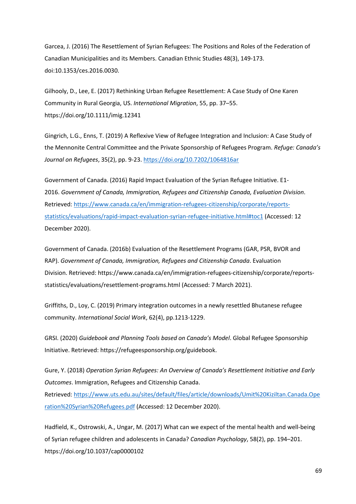Garcea, J. (2016) The Resettlement of Syrian Refugees: The Positions and Roles of the Federation of Canadian Municipalities and its Members. Canadian Ethnic Studies 48(3), 149-173. doi:10.1353/ces.2016.0030.

Gilhooly, D., Lee, E. (2017) Rethinking Urban Refugee Resettlement: A Case Study of One Karen Community in Rural Georgia, US. *International Migration*, 55, pp. 37–55. https://doi.org/10.1111/imig.12341

Gingrich, L.G., Enns, T. (2019) A Reflexive View of Refugee Integration and Inclusion: A Case Study of the Mennonite Central Committee and the Private Sponsorship of Refugees Program. *Refuge: Canada's Journal on Refugees*, 35(2), pp. 9-23. <https://doi.org/10.7202/1064816ar>

Government of Canada. (2016) Rapid Impact Evaluation of the Syrian Refugee Initiative. E1- 2016. *Government of Canada, Immigration, Refugees and Citizenship Canada, Evaluation Division*. Retrieved: [https://www.canada.ca/en/immigration-refugees-citizenship/corporate/reports](https://www.canada.ca/en/immigration-refugees-citizenship/corporate/reports-statistics/evaluations/rapid-impact-evaluation-syrian-refugee-initiative.html%22%20/l%20%22toc1)[statistics/evaluations/rapid-impact-evaluation-syrian-refugee-initiative.html#toc1](https://www.canada.ca/en/immigration-refugees-citizenship/corporate/reports-statistics/evaluations/rapid-impact-evaluation-syrian-refugee-initiative.html%22%20/l%20%22toc1) (Accessed: 12 December 2020).

Government of Canada. (2016b) Evaluation of the Resettlement Programs (GAR, PSR, BVOR and RAP). *Government of Canada, Immigration, Refugees and Citizenship Canada*. Evaluation Division. Retrieved: https://www.canada.ca/en/immigration-refugees-citizenship/corporate/reportsstatistics/evaluations/resettlement-programs.html (Accessed: 7 March 2021).

Griffiths, D., Loy, C. (2019) Primary integration outcomes in a newly resettled Bhutanese refugee community. *International Social Work*, 62(4), pp.1213-1229.

GRSI. (2020) *Guidebook and Planning Tools based on Canada's Model*. Global Refugee Sponsorship Initiative. Retrieved: [https://refugeesponsorship.org/guidebook.](https://refugeesponsorship.org/guidebook)

Gure, Y. (2018) *Operation Syrian Refugees: An Overview of Canada's Resettlement Initiative and Early Outcomes*. Immigration, Refugees and Citizenship Canada.

Retrieved: [https://www.uts.edu.au/sites/default/files/article/downloads/Umit%20Kiziltan.Canada.Ope](https://www.uts.edu.au/sites/default/files/article/downloads/Umit%20Kiziltan.Canada.Operation%20Syrian%20Refugees.pdf) [ration%20Syrian%20Refugees.pdf](https://www.uts.edu.au/sites/default/files/article/downloads/Umit%20Kiziltan.Canada.Operation%20Syrian%20Refugees.pdf) (Accessed: 12 December 2020).

Hadfield, K., Ostrowski, A., Ungar, M. (2017) What can we expect of the mental health and well-being of Syrian refugee children and adolescents in Canada? *Canadian Psychology*, 58(2), pp. 194–201. https://doi.org/10.1037/cap0000102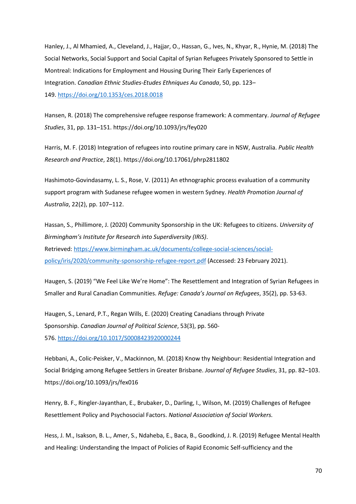Hanley, J., Al Mhamied, A., Cleveland, J., Hajjar, O., Hassan, G., Ives, N., Khyar, R., Hynie, M. (2018) The Social Networks, Social Support and Social Capital of Syrian Refugees Privately Sponsored to Settle in Montreal: Indications for Employment and Housing During Their Early Experiences of Integration. *Canadian Ethnic Studies-Etudes Ethniques Au Canada*, 50, pp. 123– 149. <https://doi.org/10.1353/ces.2018.0018>

Hansen, R. (2018) The comprehensive refugee response framework: A commentary. *Journal of Refugee Studies*, 31, pp. 131–151. https://doi.org/10.1093/jrs/fey020

Harris, M. F. (2018) Integration of refugees into routine primary care in NSW, Australia. *Public Health Research and Practice*, 28(1). https://doi.org/10.17061/phrp2811802

Hashimoto-Govindasamy, L. S., Rose, V. (2011) An ethnographic process evaluation of a community support program with Sudanese refugee women in western Sydney. *Health Promotion Journal of Australia*, 22(2), pp. 107–112.

Hassan, S., Phillimore, J. (2020) Community Sponsorship in the UK: Refugees to citizens. *University of Birmingham's Institute for Research into Superdiversity (IRiS)*. Retrieved: [https://www.birmingham.ac.uk/documents/college-social-sciences/social](https://www.birmingham.ac.uk/documents/college-social-sciences/social-policy/iris/2020/community-sponsorship-refugee-report.pdf)[policy/iris/2020/community-sponsorship-refugee-report.pdf](https://www.birmingham.ac.uk/documents/college-social-sciences/social-policy/iris/2020/community-sponsorship-refugee-report.pdf) (Accessed: 23 February 2021).

Haugen, S. (2019) "We Feel Like We're Home": The Resettlement and Integration of Syrian Refugees in Smaller and Rural Canadian Communities. *Refuge: Canada's Journal on Refugees*, 35(2), pp. 53-63.

Haugen, S., Lenard, P.T., Regan Wills, E. (2020) Creating Canadians through Private Sponsorship. *Canadian Journal of Political Science*, 53(3), pp. 560- 576. <https://doi.org/10.1017/S0008423920000244>

Hebbani, A., Colic-Peisker, V., Mackinnon, M. (2018) Know thy Neighbour: Residential Integration and Social Bridging among Refugee Settlers in Greater Brisbane. *Journal of Refugee Studies*, 31, pp. 82–103. https://doi.org/10.1093/jrs/fex016

Henry, B. F., Ringler-Jayanthan, E., Brubaker, D., Darling, I., Wilson, M. (2019) Challenges of Refugee Resettlement Policy and Psychosocial Factors. *National Association of Social Workers.*

Hess, J. M., Isakson, B. L., Amer, S., Ndaheba, E., Baca, B., Goodkind, J. R. (2019) Refugee Mental Health and Healing: Understanding the Impact of Policies of Rapid Economic Self-sufficiency and the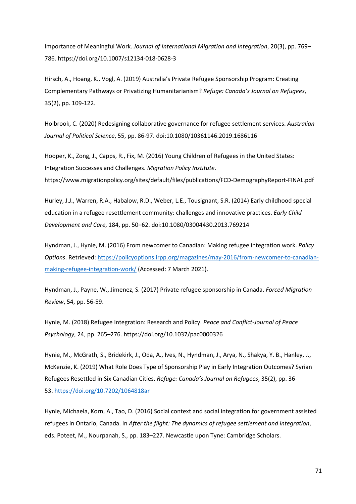Importance of Meaningful Work. *Journal of International Migration and Integration*, 20(3), pp. 769– 786. https://doi.org/10.1007/s12134-018-0628-3

Hirsch, A., Hoang, K., Vogl, A. (2019) Australia's Private Refugee Sponsorship Program: Creating Complementary Pathways or Privatizing Humanitarianism? *Refuge: Canada's Journal on Refugees*, 35(2), pp. 109-122.

Holbrook, C. (2020) Redesigning collaborative governance for refugee settlement services. *Australian Journal of Political Science*, 55, pp. 86-97. doi:10.1080/10361146.2019.1686116

Hooper, K., Zong, J., Capps, R., Fix, M. (2016) Young Children of Refugees in the United States: Integration Successes and Challenges. *Migration Policy Institute*. https://www.migrationpolicy.org/sites/default/files/publications/FCD-DemographyReport-FINAL.pdf

Hurley, J.J., Warren, R.A., Habalow, R.D., Weber, L.E., Tousignant, S.R. (2014) Early childhood special education in a refugee resettlement community: challenges and innovative practices. *Early Child Development and Care*, 184, pp. 50–62. doi:10.1080/03004430.2013.769214

Hyndman, J., Hynie, M. (2016) From newcomer to Canadian: Making refugee integration work. *Policy Options*. Retrieved: [https://policyoptions.irpp.org/magazines/may-2016/from-newcomer-to-canadian](https://policyoptions.irpp.org/magazines/may-2016/from-newcomer-to-canadian-making-refugee-integration-work/)[making-refugee-integration-work/](https://policyoptions.irpp.org/magazines/may-2016/from-newcomer-to-canadian-making-refugee-integration-work/) (Accessed: 7 March 2021).

Hyndman, J., Payne, W., Jimenez, S. (2017) Private refugee sponsorship in Canada. *Forced Migration Review*, 54, pp. 56-59.

Hynie, M. (2018) Refugee Integration: Research and Policy. *Peace and Conflict-Journal of Peace Psychology*, 24, pp. 265–276. https://doi.org/10.1037/pac0000326

Hynie, M., McGrath, S., Bridekirk, J., Oda, A., Ives, N., Hyndman, J., Arya, N., Shakya, Y. B., Hanley, J., McKenzie, K. (2019) What Role Does Type of Sponsorship Play in Early Integration Outcomes? Syrian Refugees Resettled in Six Canadian Cities. *Refuge: Canada's Journal on Refugees*, 35(2), pp. 36- 53. <https://doi.org/10.7202/1064818ar>

Hynie, Michaela, Korn, A., Tao, D. (2016) Social context and social integration for government assisted refugees in Ontario, Canada. In *After the flight: The dynamics of refugee settlement and integration*, eds. Poteet, M., Nourpanah, S., pp. 183–227. Newcastle upon Tyne: Cambridge Scholars.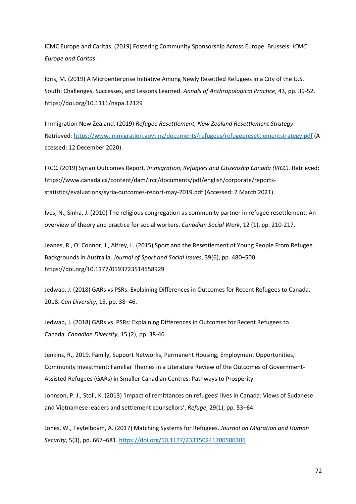ICMC Europe and Caritas. (2019) Fostering Community Sponsorship Across Europe. Brussels: *ICMC Europe and Caritas*.

Idris, M. (2019) A Microenterprise Initiative Among Newly Resettled Refugees in a City of the U.S. South: Challenges, Successes, and Lessons Learned. *Annals of Anthropological Practice*, 43, pp. 39-52. https://doi.org/10.1111/napa.12129

Immigration New Zealand. (2019) *Refugee Resettlement, New Zealand Resettlement Strategy*. Retrieved: <https://www.immigration.govt.nz/documents/refugees/refugeeresettlementstrategy.pdf> (A ccessed: 12 December 2020).

IRCC. (2019) Syrian Outcomes Report. *Immigration, Refugees and Citizenship Canada (IRCC).* Retrieved: https://www.canada.ca/content/dam/ircc/documents/pdf/english/corporate/reportsstatistics/evaluations/syria-outcomes-report-may-2019.pdf (Accessed: 7 March 2021).

Ives, N., Sinha, J. (2010) The religious congregation as community partner in refugee resettlement: An overview of theory and practice for social workers. *Canadian Social Work*, 12 (1), pp. 210-217.

Jeanes, R., O' Connor, J., Alfrey, L. (2015) Sport and the Resettlement of Young People From Refugee Backgrounds in Australia. *Journal of Sport and Social Issues*, 39(6), pp. 480–500. https://doi.org/10.1177/0193723514558929

Jedwab, J. (2018) GARs vs PSRs: Explaining Differences in Outcomes for Recent Refugees to Canada, 2018. *Can Diversity*, 15, pp. 38–46.

Jedwab, J. (2018) GARs vs. PSRs: Explaining Differences in Outcomes for Recent Refugees to Canada. *Canadian Diversity*, 15 (2), pp. 38-46.

Jenkins, R., 2019. Family, Support Networks, Permanent Housing, Employment Opportunities, Community Investment: Familiar Themes in a Literature Review of the Outcomes of Government-Assisted Refugees (GARs) in Smaller Canadian Centres. Pathways to Prosperity.

Johnson, P. J., Stoll, K. (2013) 'Impact of remittances on refugees' lives in Canada: Views of Sudanese and Vietnamese leaders and settlement counsellors', *Refuge*, 29(1), pp. 53–64.

Jones, W., Teytelboym, A. (2017) Matching Systems for Refugees. *Journal on Migration and Human Security*, 5(3), pp. 667–681. <https://doi.org/10.1177/233150241700500306>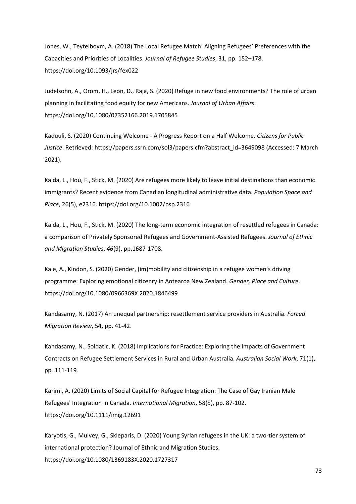Jones, W., Teytelboym, A. (2018) The Local Refugee Match: Aligning Refugees' Preferences with the Capacities and Priorities of Localities. *Journal of Refugee Studies*, 31, pp. 152–178. https://doi.org/10.1093/jrs/fex022

Judelsohn, A., Orom, H., Leon, D., Raja, S. (2020) Refuge in new food environments? The role of urban planning in facilitating food equity for new Americans. *Journal of Urban Affairs*. https://doi.org/10.1080/07352166.2019.1705845

Kaduuli, S. (2020) Continuing Welcome - A Progress Report on a Half Welcome. *Citizens for Public Justice*. Retrieved: https://papers.ssrn.com/sol3/papers.cfm?abstract\_id=3649098 (Accessed: 7 March 2021).

Kaida, L., Hou, F., Stick, M. (2020) Are refugees more likely to leave initial destinations than economic immigrants? Recent evidence from Canadian longitudinal administrative data. *Population Space and Place*, 26(5), e2316. https://doi.org/10.1002/psp.2316

Kaida, L., Hou, F., Stick, M. (2020) The long-term economic integration of resettled refugees in Canada: a comparison of Privately Sponsored Refugees and Government-Assisted Refugees. *Journal of Ethnic and Migration Studies*, *46*(9), pp.1687-1708.

Kale, A., Kindon, S. (2020) Gender, (im)mobility and citizenship in a refugee women's driving programme: Exploring emotional citizenry in Aotearoa New Zealand. *Gender, Place and Culture*. https://doi.org/10.1080/0966369X.2020.1846499

Kandasamy, N. (2017) An unequal partnership: resettlement service providers in Australia. *Forced Migration Review*, 54, pp. 41-42.

Kandasamy, N., Soldatic, K. (2018) Implications for Practice: Exploring the Impacts of Government Contracts on Refugee Settlement Services in Rural and Urban Australia. *Australian Social Work*, 71(1), pp. 111-119.

Karimi, A. (2020) Limits of Social Capital for Refugee Integration: The Case of Gay Iranian Male Refugees' Integration in Canada. *International Migration*, 58(5), pp. 87-102. https://doi.org/10.1111/imig.12691

Karyotis, G., Mulvey, G., Skleparis, D. (2020) Young Syrian refugees in the UK: a two-tier system of international protection? Journal of Ethnic and Migration Studies. https://doi.org/10.1080/1369183X.2020.1727317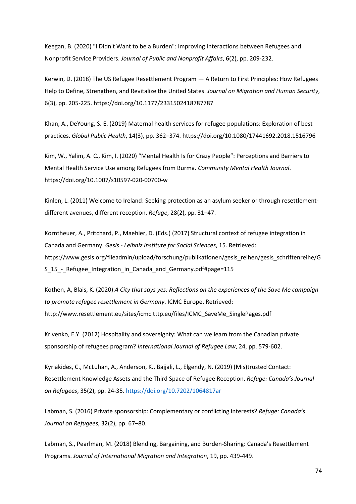Keegan, B. (2020) "I Didn't Want to be a Burden": Improving Interactions between Refugees and Nonprofit Service Providers. *Journal of Public and Nonprofit Affairs*, 6(2), pp. 209-232.

Kerwin, D. (2018) The US Refugee Resettlement Program — A Return to First Principles: How Refugees Help to Define, Strengthen, and Revitalize the United States. *Journal on Migration and Human Security*, 6(3), pp. 205-225. https://doi.org/10.1177/2331502418787787

Khan, A., DeYoung, S. E. (2019) Maternal health services for refugee populations: Exploration of best practices. *Global Public Health*, 14(3), pp. 362–374. https://doi.org/10.1080/17441692.2018.1516796

Kim, W., Yalim, A. C., Kim, I. (2020) "Mental Health Is for Crazy People": Perceptions and Barriers to Mental Health Service Use among Refugees from Burma. *Community Mental Health Journal*. https://doi.org/10.1007/s10597-020-00700-w

Kinlen, L. (2011) Welcome to Ireland: Seeking protection as an asylum seeker or through resettlementdifferent avenues, different reception. *Refuge*, 28(2), pp. 31–47.

Korntheuer, A., Pritchard, P., Maehler, D. (Eds.) (2017) Structural context of refugee integration in Canada and Germany. *Gesis - Leibniz Institute for Social Sciences*, 15. Retrieved: https://www.gesis.org/fileadmin/upload/forschung/publikationen/gesis\_reihen/gesis\_schriftenreihe/G S\_15\_-\_Refugee\_Integration\_in\_Canada\_and\_Germany.pdf#page=115

Kothen, A, Blais, K. (2020) *A City that says yes: Reflections on the experiences of the Save Me campaign to promote refugee resettlement in Germany*. ICMC Europe. Retrieved: http://www.resettlement.eu/sites/icmc.tttp.eu/files/ICMC\_SaveMe\_SinglePages.pdf

Krivenko, E.Y. (2012) Hospitality and sovereignty: What can we learn from the Canadian private sponsorship of refugees program? *International Journal of Refugee Law*, 24, pp. 579-602.

Kyriakides, C., McLuhan, A., Anderson, K., Bajjali, L., Elgendy, N. (2019) (Mis)trusted Contact: Resettlement Knowledge Assets and the Third Space of Refugee Reception. *Refuge: Canada's Journal on Refugees*, 35(2), pp. 24-35. <https://doi.org/10.7202/1064817ar>

Labman, S. (2016) Private sponsorship: Complementary or conflicting interests? *Refuge: Canada's Journal on Refugees*, 32(2), pp. 67–80.

Labman, S., Pearlman, M. (2018) Blending, Bargaining, and Burden-Sharing: Canada's Resettlement Programs. *Journal of International Migration and Integration*, 19, pp. 439-449.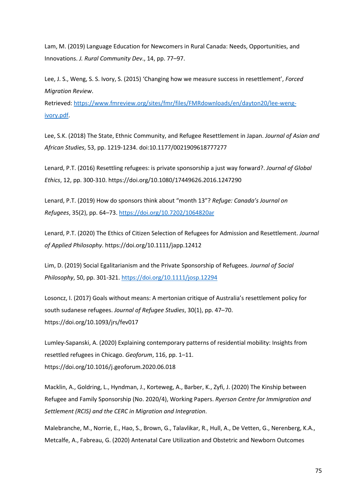Lam, M. (2019) Language Education for Newcomers in Rural Canada: Needs, Opportunities, and Innovations. *J. Rural Community Dev*., 14, pp. 77–97.

Lee, J. S., Weng, S. S. Ivory, S. (2015) 'Changing how we measure success in resettlement', *Forced Migration Review*.

Retrieved: [https://www.fmreview.org/sites/fmr/files/FMRdownloads/en/dayton20/lee-weng](https://www.fmreview.org/sites/fmr/files/FMRdownloads/en/dayton20/lee-weng-ivory.pdf)[ivory.pdf.](https://www.fmreview.org/sites/fmr/files/FMRdownloads/en/dayton20/lee-weng-ivory.pdf)

Lee, S.K. (2018) The State, Ethnic Community, and Refugee Resettlement in Japan. *Journal of Asian and African Studies*, 53, pp. 1219-1234. doi:10.1177/0021909618777277

Lenard, P.T. (2016) Resettling refugees: is private sponsorship a just way forward?. *Journal of Global Ethics*, 12, pp. 300-310. https://doi.org/10.1080/17449626.2016.1247290

Lenard, P.T. (2019) How do sponsors think about "month 13"? *Refuge: Canada's Journal on Refugees*, 35(2), pp. 64–73. <https://doi.org/10.7202/1064820ar>

Lenard, P.T. (2020) The Ethics of Citizen Selection of Refugees for Admission and Resettlement. *Journal of Applied Philosophy*. https://doi.org/10.1111/japp.12412

Lim, D. (2019) Social Egalitarianism and the Private Sponsorship of Refugees. *Journal of Social Philosophy*, 50, pp. 301-321. <https://doi.org/10.1111/josp.12294>

Losoncz, I. (2017) Goals without means: A mertonian critique of Australia's resettlement policy for south sudanese refugees. *Journal of Refugee Studies*, 30(1), pp. 47–70. https://doi.org/10.1093/jrs/fev017

Lumley-Sapanski, A. (2020) Explaining contemporary patterns of residential mobility: Insights from resettled refugees in Chicago. *Geoforum*, 116, pp. 1–11. https://doi.org/10.1016/j.geoforum.2020.06.018

Macklin, A., Goldring, L., Hyndman, J., Korteweg, A., Barber, K., Zyfi, J. (2020) The Kinship between Refugee and Family Sponsorship (No. 2020/4), Working Papers. *Ryerson Centre for Immigration and Settlement (RCIS) and the CERC in Migration and Integration*.

Malebranche, M., Norrie, E., Hao, S., Brown, G., Talavlikar, R., Hull, A., De Vetten, G., Nerenberg, K.A., Metcalfe, A., Fabreau, G. (2020) Antenatal Care Utilization and Obstetric and Newborn Outcomes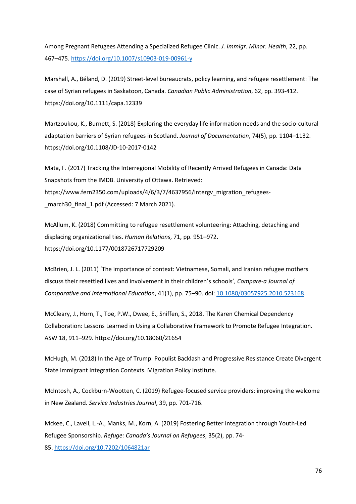Among Pregnant Refugees Attending a Specialized Refugee Clinic. *J. Immigr. Minor. Health*, 22, pp. 467–475.<https://doi.org/10.1007/s10903-019-00961-y>

Marshall, A., Béland, D. (2019) Street-level bureaucrats, policy learning, and refugee resettlement: The case of Syrian refugees in Saskatoon, Canada. *Canadian Public Administration*, 62, pp. 393-412. https://doi.org/10.1111/capa.12339

Martzoukou, K., Burnett, S. (2018) Exploring the everyday life information needs and the socio-cultural adaptation barriers of Syrian refugees in Scotland. *Journal of Documentation*, 74(5), pp. 1104–1132. https://doi.org/10.1108/JD-10-2017-0142

Mata, F. (2017) Tracking the Interregional Mobility of Recently Arrived Refugees in Canada: Data Snapshots from the IMDB. University of Ottawa. Retrieved: https://www.fern2350.com/uploads/4/6/3/7/4637956/intergv\_migration\_refugees march30 final 1.pdf (Accessed: 7 March 2021).

McAllum, K. (2018) Committing to refugee resettlement volunteering: Attaching, detaching and displacing organizational ties. *Human Relations*, 71, pp. 951–972. https://doi.org/10.1177/0018726717729209

McBrien, J. L. (2011) 'The importance of context: Vietnamese, Somali, and Iranian refugee mothers discuss their resettled lives and involvement in their children's schools', *Compare-a Journal of Comparative and International Education*, 41(1), pp. 75–90. doi[:](https://doi.org/10.1080/03057925.2010.523168) [10.1080/03057925.2010.523168.](https://doi.org/10.1080/03057925.2010.523168)

McCleary, J., Horn, T., Toe, P.W., Dwee, E., Sniffen, S., 2018. The Karen Chemical Dependency Collaboration: Lessons Learned in Using a Collaborative Framework to Promote Refugee Integration. ASW 18, 911–929. https://doi.org/10.18060/21654

McHugh, M. (2018) In the Age of Trump: Populist Backlash and Progressive Resistance Create Divergent State Immigrant Integration Contexts. Migration Policy Institute.

McIntosh, A., Cockburn-Wootten, C. (2019) Refugee-focused service providers: improving the welcome in New Zealand. *Service Industries Journal*, 39, pp. 701-716.

Mckee, C., Lavell, L.-A., Manks, M., Korn, A. (2019) Fostering Better Integration through Youth-Led Refugee Sponsorship. *Refuge: Canada's Journal on Refugees*, 35(2), pp. 74- 85. <https://doi.org/10.7202/1064821ar>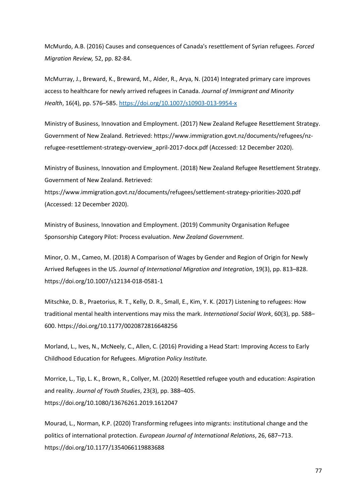McMurdo, A.B. (2016) Causes and consequences of Canada's resettlement of Syrian refugees. *Forced Migration Review,*52, pp. 82-84.

McMurray, J., Breward, K., Breward, M., Alder, R., Arya, N. (2014) Integrated primary care improves access to healthcare for newly arrived refugees in Canada. *Journal of Immigrant and Minority Health*, 16(4), pp. 576–585. [https://doi.org/10.1007/s10903-013-9954-x](https://doi.org/10.1007/s10903-013-9954-x%22%20/) 

Ministry of Business, Innovation and Employment. (2017) New Zealand Refugee Resettlement Strategy. Government of New Zealand. Retrieved: https://www.immigration.govt.nz/documents/refugees/nzrefugee-resettlement-strategy-overview\_april-2017-docx.pdf (Accessed: 12 December 2020).

Ministry of Business, Innovation and Employment. (2018) New Zealand Refugee Resettlement Strategy. Government of New Zealand. Retrieved:

https://www.immigration.govt.nz/documents/refugees/settlement-strategy-priorities-2020.pdf (Accessed: 12 December 2020).

Ministry of Business, Innovation and Employment. (2019) Community Organisation Refugee Sponsorship Category Pilot: Process evaluation. *New Zealand Government*.

Minor, O. M., Cameo, M. (2018) A Comparison of Wages by Gender and Region of Origin for Newly Arrived Refugees in the US. *Journal of International Migration and Integration*, 19(3), pp. 813–828. https://doi.org/10.1007/s12134-018-0581-1

Mitschke, D. B., Praetorius, R. T., Kelly, D. R., Small, E., Kim, Y. K. (2017) Listening to refugees: How traditional mental health interventions may miss the mark. *International Social Work*, 60(3), pp. 588– 600. https://doi.org/10.1177/0020872816648256

Morland, L., Ives, N., McNeely, C., Allen, C. (2016) Providing a Head Start: Improving Access to Early Childhood Education for Refugees. *Migration Policy Institute.*

Morrice, L., Tip, L. K., Brown, R., Collyer, M. (2020) Resettled refugee youth and education: Aspiration and reality. *Journal of Youth Studies*, 23(3), pp. 388–405. https://doi.org/10.1080/13676261.2019.1612047

Mourad, L., Norman, K.P. (2020) Transforming refugees into migrants: institutional change and the politics of international protection. *European Journal of International Relations*, 26, 687–713. https://doi.org/10.1177/1354066119883688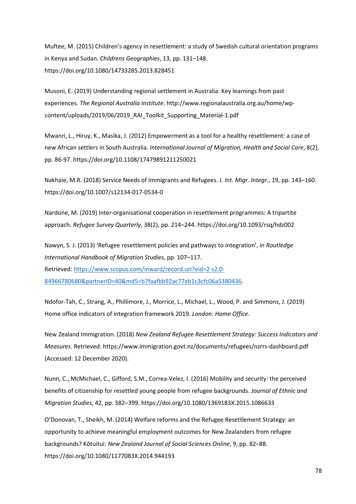Muftee, M. (2015) Children's agency in resettlement: a study of Swedish cultural orientation programs in Kenya and Sudan. *Childrens Geographies*, 13, pp. 131–148. https://doi.org/10.1080/14733285.2013.828451

Musoni, E. (2019) Understanding regional settlement in Australia: Key learnings from past experiences. *The Regional Australia Institute*. http://www.regionalaustralia.org.au/home/wpcontent/uploads/2019/06/2019\_RAI\_Toolkit\_Supporting\_Material-1.pdf

Mwanri, L., Hiruy, K., Masika, J. (2012) Empowerment as a tool for a healthy resettlement: a case of new African settlers in South Australia.*International Journal of Migration, Health and Social Care*, 8(2), pp. 86-97. https://doi.org/10.1108/17479891211250021

Nakhaie, M.R. (2018) Service Needs of Immigrants and Refugees. J*. Int. Migr. Integr.*, 19, pp. 143–160. https://doi.org/10.1007/s12134-017-0534-0

Nardone, M. (2019) Inter-organisational cooperation in resettlement programmes: A tripartite approach. *Refugee Survey Quarterly*, 38(2), pp. 214–244. https://doi.org/10.1093/rsq/hdz002

Nawyn, S. J. (2013) 'Refugee resettlement policies and pathways to integration', in *Routledge International Handbook of Migration Studies*, pp. 107–117. Retrieved: [https://www.scopus.com/inward/record.uri?eid=2-s2.0-](https://www.scopus.com/inward/record.uri?eid=2-s2.0-84966780680&partnerID=40&md5=b7faafbb92ac77eb1c3cfc06a5380436) [84966780680&partnerID=40&md5=b7faafbb92ac77eb1c3cfc06a5380436.](https://www.scopus.com/inward/record.uri?eid=2-s2.0-84966780680&partnerID=40&md5=b7faafbb92ac77eb1c3cfc06a5380436)

Ndofor-Tah, C., Strang, A., Phillimore, J., Morrice, L., Michael, L., Wood, P. and Simmons, J. (2019) Home office indicators of integration framework 2019. *London: Home Office*.

New Zealand Immigration. (2018) *New Zealand Refugee Resettlement Strategy: Success Indicators and Measures*. Retrieved: https://www.immigration.govt.nz/documents/refugees/nzrrs-dashboard.pdf (Accessed: 12 December 2020).

Nunn, C., McMichael, C., Gifford, S.M., Correa-Velez, I. (2016) Mobility and security: the perceived benefits of citizenship for resettled young people from refugee backgrounds. *Journal of Ethnic and Migration Studies*, 42, pp. 382–399. https://doi.org/10.1080/1369183X.2015.1086633

O'Donovan, T., Sheikh, M. (2014) Welfare reforms and the Refugee Resettlement Strategy: an opportunity to achieve meaningful employment outcomes for New Zealanders from refugee backgrounds? Kōtuitui: *New Zealand Journal of Social Sciences Online*, 9, pp. 82–88. https://doi.org/10.1080/1177083X.2014.944193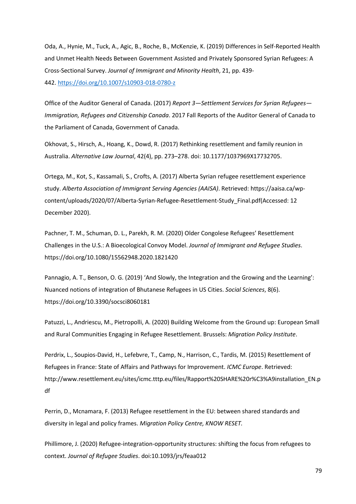Oda, A., Hynie, M., Tuck, A., Agic, B., Roche, B., McKenzie, K. (2019) Differences in Self-Reported Health and Unmet Health Needs Between Government Assisted and Privately Sponsored Syrian Refugees: A Cross-Sectional Survey. *Journal of Immigrant and Minority Health*, 21, pp. 439- 442. <https://doi.org/10.1007/s10903-018-0780-z>

Office of the Auditor General of Canada. (2017) *Report 3—Settlement Services for Syrian Refugees— Immigration, Refugees and Citizenship Canada*. 2017 Fall Reports of the Auditor General of Canada to the Parliament of Canada, Government of Canada.

Okhovat, S., Hirsch, A., Hoang, K., Dowd, R. (2017) Rethinking resettlement and family reunion in Australia. *Alternative Law Journal*, 42(4), pp. 273–278. doi: [10.1177/1037969X17732705.](https://doi.org/10.1177/1037969X17732705)

Ortega, M., Kot, S., Kassamali, S., Crofts, A. (2017) Alberta Syrian refugee resettlement experience study. *Alberta Association of Immigrant Serving Agencies (AAISA)*. Retrieved: https://aaisa.ca/wpcontent/uploads/2020/07/Alberta-Syrian-Refugee-Resettlement-Study\_Final.pdf(Accessed: 12 December 2020).

Pachner, T. M., Schuman, D. L., Parekh, R. M. (2020) Older Congolese Refugees' Resettlement Challenges in the U.S.: A Bioecological Convoy Model. *Journal of Immigrant and Refugee Studies*. https://doi.org/10.1080/15562948.2020.1821420

Pannagio, A. T., Benson, O. G. (2019) 'And Slowly, the Integration and the Growing and the Learning': Nuanced notions of integration of Bhutanese Refugees in US Cities. *Social Sciences*, 8(6). https://doi.org/10.3390/socsci8060181

Patuzzi, L., Andriescu, M., Pietropolli, A. (2020) Building Welcome from the Ground up: European Small and Rural Communities Engaging in Refugee Resettlement. Brussels: *Migration Policy Institute*.

Perdrix, L., Soupios-David, H., Lefebvre, T., Camp, N., Harrison, C., Tardis, M. (2015) Resettlement of Refugees in France: State of Affairs and Pathways for Improvement. *ICMC Europe*. Retrieved: http://www.resettlement.eu/sites/icmc.tttp.eu/files/Rapport%20SHARE%20r%C3%A9installation\_EN.p df

Perrin, D., Mcnamara, F. (2013) Refugee resettlement in the EU: between shared standards and diversity in legal and policy frames. *Migration Policy Centre, KNOW RESET.*

Phillimore, J. (2020) Refugee-integration-opportunity structures: shifting the focus from refugees to context. *Journal of Refugee Studies*. doi:10.1093/jrs/feaa012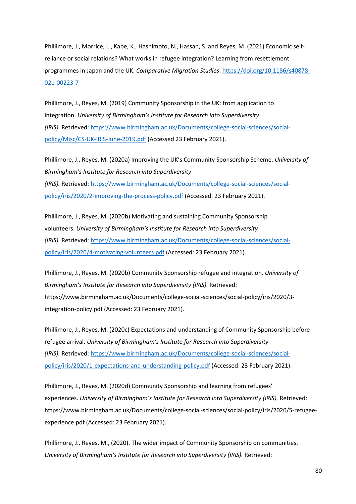Phillimore, J., Morrice, L., Kabe, K., Hashimoto, N., Hassan, S. and Reyes, M. (2021) Economic selfreliance or social relations? What works in refugee integration? Learning from resettlement programmes in Japan and the UK. *Comparative Migration Studies*. [https://doi.org/10.1186/s40878-](https://doi.org/10.1186/s40878-021-00223-7%22%20/) [021-00223-7](https://doi.org/10.1186/s40878-021-00223-7%22%20/) 

Phillimore, J., Reyes, M. (2019) Community Sponsorship in the UK: from application to integration. *University of Birmingham's Institute for Research into Superdiversity (IRiS).* Retrieved: [https://www.birmingham.ac.uk/Documents/college-social-sciences/social](https://www.birmingham.ac.uk/Documents/college-social-sciences/social-policy/Misc/CS-UK-IRiS-June-2019.pdf)[policy/Misc/CS-UK-IRiS-June-2019.pdf](https://www.birmingham.ac.uk/Documents/college-social-sciences/social-policy/Misc/CS-UK-IRiS-June-2019.pdf) (Accessed 23 February 2021).

Phillimore, J., Reyes, M. (2020a) Improving the UK's Community Sponsorship Scheme. *University of Birmingham's Institute for Research into Superdiversity (IRiS).* Retrieved: [https://www.birmingham.ac.uk/Documents/college-social-sciences/social](https://www.birmingham.ac.uk/Documents/college-social-sciences/social-policy/iris/2020/2-improving-the-process-policy.pdf)[policy/iris/2020/2-improving-the-process-policy.pdf](https://www.birmingham.ac.uk/Documents/college-social-sciences/social-policy/iris/2020/2-improving-the-process-policy.pdf) (Accessed: 23 February 2021).

Phillimore, J., Reyes, M. (2020b) Motivating and sustaining Community Sponsorship volunteers. *University of Birmingham's Institute for Research into Superdiversity (IRiS).* Retrieved: [https://www.birmingham.ac.uk/Documents/college-social-sciences/social](https://www.birmingham.ac.uk/Documents/college-social-sciences/social-policy/iris/2020/4-motivating-volunteers.pdf)[policy/iris/2020/4-motivating-volunteers.pdf](https://www.birmingham.ac.uk/Documents/college-social-sciences/social-policy/iris/2020/4-motivating-volunteers.pdf) (Accessed: 23 February 2021).

Phillimore, J., Reyes, M. (2020b) Community Sponsorship refugee and integration. *University of Birmingham's Institute for Research into Superdiversity (IRiS).* Retrieved: https://www.birmingham.ac.uk/Documents/college-social-sciences/social-policy/iris/2020/3 integration-policy.pdf (Accessed: 23 February 2021).

Phillimore, J., Reyes, M. (2020c) Expectations and understanding of Community Sponsorship before refugee arrival. *University of Birmingham's Institute for Research into Superdiversity (IRiS).* Retrieved: [https://www.birmingham.ac.uk/Documents/college-social-sciences/social](https://www.birmingham.ac.uk/Documents/college-social-sciences/social-policy/iris/2020/1-expectations-and-understanding-policy.pdf)[policy/iris/2020/1-expectations-and-understanding-policy.pdf](https://www.birmingham.ac.uk/Documents/college-social-sciences/social-policy/iris/2020/1-expectations-and-understanding-policy.pdf) (Accessed: 23 February 2021).

Phillimore, J., Reyes, M. (2020d) Community Sponsorship and learning from refugees' experiences. *University of Birmingham's Institute for Research into Superdiversity (IRiS).* Retrieved: https://www.birmingham.ac.uk/Documents/college-social-sciences/social-policy/iris/2020/5-refugeeexperience.pdf (Accessed: 23 February 2021).

Phillimore, J., Reyes, M., (2020). The wider impact of Community Sponsorship on communities. *University of Birmingham's Institute for Research into Superdiversity (IRiS).* Retrieved: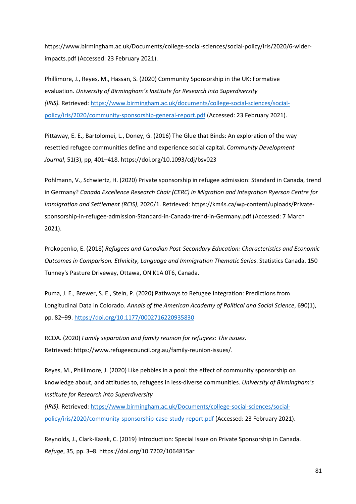https://www.birmingham.ac.uk/Documents/college-social-sciences/social-policy/iris/2020/6-widerimpacts.pdf (Accessed: 23 February 2021).

Phillimore, J., Reyes, M., Hassan, S. (2020) Community Sponsorship in the UK: Formative evaluation. *University of Birmingham's Institute for Research into Superdiversity (IRiS).* Retrieved: [https://www.birmingham.ac.uk/documents/college-social-sciences/social](https://www.birmingham.ac.uk/documents/college-social-sciences/social-policy/iris/2020/community-sponsorship-general-report.pdf%22%20/)[policy/iris/2020/community-sponsorship-general-report.pdf](https://www.birmingham.ac.uk/documents/college-social-sciences/social-policy/iris/2020/community-sponsorship-general-report.pdf%22%20/) (Accessed: 23 February 2021).

Pittaway, E. E., Bartolomei, L., Doney, G. (2016) The Glue that Binds: An exploration of the way resettled refugee communities define and experience social capital. *Community Development Journal*, 51(3), pp, 401–418. https://doi.org/10.1093/cdj/bsv023

Pohlmann, V., Schwiertz, H. (2020) Private sponsorship in refugee admission: Standard in Canada, trend in Germany? *Canada Excellence Research Chair (CERC) in Migration and Integration Ryerson Centre for Immigration and Settlement (RCIS)*, 2020/1. Retrieved: https://km4s.ca/wp-content/uploads/Privatesponsorship-in-refugee-admission-Standard-in-Canada-trend-in-Germany.pdf (Accessed: 7 March 2021).

Prokopenko, E. (2018) *Refugees and Canadian Post-Secondary Education: Characteristics and Economic Outcomes in Comparison. Ethnicity, Language and Immigration Thematic Series*. Statistics Canada. 150 Tunney's Pasture Driveway, Ottawa, ON K1A 0T6, Canada.

Puma, J. E., Brewer, S. E., Stein, P. (2020) Pathways to Refugee Integration: Predictions from Longitudinal Data in Colorado. *Annals of the American Academy of Political and Social Science*, 690(1), pp. 82–99. <https://doi.org/10.1177/0002716220935830>

RCOA. (2020) *Family separation and family reunion for refugees: The issues*. Retrieved: [https://www.refugeecouncil.org.au/family-reunion-issues/.](https://www.refugeecouncil.org.au/family-reunion-issues/)

Reyes, M., Phillimore, J. (2020) Like pebbles in a pool: the effect of community sponsorship on knowledge about, and attitudes to, refugees in less-diverse communities. *University of Birmingham's Institute for Research into Superdiversity* 

*(IRiS).* Retrieved: [https://www.birmingham.ac.uk/Documents/college-social-sciences/social](https://www.birmingham.ac.uk/Documents/college-social-sciences/social-policy/iris/2020/community-sponsorship-case-study-report.pdf)[policy/iris/2020/community-sponsorship-case-study-report.pdf](https://www.birmingham.ac.uk/Documents/college-social-sciences/social-policy/iris/2020/community-sponsorship-case-study-report.pdf) (Accessed: 23 February 2021).

Reynolds, J., Clark-Kazak, C. (2019) Introduction: Special Issue on Private Sponsorship in Canada. *Refuge*, 35, pp. 3–8. https://doi.org/10.7202/1064815ar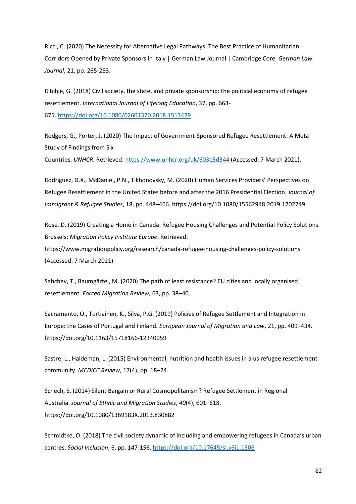Ricci, C. (2020) The Necessity for Alternative Legal Pathways: The Best Practice of Humanitarian Corridors Opened by Private Sponsors in Italy | German Law Journal | Cambridge Core. *German Law Journal*, 21, pp. 265-283.

Ritchie, G. (2018) Civil society, the state, and private sponsorship: the political economy of refugee resettlement. *International Journal of Lifelong Education*, 37, pp. 663- 675. <https://doi.org/10.1080/02601370.2018.1513429>

Rodgers, G., Porter, J. (2020) The Impact of Government-Sponsored Refugee Resettlement: A Meta Study of Findings from Six

Countries. *UNHCR*. Retrieved: <https://www.unhcr.org/uk/603e5d344> (Accessed: 7 March 2021).

Rodriguez, D.X., McDaniel, P.N., Tikhonovsky, M. (2020) Human Services Providers' Perspectives on Refugee Resettlement in the United States before and after the 2016 Presidential Election. *Journal of Immigrant & Refugee Studies*, 18, pp. 448–466. https://doi.org/10.1080/15562948.2019.1702749

Rose, D. (2019) Creating a Home in Canada: Refugee Housing Challenges and Potential Policy Solutions. Brussels: *Migration Policy Institute Europe*. Retrieved:

https://www.migrationpolicy.org/research/canada-refugee-housing-challenges-policy-solutions (Accessed: 7 March 2021).

Sabchev, T., Baumgärtel, M. (2020) The path of least resistance? EU cities and locally organised resettlement. *Forced Migration Review*, 63, pp. 38–40.

Sacramento, O., Turtiainen, K., Silva, P.G. (2019) Policies of Refugee Settlement and Integration in Europe: the Cases of Portugal and Finland. *European Journal of Migration and Law*, 21, pp. 409–434. https://doi.org/10.1163/15718166-12340059

Sastre, L., Haldeman, L. (2015) Environmental, nutrition and health issues in a us refugee resettlement community. *MEDICC Review*, 17(4), pp. 18–24.

Schech, S. (2014) Silent Bargain or Rural Cosmopolitanism? Refugee Settlement in Regional Australia. *Journal of Ethnic and Migration Studies*, *40*(4), 601–618. https://doi.org/10.1080/1369183X.2013.830882

Schmidtke, O. (2018) The civil society dynamic of including and empowering refugees in Canada's urban centres. *Social Inclusion*, 6, pp. 147-156. <https://doi.org/10.17645/si.v6i1.1306>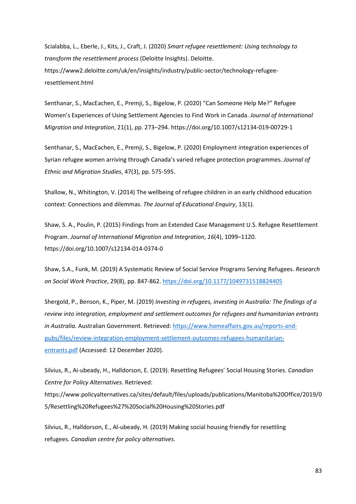Scialabba, L., Eberle, J., Kits, J., Craft, J. (2020) *Smart refugee resettlement: Using technology to transform the resettlement process* (Deloitte Insights). Deloitte. https://www2.deloitte.com/uk/en/insights/industry/public-sector/technology-refugeeresettlement.html

Senthanar, S., MacEachen, E., Premji, S., Bigelow, P. (2020) "Can Someone Help Me?" Refugee Women's Experiences of Using Settlement Agencies to Find Work in Canada. *Journal of International Migration and Integration*, 21(1), pp. 273–294. https://doi.org/10.1007/s12134-019-00729-1

Senthanar, S., MacEachen, E., Premji, S., Bigelow, P. (2020) Employment integration experiences of Syrian refugee women arriving through Canada's varied refugee protection programmes. *Journal of Ethnic and Migration Studies*, 47(3), pp. 575-595.

Shallow, N., Whitington, V. (2014) The wellbeing of refugee children in an early childhood education context: Connections and dilemmas. *The Journal of Educational Enquiry*, 13(1).

Shaw, S. A., Poulin, P. (2015) Findings from an Extended Case Management U.S. Refugee Resettlement Program. *Journal of International Migration and Integration*, *16*(4), 1099–1120. https://doi.org/10.1007/s12134-014-0374-0

Shaw, S.A., Funk, M. (2019) A Systematic Review of Social Service Programs Serving Refugees. *Research on Social Work Practice*, 29(8), pp. 847-862. <https://doi.org/10.1177/1049731518824405>

Shergold, P., Benson, K., Piper, M. (2019) *Investing in refugees, investing in Australia: The findings of a review into integration, employment and settlement outcomes for refugees and humanitarian entrants in Australia.* Australian Government. Retrieved[:](https://www.homeaffairs.gov.au/reports-and-pubs/files/review-integration-employment-settlement-outcomes-refugees-humanitarian-entrants.pdf) [https://www.homeaffairs.gov.au/reports-and](https://www.homeaffairs.gov.au/reports-and-pubs/files/review-integration-employment-settlement-outcomes-refugees-humanitarian-entrants.pdf)[pubs/files/review-integration-employment-settlement-outcomes-refugees-humanitarian](https://www.homeaffairs.gov.au/reports-and-pubs/files/review-integration-employment-settlement-outcomes-refugees-humanitarian-entrants.pdf)[entrants.pdf](https://www.homeaffairs.gov.au/reports-and-pubs/files/review-integration-employment-settlement-outcomes-refugees-humanitarian-entrants.pdf) (Accessed: 12 December 2020).

Silvius, R., Ai-ubeady, H., Halldorson, E. (2019). Resettling Refugees' Social Housing Stories. *Canadian Centre for Policy Alternatives*. Retrieved: https://www.policyalternatives.ca/sites/default/files/uploads/publications/Manitoba%20Office/2019/0 5/Resettling%20Refugees%27%20Social%20Housing%20Stories.pdf

Silvius, R., Halldorson, E., Al-ubeady, H. (2019) Making social housing friendly for resettling refugees. *Canadian centre for policy alternatives*.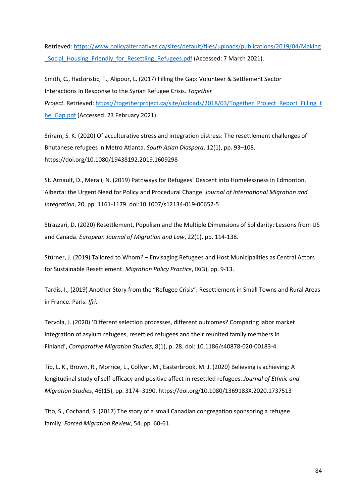Retrieved: [https://www.policyalternatives.ca/sites/default/files/uploads/publications/2019/04/Making](https://www.policyalternatives.ca/sites/default/files/uploads/publications/2019/04/Making_Social_Housing_Friendly_for_Resettling_Refugees.pdf) [\\_Social\\_Housing\\_Friendly\\_for\\_Resettling\\_Refugees.pdf](https://www.policyalternatives.ca/sites/default/files/uploads/publications/2019/04/Making_Social_Housing_Friendly_for_Resettling_Refugees.pdf) (Accessed: 7 March 2021).

Smith, C., Hadziristic, T., Alipour, L. (2017) Filling the Gap: Volunteer & Settlement Sector Interactions In Response to the Syrian Refugee Crisis. *Together Project.* Retrieved: [https://togetherproject.ca/site/uploads/2018/03/Together\\_Project\\_Report\\_Filling\\_t](https://togetherproject.ca/site/uploads/2018/03/Together_Project_Report_Filling_the_Gap.pdf) [he\\_Gap.pdf](https://togetherproject.ca/site/uploads/2018/03/Together_Project_Report_Filling_the_Gap.pdf) (Accessed: 23 February 2021).

Sriram, S. K. (2020) Of acculturative stress and integration distress: The resettlement challenges of Bhutanese refugees in Metro Atlanta. *South Asian Diaspora*, 12(1), pp. 93–108. https://doi.org/10.1080/19438192.2019.1609298

St. Arnault, D., Merali, N. (2019) Pathways for Refugees' Descent into Homelessness in Edmonton, Alberta: the Urgent Need for Policy and Procedural Change. *Journal of International Migration and Integration*, 20, pp. 1161-1179. doi:10.1007/s12134-019-00652-5

Strazzari, D. (2020) Resettlement, Populism and the Multiple Dimensions of Solidarity: Lessons from US and Canada. *European Journal of Migration and Law*, 22(1), pp. 114-138.

Stürner, J. (2019) Tailored to Whom? – Envisaging Refugees and Host Municipalities as Central Actors for Sustainable Resettlement. *Migration Policy Practice*, IX(3), pp. 9-13.

Tardis, I., (2019) Another Story from the "Refugee Crisis": Resettlement in Small Towns and Rural Areas in France. Paris: *Ifri*.

Tervola, J. (2020) 'Different selection processes, different outcomes? Comparing labor market integration of asylum refugees, resettled refugees and their reunited family members in Finland', *Comparative Migration Studies*, 8(1), p. 28. doi: [10.1186/s40878-020-00183-4.](https://doi.org/10.1186/s40878-020-00183-4)

Tip, L. K., Brown, R., Morrice, L., Collyer, M., Easterbrook, M. J. (2020) Believing is achieving: A longitudinal study of self-efficacy and positive affect in resettled refugees. *Journal of Ethnic and Migration Studies*, 46(15), pp. 3174–3190. https://doi.org/10.1080/1369183X.2020.1737513

Tito, S., Cochand, S. (2017) The story of a small Canadian congregation sponsoring a refugee family. *Forced Migration Review*, 54, pp. 60-61.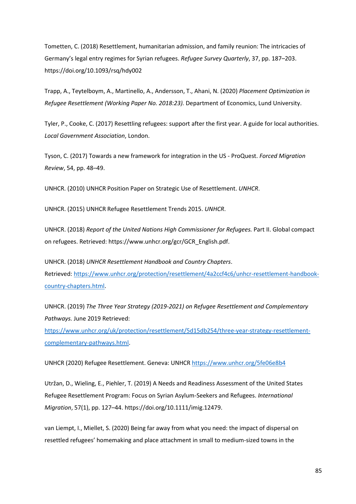Tometten, C. (2018) Resettlement, humanitarian admission, and family reunion: The intricacies of Germany's legal entry regimes for Syrian refugees. *Refugee Survey Quarterly*, 37, pp. 187–203. https://doi.org/10.1093/rsq/hdy002

Trapp, A., Teytelboym, A., Martinello, A., Andersson, T., Ahani, N. (2020) *Placement Optimization in Refugee Resettlement (Working Paper No. 2018:23).* Department of Economics, Lund University.

Tyler, P., Cooke, C. (2017) Resettling refugees: support after the first year. A guide for local authorities. *Local Government Association*, London.

Tyson, C. (2017) Towards a new framework for integration in the US - ProQuest. *Forced Migration Review*, 54, pp. 48–49.

UNHCR. (2010) UNHCR Position Paper on Strategic Use of Resettlement. *UNHCR*.

UNHCR. (2015) UNHCR Refugee Resettlement Trends 2015. *UNHCR*.

UNHCR. (2018) *Report of the United Nations High Commissioner for Refugees.* Part II. Global compact on refugees. Retrieved: https://www.unhcr.org/gcr/GCR\_English.pdf.

UNHCR. (2018) *UNHCR Resettlement Handbook and Country Chapters*. Retrieved: [https://www.unhcr.org/protection/resettlement/4a2ccf4c6/unhcr-resettlement-handbook](https://www.unhcr.org/protection/resettlement/4a2ccf4c6/unhcr-resettlement-handbook-country-chapters.html)[country-chapters.html.](https://www.unhcr.org/protection/resettlement/4a2ccf4c6/unhcr-resettlement-handbook-country-chapters.html)

UNHCR. (2019) *The Three Year Strategy (2019-2021) on Refugee Resettlement and Complementary Pathways.* June 2019 Retrieved:

[https://www.unhcr.org/uk/protection/resettlement/5d15db254/three-year-strategy-resettlement](https://www.unhcr.org/uk/protection/resettlement/5d15db254/three-year-strategy-resettlement-complementary-pathways.html)[complementary-pathways.html.](https://www.unhcr.org/uk/protection/resettlement/5d15db254/three-year-strategy-resettlement-complementary-pathways.html)

UNHCR (2020) Refugee Resettlement. Geneva: UNHCR<https://www.unhcr.org/5fe06e8b4>

Utržan, D., Wieling, E., Piehler, T. (2019) A Needs and Readiness Assessment of the United States Refugee Resettlement Program: Focus on Syrian Asylum-Seekers and Refugees. *International Migration*, 57(1), pp. 127–44. https://doi.org/10.1111/imig.12479.

van Liempt, I., Miellet, S. (2020) Being far away from what you need: the impact of dispersal on resettled refugees' homemaking and place attachment in small to medium-sized towns in the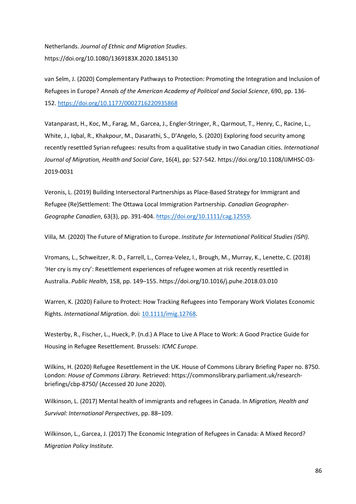Netherlands. *Journal of Ethnic and Migration Studies*. https://doi.org/10.1080/1369183X.2020.1845130

van Selm, J. (2020) Complementary Pathways to Protection: Promoting the Integration and Inclusion of Refugees in Europe? *Annals of the American Academy of Political and Social Science*, 690, pp. 136- 152. <https://doi.org/10.1177/0002716220935868>

Vatanparast, H., Koc, M., Farag, M., Garcea, J., Engler-Stringer, R., Qarmout, T., Henry, C., Racine, L., White, J., Iqbal, R., Khakpour, M., Dasarathi, S., D'Angelo, S. (2020) Exploring food security among recently resettled Syrian refugees: results from a qualitative study in two Canadian cities. *International Journal of Migration, Health and Social Care*, 16(4), pp: 527-542. https://doi.org/10.1108/IJMHSC-03- 2019-0031

Veronis, L. (2019) Building Intersectoral Partnerships as Place-Based Strategy for Immigrant and Refugee (Re)Settlement: The Ottawa Local Immigration Partnership. *Canadian Geographer-Geographe Canadien*, 63(3), pp. 391-404. [https://doi.org/10.1111/cag.12559.](https://doi.org/10.1111/cag.12559)

Villa, M. (2020) The Future of Migration to Europe. *Institute for International Political Studies (ISPI).*

Vromans, L., Schweitzer, R. D., Farrell, L., Correa-Velez, I., Brough, M., Murray, K., Lenette, C. (2018) 'Her cry is my cry': Resettlement experiences of refugee women at risk recently resettled in Australia. *Public Health*, 158, pp. 149–155. https://doi.org/10.1016/j.puhe.2018.03.010

Warren, K. (2020) Failure to Protect: How Tracking Refugees into Temporary Work Violates Economic Rights. *International Migration*. doi: [10.1111/imig.12768.](https://doi.org/10.1111/imig.12768)

Westerby, R., Fischer, L., Hueck, P. (n.d.) A Place to Live A Place to Work: A Good Practice Guide for Housing in Refugee Resettlement*.* Brussels: *ICMC Europe*.

Wilkins, H. (2020) Refugee Resettlement in the UK. House of Commons Library Briefing Paper no. 8750. London: *House of Commons Library.* Retrieved: https://commonslibrary.parliament.uk/researchbriefings/cbp-8750/ (Accessed 20 June 2020).

Wilkinson, L. (2017) Mental health of immigrants and refugees in Canada. In *Migration, Health and Survival: International Perspectives*, pp. 88–109.

Wilkinson, L., Garcea, J. (2017) The Economic Integration of Refugees in Canada: A Mixed Record? *Migration Policy Institute.*